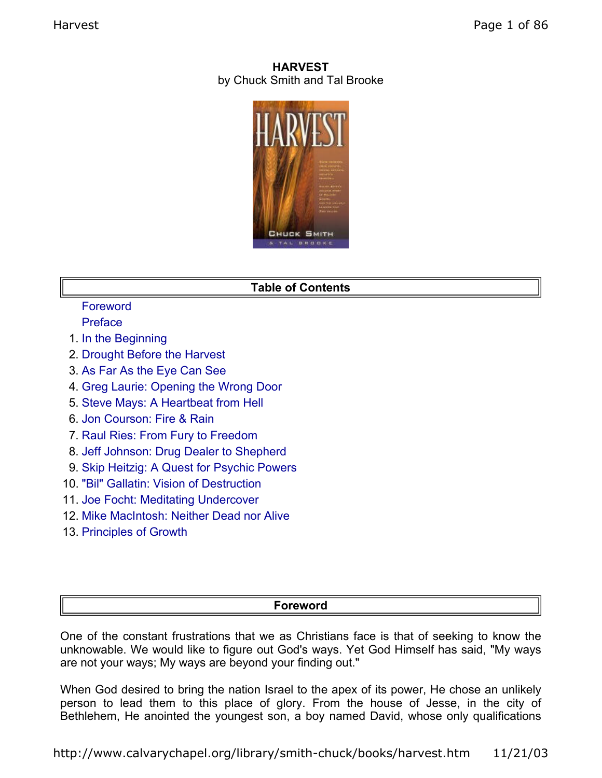#### **HARVEST** by Chuck Smith and Tal Brooke



# **Table of Contents**

# Foreword

Preface

- 1. In the Beginning
- 2. Drought Before the Harvest
- 3. As Far As the Eye Can See
- 4. Greg Laurie: Opening the Wrong Door
- 5. Steve Mays: A Heartbeat from Hell
- 6. Jon Courson: Fire & Rain
- 7. Raul Ries: From Fury to Freedom
- 8. Jeff Johnson: Drug Dealer to Shepherd
- 9. Skip Heitzig: A Quest for Psychic Powers
- 10. "Bil" Gallatin: Vision of Destruction
- 11. Joe Focht: Meditating Undercover
- 12. Mike MacIntosh: Neither Dead nor Alive
- 13. Principles of Growth

## **Foreword**

One of the constant frustrations that we as Christians face is that of seeking to know the unknowable. We would like to figure out God's ways. Yet God Himself has said, "My ways are not your ways; My ways are beyond your finding out."

When God desired to bring the nation Israel to the apex of its power, He chose an unlikely person to lead them to this place of glory. From the house of Jesse, in the city of Bethlehem, He anointed the youngest son, a boy named David, whose only qualifications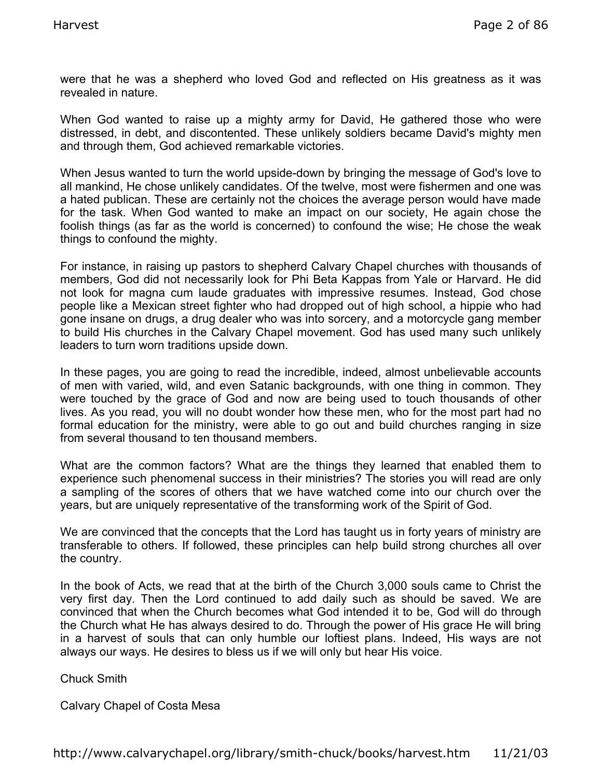were that he was a shepherd who loved God and reflected on His greatness as it was revealed in nature.

When God wanted to raise up a mighty army for David, He gathered those who were distressed, in debt, and discontented. These unlikely soldiers became David's mighty men and through them, God achieved remarkable victories.

When Jesus wanted to turn the world upside-down by bringing the message of God's love to all mankind, He chose unlikely candidates. Of the twelve, most were fishermen and one was a hated publican. These are certainly not the choices the average person would have made for the task. When God wanted to make an impact on our society, He again chose the foolish things (as far as the world is concerned) to confound the wise; He chose the weak things to confound the mighty.

For instance, in raising up pastors to shepherd Calvary Chapel churches with thousands of members, God did not necessarily look for Phi Beta Kappas from Yale or Harvard. He did not look for magna cum laude graduates with impressive resumes. Instead, God chose people like a Mexican street fighter who had dropped out of high school, a hippie who had gone insane on drugs, a drug dealer who was into sorcery, and a motorcycle gang member to build His churches in the Calvary Chapel movement. God has used many such unlikely leaders to turn worn traditions upside down.

In these pages, you are going to read the incredible, indeed, almost unbelievable accounts of men with varied, wild, and even Satanic backgrounds, with one thing in common. They were touched by the grace of God and now are being used to touch thousands of other lives. As you read, you will no doubt wonder how these men, who for the most part had no formal education for the ministry, were able to go out and build churches ranging in size from several thousand to ten thousand members.

What are the common factors? What are the things they learned that enabled them to experience such phenomenal success in their ministries? The stories you will read are only a sampling of the scores of others that we have watched come into our church over the years, but are uniquely representative of the transforming work of the Spirit of God.

We are convinced that the concepts that the Lord has taught us in forty years of ministry are transferable to others. If followed, these principles can help build strong churches all over the country.

In the book of Acts, we read that at the birth of the Church 3,000 souls came to Christ the very first day. Then the Lord continued to add daily such as should be saved. We are convinced that when the Church becomes what God intended it to be, God will do through the Church what He has always desired to do. Through the power of His grace He will bring in a harvest of souls that can only humble our loftiest plans. Indeed, His ways are not always our ways. He desires to bless us if we will only but hear His voice.

Chuck Smith

Calvary Chapel of Costa Mesa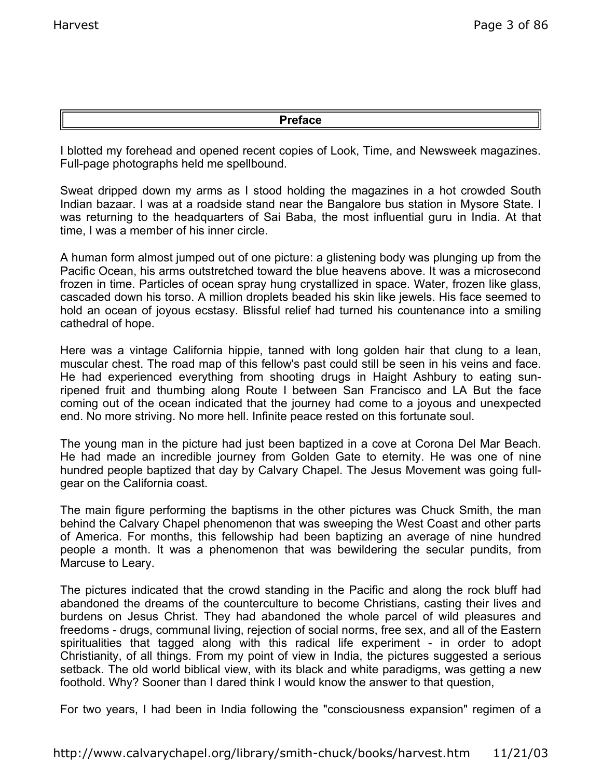I blotted my forehead and opened recent copies of Look, Time, and Newsweek magazines. Full-page photographs held me spellbound.

Sweat dripped down my arms as I stood holding the magazines in a hot crowded South Indian bazaar. I was at a roadside stand near the Bangalore bus station in Mysore State. I was returning to the headquarters of Sai Baba, the most influential guru in India. At that time, I was a member of his inner circle.

A human form almost jumped out of one picture: a glistening body was plunging up from the Pacific Ocean, his arms outstretched toward the blue heavens above. It was a microsecond frozen in time. Particles of ocean spray hung crystallized in space. Water, frozen like glass, cascaded down his torso. A million droplets beaded his skin like jewels. His face seemed to hold an ocean of joyous ecstasy. Blissful relief had turned his countenance into a smiling cathedral of hope.

Here was a vintage California hippie, tanned with long golden hair that clung to a lean, muscular chest. The road map of this fellow's past could still be seen in his veins and face. He had experienced everything from shooting drugs in Haight Ashbury to eating sunripened fruit and thumbing along Route I between San Francisco and LA But the face coming out of the ocean indicated that the journey had come to a joyous and unexpected end. No more striving. No more hell. Infinite peace rested on this fortunate soul.

The young man in the picture had just been baptized in a cove at Corona Del Mar Beach. He had made an incredible journey from Golden Gate to eternity. He was one of nine hundred people baptized that day by Calvary Chapel. The Jesus Movement was going fullgear on the California coast.

The main figure performing the baptisms in the other pictures was Chuck Smith, the man behind the Calvary Chapel phenomenon that was sweeping the West Coast and other parts of America. For months, this fellowship had been baptizing an average of nine hundred people a month. It was a phenomenon that was bewildering the secular pundits, from Marcuse to Leary.

The pictures indicated that the crowd standing in the Pacific and along the rock bluff had abandoned the dreams of the counterculture to become Christians, casting their lives and burdens on Jesus Christ. They had abandoned the whole parcel of wild pleasures and freedoms - drugs, communal living, rejection of social norms, free sex, and all of the Eastern spiritualities that tagged along with this radical life experiment - in order to adopt Christianity, of all things. From my point of view in India, the pictures suggested a serious setback. The old world biblical view, with its black and white paradigms, was getting a new foothold. Why? Sooner than I dared think I would know the answer to that question,

For two years, I had been in India following the "consciousness expansion" regimen of a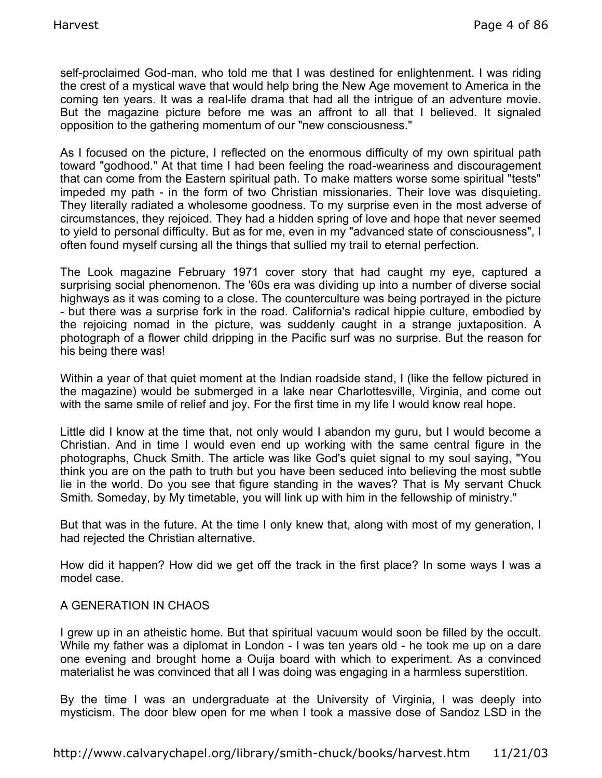self-proclaimed God-man, who told me that I was destined for enlightenment. I was riding the crest of a mystical wave that would help bring the New Age movement to America in the coming ten years. It was a real-life drama that had all the intrigue of an adventure movie. But the magazine picture before me was an affront to all that I believed. It signaled opposition to the gathering momentum of our "new consciousness."

As I focused on the picture, I reflected on the enormous difficulty of my own spiritual path toward "godhood." At that time I had been feeling the road-weariness and discouragement that can come from the Eastern spiritual path. To make matters worse some spiritual "tests" impeded my path - in the form of two Christian missionaries. Their love was disquieting. They literally radiated a wholesome goodness. To my surprise even in the most adverse of circumstances, they rejoiced. They had a hidden spring of love and hope that never seemed to yield to personal difficulty. But as for me, even in my "advanced state of consciousness", I often found myself cursing all the things that sullied my trail to eternal perfection.

The Look magazine February 1971 cover story that had caught my eye, captured a surprising social phenomenon. The '60s era was dividing up into a number of diverse social highways as it was coming to a close. The counterculture was being portrayed in the picture - but there was a surprise fork in the road. California's radical hippie culture, embodied by the rejoicing nomad in the picture, was suddenly caught in a strange juxtaposition. A photograph of a flower child dripping in the Pacific surf was no surprise. But the reason for his being there was!

Within a year of that quiet moment at the Indian roadside stand, I (like the fellow pictured in the magazine) would be submerged in a lake near Charlottesville, Virginia, and come out with the same smile of relief and joy. For the first time in my life I would know real hope.

Little did I know at the time that, not only would I abandon my guru, but I would become a Christian. And in time I would even end up working with the same central figure in the photographs, Chuck Smith. The article was like God's quiet signal to my soul saying, "You think you are on the path to truth but you have been seduced into believing the most subtle lie in the world. Do you see that figure standing in the waves? That is My servant Chuck Smith. Someday, by My timetable, you will link up with him in the fellowship of ministry."

But that was in the future. At the time I only knew that, along with most of my generation, I had rejected the Christian alternative.

How did it happen? How did we get off the track in the first place? In some ways I was a model case.

#### A GENERATION IN CHAOS

I grew up in an atheistic home. But that spiritual vacuum would soon be filled by the occult. While my father was a diplomat in London - I was ten years old - he took me up on a dare one evening and brought home a Ouija board with which to experiment. As a convinced materialist he was convinced that all I was doing was engaging in a harmless superstition.

By the time I was an undergraduate at the University of Virginia, I was deeply into mysticism. The door blew open for me when I took a massive dose of Sandoz LSD in the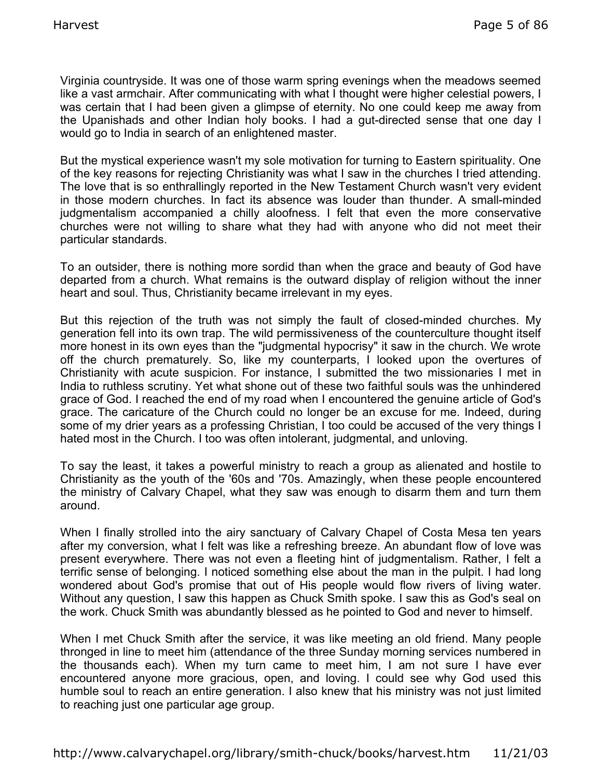Virginia countryside. It was one of those warm spring evenings when the meadows seemed like a vast armchair. After communicating with what I thought were higher celestial powers, I was certain that I had been given a glimpse of eternity. No one could keep me away from the Upanishads and other Indian holy books. I had a gut-directed sense that one day I would go to India in search of an enlightened master.

But the mystical experience wasn't my sole motivation for turning to Eastern spirituality. One of the key reasons for rejecting Christianity was what I saw in the churches I tried attending. The love that is so enthrallingly reported in the New Testament Church wasn't very evident in those modern churches. In fact its absence was louder than thunder. A small-minded judgmentalism accompanied a chilly aloofness. I felt that even the more conservative churches were not willing to share what they had with anyone who did not meet their particular standards.

To an outsider, there is nothing more sordid than when the grace and beauty of God have departed from a church. What remains is the outward display of religion without the inner heart and soul. Thus, Christianity became irrelevant in my eyes.

But this rejection of the truth was not simply the fault of closed-minded churches. My generation fell into its own trap. The wild permissiveness of the counterculture thought itself more honest in its own eyes than the "judgmental hypocrisy" it saw in the church. We wrote off the church prematurely. So, like my counterparts, I looked upon the overtures of Christianity with acute suspicion. For instance, I submitted the two missionaries I met in India to ruthless scrutiny. Yet what shone out of these two faithful souls was the unhindered grace of God. I reached the end of my road when I encountered the genuine article of God's grace. The caricature of the Church could no longer be an excuse for me. Indeed, during some of my drier years as a professing Christian, I too could be accused of the very things I hated most in the Church. I too was often intolerant, judgmental, and unloving.

To say the least, it takes a powerful ministry to reach a group as alienated and hostile to Christianity as the youth of the '60s and '70s. Amazingly, when these people encountered the ministry of Calvary Chapel, what they saw was enough to disarm them and turn them around.

When I finally strolled into the airy sanctuary of Calvary Chapel of Costa Mesa ten years after my conversion, what I felt was like a refreshing breeze. An abundant flow of love was present everywhere. There was not even a fleeting hint of judgmentalism. Rather, I felt a terrific sense of belonging. I noticed something else about the man in the pulpit. I had long wondered about God's promise that out of His people would flow rivers of living water. Without any question, I saw this happen as Chuck Smith spoke. I saw this as God's seal on the work. Chuck Smith was abundantly blessed as he pointed to God and never to himself.

When I met Chuck Smith after the service, it was like meeting an old friend. Many people thronged in line to meet him (attendance of the three Sunday morning services numbered in the thousands each). When my turn came to meet him, I am not sure I have ever encountered anyone more gracious, open, and loving. I could see why God used this humble soul to reach an entire generation. I also knew that his ministry was not just limited to reaching just one particular age group.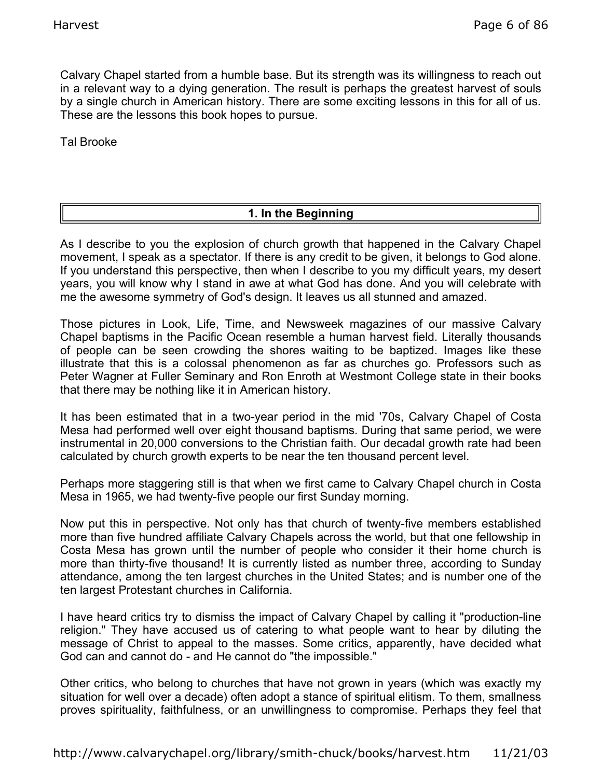Calvary Chapel started from a humble base. But its strength was its willingness to reach out in a relevant way to a dying generation. The result is perhaps the greatest harvest of souls by a single church in American history. There are some exciting lessons in this for all of us. These are the lessons this book hopes to pursue.

Tal Brooke

## **1. In the Beginning**

As I describe to you the explosion of church growth that happened in the Calvary Chapel movement, I speak as a spectator. If there is any credit to be given, it belongs to God alone. If you understand this perspective, then when I describe to you my difficult years, my desert years, you will know why I stand in awe at what God has done. And you will celebrate with me the awesome symmetry of God's design. It leaves us all stunned and amazed.

Those pictures in Look, Life, Time, and Newsweek magazines of our massive Calvary Chapel baptisms in the Pacific Ocean resemble a human harvest field. Literally thousands of people can be seen crowding the shores waiting to be baptized. Images like these illustrate that this is a colossal phenomenon as far as churches go. Professors such as Peter Wagner at Fuller Seminary and Ron Enroth at Westmont College state in their books that there may be nothing like it in American history.

It has been estimated that in a two-year period in the mid '70s, Calvary Chapel of Costa Mesa had performed well over eight thousand baptisms. During that same period, we were instrumental in 20,000 conversions to the Christian faith. Our decadal growth rate had been calculated by church growth experts to be near the ten thousand percent level.

Perhaps more staggering still is that when we first came to Calvary Chapel church in Costa Mesa in 1965, we had twenty-five people our first Sunday morning.

Now put this in perspective. Not only has that church of twenty-five members established more than five hundred affiliate Calvary Chapels across the world, but that one fellowship in Costa Mesa has grown until the number of people who consider it their home church is more than thirty-five thousand! It is currently listed as number three, according to Sunday attendance, among the ten largest churches in the United States; and is number one of the ten largest Protestant churches in California.

I have heard critics try to dismiss the impact of Calvary Chapel by calling it "production-line religion." They have accused us of catering to what people want to hear by diluting the message of Christ to appeal to the masses. Some critics, apparently, have decided what God can and cannot do - and He cannot do "the impossible."

Other critics, who belong to churches that have not grown in years (which was exactly my situation for well over a decade) often adopt a stance of spiritual elitism. To them, smallness proves spirituality, faithfulness, or an unwillingness to compromise. Perhaps they feel that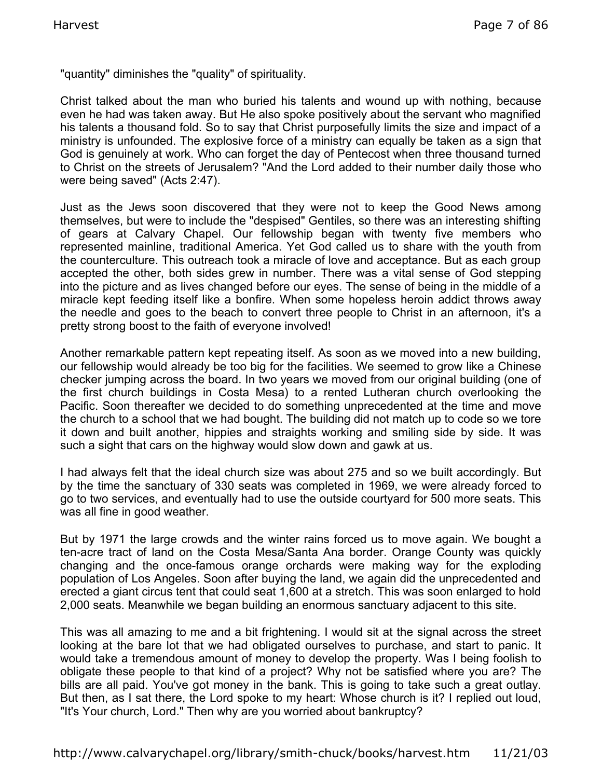"quantity" diminishes the "quality" of spirituality.

Christ talked about the man who buried his talents and wound up with nothing, because even he had was taken away. But He also spoke positively about the servant who magnified his talents a thousand fold. So to say that Christ purposefully limits the size and impact of a ministry is unfounded. The explosive force of a ministry can equally be taken as a sign that God is genuinely at work. Who can forget the day of Pentecost when three thousand turned to Christ on the streets of Jerusalem? "And the Lord added to their number daily those who were being saved" (Acts 2:47).

Just as the Jews soon discovered that they were not to keep the Good News among themselves, but were to include the "despised" Gentiles, so there was an interesting shifting of gears at Calvary Chapel. Our fellowship began with twenty five members who represented mainline, traditional America. Yet God called us to share with the youth from the counterculture. This outreach took a miracle of love and acceptance. But as each group accepted the other, both sides grew in number. There was a vital sense of God stepping into the picture and as lives changed before our eyes. The sense of being in the middle of a miracle kept feeding itself like a bonfire. When some hopeless heroin addict throws away the needle and goes to the beach to convert three people to Christ in an afternoon, it's a pretty strong boost to the faith of everyone involved!

Another remarkable pattern kept repeating itself. As soon as we moved into a new building, our fellowship would already be too big for the facilities. We seemed to grow like a Chinese checker jumping across the board. In two years we moved from our original building (one of the first church buildings in Costa Mesa) to a rented Lutheran church overlooking the Pacific. Soon thereafter we decided to do something unprecedented at the time and move the church to a school that we had bought. The building did not match up to code so we tore it down and built another, hippies and straights working and smiling side by side. It was such a sight that cars on the highway would slow down and gawk at us.

I had always felt that the ideal church size was about 275 and so we built accordingly. But by the time the sanctuary of 330 seats was completed in 1969, we were already forced to go to two services, and eventually had to use the outside courtyard for 500 more seats. This was all fine in good weather.

But by 1971 the large crowds and the winter rains forced us to move again. We bought a ten-acre tract of land on the Costa Mesa/Santa Ana border. Orange County was quickly changing and the once-famous orange orchards were making way for the exploding population of Los Angeles. Soon after buying the land, we again did the unprecedented and erected a giant circus tent that could seat 1,600 at a stretch. This was soon enlarged to hold 2,000 seats. Meanwhile we began building an enormous sanctuary adjacent to this site.

This was all amazing to me and a bit frightening. I would sit at the signal across the street looking at the bare lot that we had obligated ourselves to purchase, and start to panic. It would take a tremendous amount of money to develop the property. Was I being foolish to obligate these people to that kind of a project? Why not be satisfied where you are? The bills are all paid. You've got money in the bank. This is going to take such a great outlay. But then, as I sat there, the Lord spoke to my heart: Whose church is it? I replied out loud, "It's Your church, Lord." Then why are you worried about bankruptcy?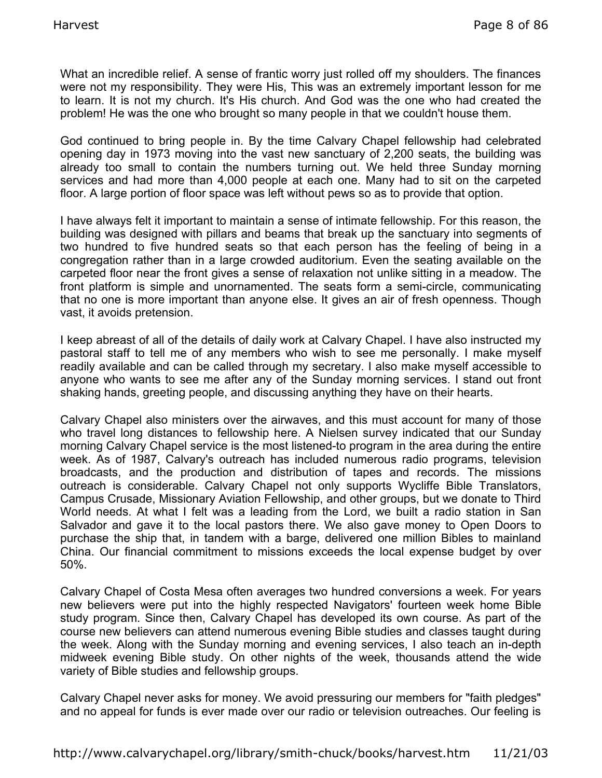What an incredible relief. A sense of frantic worry just rolled off my shoulders. The finances were not my responsibility. They were His, This was an extremely important lesson for me to learn. It is not my church. It's His church. And God was the one who had created the problem! He was the one who brought so many people in that we couldn't house them.

God continued to bring people in. By the time Calvary Chapel fellowship had celebrated opening day in 1973 moving into the vast new sanctuary of 2,200 seats, the building was already too small to contain the numbers turning out. We held three Sunday morning services and had more than 4,000 people at each one. Many had to sit on the carpeted floor. A large portion of floor space was left without pews so as to provide that option.

I have always felt it important to maintain a sense of intimate fellowship. For this reason, the building was designed with pillars and beams that break up the sanctuary into segments of two hundred to five hundred seats so that each person has the feeling of being in a congregation rather than in a large crowded auditorium. Even the seating available on the carpeted floor near the front gives a sense of relaxation not unlike sitting in a meadow. The front platform is simple and unornamented. The seats form a semi-circle, communicating that no one is more important than anyone else. It gives an air of fresh openness. Though vast, it avoids pretension.

I keep abreast of all of the details of daily work at Calvary Chapel. I have also instructed my pastoral staff to tell me of any members who wish to see me personally. I make myself readily available and can be called through my secretary. I also make myself accessible to anyone who wants to see me after any of the Sunday morning services. I stand out front shaking hands, greeting people, and discussing anything they have on their hearts.

Calvary Chapel also ministers over the airwaves, and this must account for many of those who travel long distances to fellowship here. A Nielsen survey indicated that our Sunday morning Calvary Chapel service is the most listened-to program in the area during the entire week. As of 1987, Calvary's outreach has included numerous radio programs, television broadcasts, and the production and distribution of tapes and records. The missions outreach is considerable. Calvary Chapel not only supports Wycliffe Bible Translators, Campus Crusade, Missionary Aviation Fellowship, and other groups, but we donate to Third World needs. At what I felt was a leading from the Lord, we built a radio station in San Salvador and gave it to the local pastors there. We also gave money to Open Doors to purchase the ship that, in tandem with a barge, delivered one million Bibles to mainland China. Our financial commitment to missions exceeds the local expense budget by over 50%.

Calvary Chapel of Costa Mesa often averages two hundred conversions a week. For years new believers were put into the highly respected Navigators' fourteen week home Bible study program. Since then, Calvary Chapel has developed its own course. As part of the course new believers can attend numerous evening Bible studies and classes taught during the week. Along with the Sunday morning and evening services, I also teach an in-depth midweek evening Bible study. On other nights of the week, thousands attend the wide variety of Bible studies and fellowship groups.

Calvary Chapel never asks for money. We avoid pressuring our members for "faith pledges" and no appeal for funds is ever made over our radio or television outreaches. Our feeling is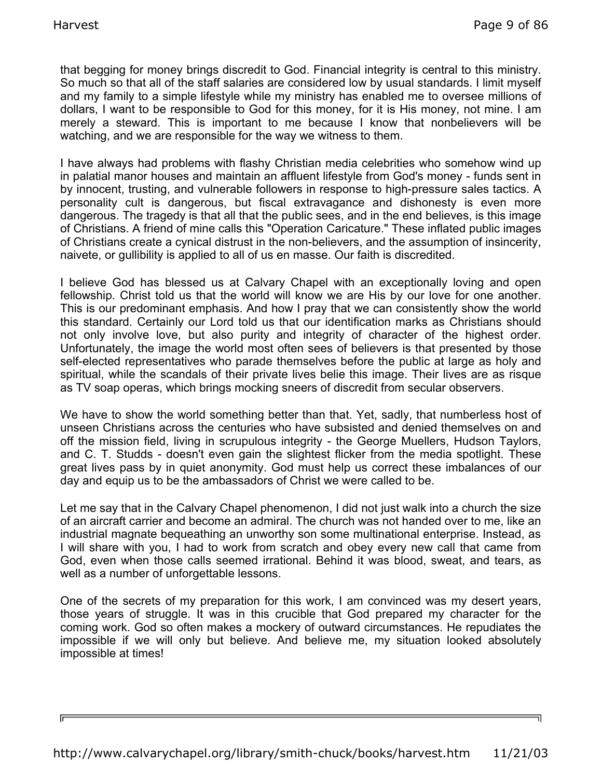that begging for money brings discredit to God. Financial integrity is central to this ministry. So much so that all of the staff salaries are considered low by usual standards. I limit myself and my family to a simple lifestyle while my ministry has enabled me to oversee millions of dollars, I want to be responsible to God for this money, for it is His money, not mine. I am merely a steward. This is important to me because I know that nonbelievers will be watching, and we are responsible for the way we witness to them.

I have always had problems with flashy Christian media celebrities who somehow wind up in palatial manor houses and maintain an affluent lifestyle from God's money - funds sent in by innocent, trusting, and vulnerable followers in response to high-pressure sales tactics. A personality cult is dangerous, but fiscal extravagance and dishonesty is even more dangerous. The tragedy is that all that the public sees, and in the end believes, is this image of Christians. A friend of mine calls this "Operation Caricature." These inflated public images of Christians create a cynical distrust in the non-believers, and the assumption of insincerity, naivete, or gullibility is applied to all of us en masse. Our faith is discredited.

I believe God has blessed us at Calvary Chapel with an exceptionally loving and open fellowship. Christ told us that the world will know we are His by our love for one another. This is our predominant emphasis. And how I pray that we can consistently show the world this standard. Certainly our Lord told us that our identification marks as Christians should not only involve love, but also purity and integrity of character of the highest order. Unfortunately, the image the world most often sees of believers is that presented by those self-elected representatives who parade themselves before the public at large as holy and spiritual, while the scandals of their private lives belie this image. Their lives are as risque as TV soap operas, which brings mocking sneers of discredit from secular observers.

We have to show the world something better than that. Yet, sadly, that numberless host of unseen Christians across the centuries who have subsisted and denied themselves on and off the mission field, living in scrupulous integrity - the George Muellers, Hudson Taylors, and C. T. Studds - doesn't even gain the slightest flicker from the media spotlight. These great lives pass by in quiet anonymity. God must help us correct these imbalances of our day and equip us to be the ambassadors of Christ we were called to be.

Let me say that in the Calvary Chapel phenomenon, I did not just walk into a church the size of an aircraft carrier and become an admiral. The church was not handed over to me, like an industrial magnate bequeathing an unworthy son some multinational enterprise. Instead, as I will share with you, I had to work from scratch and obey every new call that came from God, even when those calls seemed irrational. Behind it was blood, sweat, and tears, as well as a number of unforgettable lessons.

One of the secrets of my preparation for this work, I am convinced was my desert years, those years of struggle. It was in this crucible that God prepared my character for the coming work. God so often makes a mockery of outward circumstances. He repudiates the impossible if we will only but believe. And believe me, my situation looked absolutely impossible at times!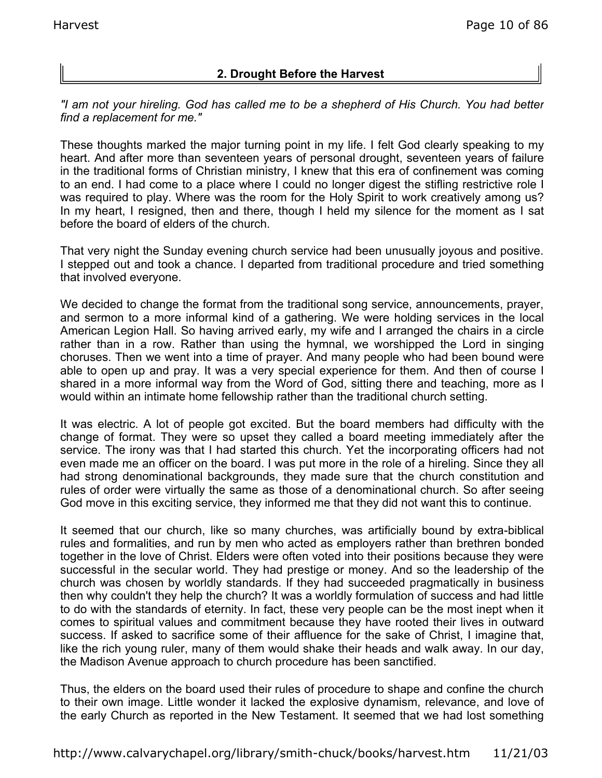## **2. Drought Before the Harvest**

*"I am not your hireling. God has called me to be a shepherd of His Church. You had better find a replacement for me."*

These thoughts marked the major turning point in my life. I felt God clearly speaking to my heart. And after more than seventeen years of personal drought, seventeen years of failure in the traditional forms of Christian ministry, I knew that this era of confinement was coming to an end. I had come to a place where I could no longer digest the stifling restrictive role I was required to play. Where was the room for the Holy Spirit to work creatively among us? In my heart, I resigned, then and there, though I held my silence for the moment as I sat before the board of elders of the church.

That very night the Sunday evening church service had been unusually joyous and positive. I stepped out and took a chance. I departed from traditional procedure and tried something that involved everyone.

We decided to change the format from the traditional song service, announcements, prayer, and sermon to a more informal kind of a gathering. We were holding services in the local American Legion Hall. So having arrived early, my wife and I arranged the chairs in a circle rather than in a row. Rather than using the hymnal, we worshipped the Lord in singing choruses. Then we went into a time of prayer. And many people who had been bound were able to open up and pray. It was a very special experience for them. And then of course I shared in a more informal way from the Word of God, sitting there and teaching, more as I would within an intimate home fellowship rather than the traditional church setting.

It was electric. A lot of people got excited. But the board members had difficulty with the change of format. They were so upset they called a board meeting immediately after the service. The irony was that I had started this church. Yet the incorporating officers had not even made me an officer on the board. I was put more in the role of a hireling. Since they all had strong denominational backgrounds, they made sure that the church constitution and rules of order were virtually the same as those of a denominational church. So after seeing God move in this exciting service, they informed me that they did not want this to continue.

It seemed that our church, like so many churches, was artificially bound by extra-biblical rules and formalities, and run by men who acted as employers rather than brethren bonded together in the love of Christ. Elders were often voted into their positions because they were successful in the secular world. They had prestige or money. And so the leadership of the church was chosen by worldly standards. If they had succeeded pragmatically in business then why couldn't they help the church? It was a worldly formulation of success and had little to do with the standards of eternity. In fact, these very people can be the most inept when it comes to spiritual values and commitment because they have rooted their lives in outward success. If asked to sacrifice some of their affluence for the sake of Christ, I imagine that, like the rich young ruler, many of them would shake their heads and walk away. In our day, the Madison Avenue approach to church procedure has been sanctified.

Thus, the elders on the board used their rules of procedure to shape and confine the church to their own image. Little wonder it lacked the explosive dynamism, relevance, and love of the early Church as reported in the New Testament. It seemed that we had lost something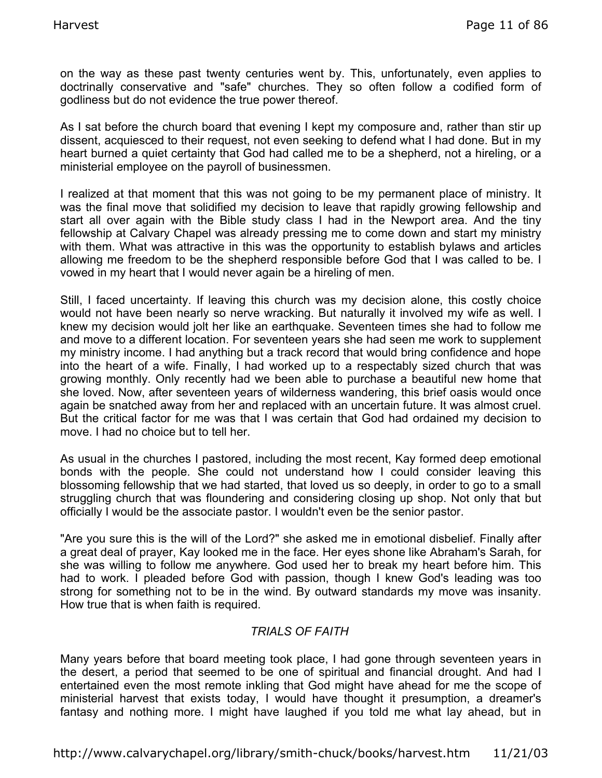on the way as these past twenty centuries went by. This, unfortunately, even applies to doctrinally conservative and "safe" churches. They so often follow a codified form of godliness but do not evidence the true power thereof.

As I sat before the church board that evening I kept my composure and, rather than stir up dissent, acquiesced to their request, not even seeking to defend what I had done. But in my heart burned a quiet certainty that God had called me to be a shepherd, not a hireling, or a ministerial employee on the payroll of businessmen.

I realized at that moment that this was not going to be my permanent place of ministry. It was the final move that solidified my decision to leave that rapidly growing fellowship and start all over again with the Bible study class I had in the Newport area. And the tiny fellowship at Calvary Chapel was already pressing me to come down and start my ministry with them. What was attractive in this was the opportunity to establish bylaws and articles allowing me freedom to be the shepherd responsible before God that I was called to be. I vowed in my heart that I would never again be a hireling of men.

Still, I faced uncertainty. If leaving this church was my decision alone, this costly choice would not have been nearly so nerve wracking. But naturally it involved my wife as well. I knew my decision would jolt her like an earthquake. Seventeen times she had to follow me and move to a different location. For seventeen years she had seen me work to supplement my ministry income. I had anything but a track record that would bring confidence and hope into the heart of a wife. Finally, I had worked up to a respectably sized church that was growing monthly. Only recently had we been able to purchase a beautiful new home that she loved. Now, after seventeen years of wilderness wandering, this brief oasis would once again be snatched away from her and replaced with an uncertain future. It was almost cruel. But the critical factor for me was that I was certain that God had ordained my decision to move. I had no choice but to tell her.

As usual in the churches I pastored, including the most recent, Kay formed deep emotional bonds with the people. She could not understand how I could consider leaving this blossoming fellowship that we had started, that loved us so deeply, in order to go to a small struggling church that was floundering and considering closing up shop. Not only that but officially I would be the associate pastor. I wouldn't even be the senior pastor.

"Are you sure this is the will of the Lord?" she asked me in emotional disbelief. Finally after a great deal of prayer, Kay looked me in the face. Her eyes shone like Abraham's Sarah, for she was willing to follow me anywhere. God used her to break my heart before him. This had to work. I pleaded before God with passion, though I knew God's leading was too strong for something not to be in the wind. By outward standards my move was insanity. How true that is when faith is required.

## *TRIALS OF FAITH*

Many years before that board meeting took place, I had gone through seventeen years in the desert, a period that seemed to be one of spiritual and financial drought. And had I entertained even the most remote inkling that God might have ahead for me the scope of ministerial harvest that exists today, I would have thought it presumption, a dreamer's fantasy and nothing more. I might have laughed if you told me what lay ahead, but in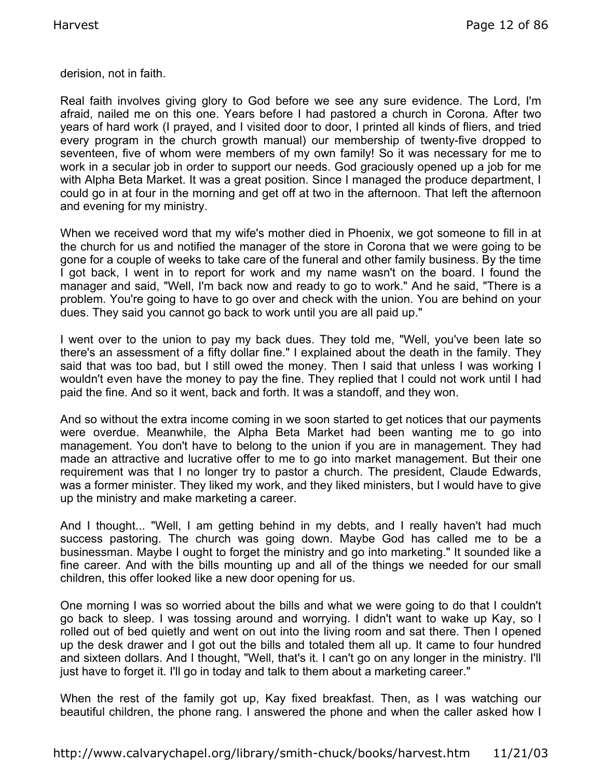derision, not in faith.

Real faith involves giving glory to God before we see any sure evidence. The Lord, I'm afraid, nailed me on this one. Years before I had pastored a church in Corona. After two years of hard work (I prayed, and I visited door to door, I printed all kinds of fliers, and tried every program in the church growth manual) our membership of twenty-five dropped to seventeen, five of whom were members of my own family! So it was necessary for me to work in a secular job in order to support our needs. God graciously opened up a job for me with Alpha Beta Market. It was a great position. Since I managed the produce department, I could go in at four in the morning and get off at two in the afternoon. That left the afternoon and evening for my ministry.

When we received word that my wife's mother died in Phoenix, we got someone to fill in at the church for us and notified the manager of the store in Corona that we were going to be gone for a couple of weeks to take care of the funeral and other family business. By the time I got back, I went in to report for work and my name wasn't on the board. I found the manager and said, "Well, I'm back now and ready to go to work." And he said, "There is a problem. You're going to have to go over and check with the union. You are behind on your dues. They said you cannot go back to work until you are all paid up."

I went over to the union to pay my back dues. They told me, "Well, you've been late so there's an assessment of a fifty dollar fine." I explained about the death in the family. They said that was too bad, but I still owed the money. Then I said that unless I was working I wouldn't even have the money to pay the fine. They replied that I could not work until I had paid the fine. And so it went, back and forth. It was a standoff, and they won.

And so without the extra income coming in we soon started to get notices that our payments were overdue. Meanwhile, the Alpha Beta Market had been wanting me to go into management. You don't have to belong to the union if you are in management. They had made an attractive and lucrative offer to me to go into market management. But their one requirement was that I no longer try to pastor a church. The president, Claude Edwards, was a former minister. They liked my work, and they liked ministers, but I would have to give up the ministry and make marketing a career.

And I thought... "Well, I am getting behind in my debts, and I really haven't had much success pastoring. The church was going down. Maybe God has called me to be a businessman. Maybe I ought to forget the ministry and go into marketing." It sounded like a fine career. And with the bills mounting up and all of the things we needed for our small children, this offer looked like a new door opening for us.

One morning I was so worried about the bills and what we were going to do that I couldn't go back to sleep. I was tossing around and worrying. I didn't want to wake up Kay, so I rolled out of bed quietly and went on out into the living room and sat there. Then I opened up the desk drawer and I got out the bills and totaled them all up. It came to four hundred and sixteen dollars. And I thought, "Well, that's it. I can't go on any longer in the ministry. I'll just have to forget it. I'll go in today and talk to them about a marketing career."

When the rest of the family got up, Kay fixed breakfast. Then, as I was watching our beautiful children, the phone rang. I answered the phone and when the caller asked how I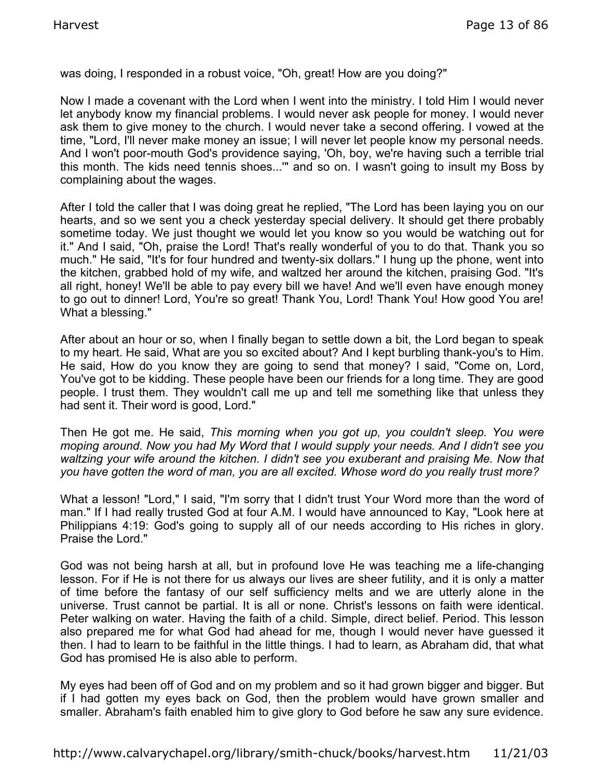was doing, I responded in a robust voice, "Oh, great! How are you doing?"

Now I made a covenant with the Lord when I went into the ministry. I told Him I would never let anybody know my financial problems. I would never ask people for money. I would never ask them to give money to the church. I would never take a second offering. I vowed at the time, "Lord, I'll never make money an issue; I will never let people know my personal needs. And I won't poor-mouth God's providence saying, 'Oh, boy, we're having such a terrible trial this month. The kids need tennis shoes...'" and so on. I wasn't going to insult my Boss by complaining about the wages.

After I told the caller that I was doing great he replied, "The Lord has been laying you on our hearts, and so we sent you a check yesterday special delivery. It should get there probably sometime today. We just thought we would let you know so you would be watching out for it." And I said, "Oh, praise the Lord! That's really wonderful of you to do that. Thank you so much." He said, "It's for four hundred and twenty-six dollars." I hung up the phone, went into the kitchen, grabbed hold of my wife, and waltzed her around the kitchen, praising God. "It's all right, honey! We'll be able to pay every bill we have! And we'll even have enough money to go out to dinner! Lord, You're so great! Thank You, Lord! Thank You! How good You are! What a blessing."

After about an hour or so, when I finally began to settle down a bit, the Lord began to speak to my heart. He said, What are you so excited about? And I kept burbling thank-you's to Him. He said, How do you know they are going to send that money? I said, "Come on, Lord, You've got to be kidding. These people have been our friends for a long time. They are good people. I trust them. They wouldn't call me up and tell me something like that unless they had sent it. Their word is good, Lord."

Then He got me. He said, *This morning when you got up, you couldn't sleep. You were moping around. Now you had My Word that I would supply your needs. And I didn't see you waltzing your wife around the kitchen. I didn't see you exuberant and praising Me. Now that you have gotten the word of man, you are all excited. Whose word do you really trust more?*

What a lesson! "Lord," I said, "I'm sorry that I didn't trust Your Word more than the word of man." If I had really trusted God at four A.M. I would have announced to Kay, "Look here at Philippians 4:19: God's going to supply all of our needs according to His riches in glory. Praise the Lord."

God was not being harsh at all, but in profound love He was teaching me a life-changing lesson. For if He is not there for us always our lives are sheer futility, and it is only a matter of time before the fantasy of our self sufficiency melts and we are utterly alone in the universe. Trust cannot be partial. It is all or none. Christ's lessons on faith were identical. Peter walking on water. Having the faith of a child. Simple, direct belief. Period. This lesson also prepared me for what God had ahead for me, though I would never have guessed it then. I had to learn to be faithful in the little things. I had to learn, as Abraham did, that what God has promised He is also able to perform.

My eyes had been off of God and on my problem and so it had grown bigger and bigger. But if I had gotten my eyes back on God, then the problem would have grown smaller and smaller. Abraham's faith enabled him to give glory to God before he saw any sure evidence.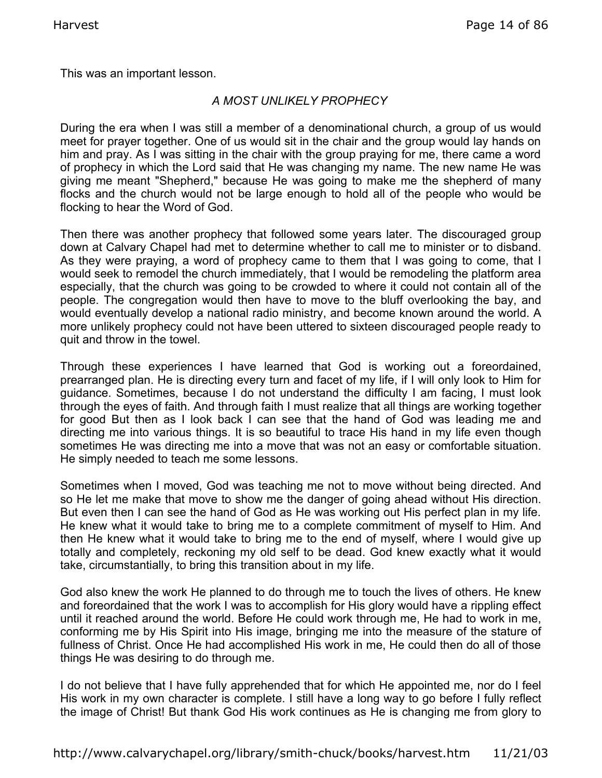This was an important lesson.

### *A MOST UNLIKELY PROPHECY*

During the era when I was still a member of a denominational church, a group of us would meet for prayer together. One of us would sit in the chair and the group would lay hands on him and pray. As I was sitting in the chair with the group praying for me, there came a word of prophecy in which the Lord said that He was changing my name. The new name He was giving me meant "Shepherd," because He was going to make me the shepherd of many flocks and the church would not be large enough to hold all of the people who would be flocking to hear the Word of God.

Then there was another prophecy that followed some years later. The discouraged group down at Calvary Chapel had met to determine whether to call me to minister or to disband. As they were praying, a word of prophecy came to them that I was going to come, that I would seek to remodel the church immediately, that I would be remodeling the platform area especially, that the church was going to be crowded to where it could not contain all of the people. The congregation would then have to move to the bluff overlooking the bay, and would eventually develop a national radio ministry, and become known around the world. A more unlikely prophecy could not have been uttered to sixteen discouraged people ready to quit and throw in the towel.

Through these experiences I have learned that God is working out a foreordained, prearranged plan. He is directing every turn and facet of my life, if I will only look to Him for guidance. Sometimes, because I do not understand the difficulty I am facing, I must look through the eyes of faith. And through faith I must realize that all things are working together for good But then as I look back I can see that the hand of God was leading me and directing me into various things. It is so beautiful to trace His hand in my life even though sometimes He was directing me into a move that was not an easy or comfortable situation. He simply needed to teach me some lessons.

Sometimes when I moved, God was teaching me not to move without being directed. And so He let me make that move to show me the danger of going ahead without His direction. But even then I can see the hand of God as He was working out His perfect plan in my life. He knew what it would take to bring me to a complete commitment of myself to Him. And then He knew what it would take to bring me to the end of myself, where I would give up totally and completely, reckoning my old self to be dead. God knew exactly what it would take, circumstantially, to bring this transition about in my life.

God also knew the work He planned to do through me to touch the lives of others. He knew and foreordained that the work I was to accomplish for His glory would have a rippling effect until it reached around the world. Before He could work through me, He had to work in me, conforming me by His Spirit into His image, bringing me into the measure of the stature of fullness of Christ. Once He had accomplished His work in me, He could then do all of those things He was desiring to do through me.

I do not believe that I have fully apprehended that for which He appointed me, nor do I feel His work in my own character is complete. I still have a long way to go before I fully reflect the image of Christ! But thank God His work continues as He is changing me from glory to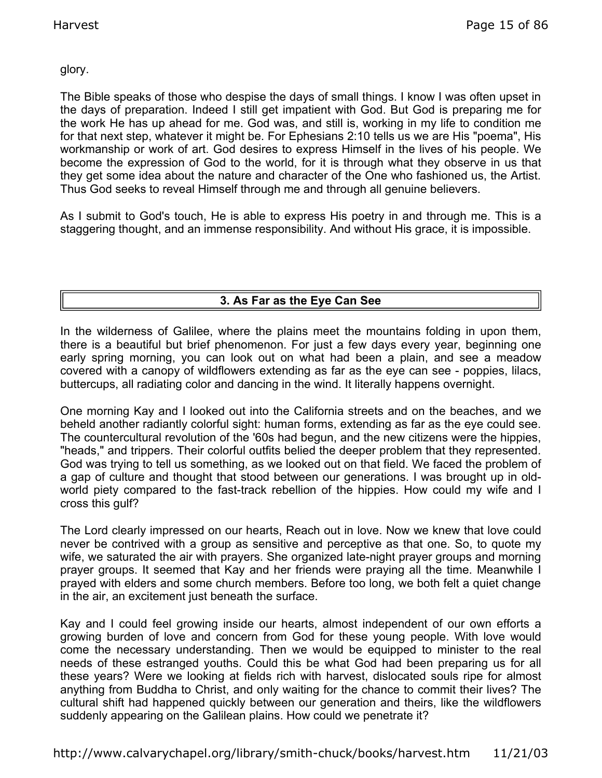glory.

The Bible speaks of those who despise the days of small things. I know I was often upset in the days of preparation. Indeed I still get impatient with God. But God is preparing me for the work He has up ahead for me. God was, and still is, working in my life to condition me for that next step, whatever it might be. For Ephesians 2:10 tells us we are His "poema", His workmanship or work of art. God desires to express Himself in the lives of his people. We become the expression of God to the world, for it is through what they observe in us that they get some idea about the nature and character of the One who fashioned us, the Artist. Thus God seeks to reveal Himself through me and through all genuine believers.

As I submit to God's touch, He is able to express His poetry in and through me. This is a staggering thought, and an immense responsibility. And without His grace, it is impossible.

## **3. As Far as the Eye Can See**

In the wilderness of Galilee, where the plains meet the mountains folding in upon them, there is a beautiful but brief phenomenon. For just a few days every year, beginning one early spring morning, you can look out on what had been a plain, and see a meadow covered with a canopy of wildflowers extending as far as the eye can see - poppies, lilacs, buttercups, all radiating color and dancing in the wind. It literally happens overnight.

One morning Kay and I looked out into the California streets and on the beaches, and we beheld another radiantly colorful sight: human forms, extending as far as the eye could see. The countercultural revolution of the '60s had begun, and the new citizens were the hippies, "heads," and trippers. Their colorful outfits belied the deeper problem that they represented. God was trying to tell us something, as we looked out on that field. We faced the problem of a gap of culture and thought that stood between our generations. I was brought up in oldworld piety compared to the fast-track rebellion of the hippies. How could my wife and I cross this gulf?

The Lord clearly impressed on our hearts, Reach out in love. Now we knew that love could never be contrived with a group as sensitive and perceptive as that one. So, to quote my wife, we saturated the air with prayers. She organized late-night prayer groups and morning prayer groups. It seemed that Kay and her friends were praying all the time. Meanwhile I prayed with elders and some church members. Before too long, we both felt a quiet change in the air, an excitement just beneath the surface.

Kay and I could feel growing inside our hearts, almost independent of our own efforts a growing burden of love and concern from God for these young people. With love would come the necessary understanding. Then we would be equipped to minister to the real needs of these estranged youths. Could this be what God had been preparing us for all these years? Were we looking at fields rich with harvest, dislocated souls ripe for almost anything from Buddha to Christ, and only waiting for the chance to commit their lives? The cultural shift had happened quickly between our generation and theirs, like the wildflowers suddenly appearing on the Galilean plains. How could we penetrate it?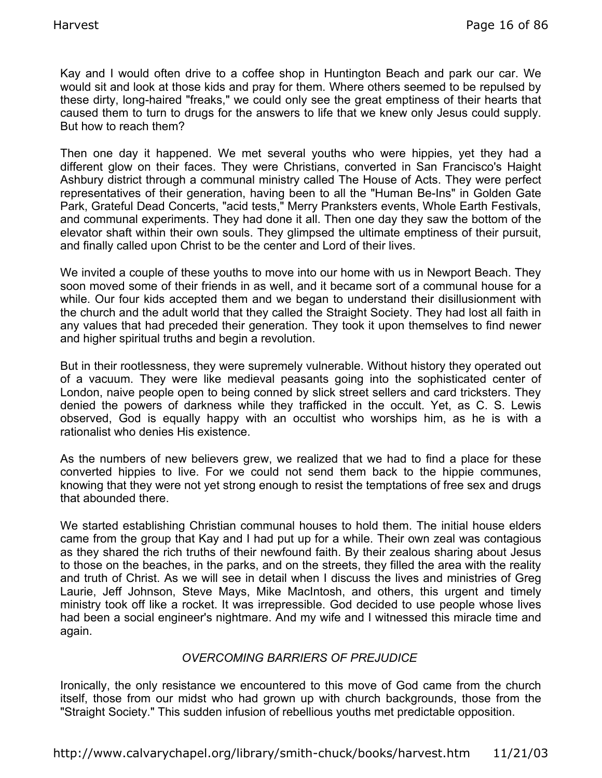Kay and I would often drive to a coffee shop in Huntington Beach and park our car. We would sit and look at those kids and pray for them. Where others seemed to be repulsed by these dirty, long-haired "freaks," we could only see the great emptiness of their hearts that caused them to turn to drugs for the answers to life that we knew only Jesus could supply. But how to reach them?

Then one day it happened. We met several youths who were hippies, yet they had a different glow on their faces. They were Christians, converted in San Francisco's Haight Ashbury district through a communal ministry called The House of Acts. They were perfect representatives of their generation, having been to all the "Human Be-Ins" in Golden Gate Park, Grateful Dead Concerts, "acid tests," Merry Pranksters events, Whole Earth Festivals, and communal experiments. They had done it all. Then one day they saw the bottom of the elevator shaft within their own souls. They glimpsed the ultimate emptiness of their pursuit, and finally called upon Christ to be the center and Lord of their lives.

We invited a couple of these youths to move into our home with us in Newport Beach. They soon moved some of their friends in as well, and it became sort of a communal house for a while. Our four kids accepted them and we began to understand their disillusionment with the church and the adult world that they called the Straight Society. They had lost all faith in any values that had preceded their generation. They took it upon themselves to find newer and higher spiritual truths and begin a revolution.

But in their rootlessness, they were supremely vulnerable. Without history they operated out of a vacuum. They were like medieval peasants going into the sophisticated center of London, naive people open to being conned by slick street sellers and card tricksters. They denied the powers of darkness while they trafficked in the occult. Yet, as C. S. Lewis observed, God is equally happy with an occultist who worships him, as he is with a rationalist who denies His existence.

As the numbers of new believers grew, we realized that we had to find a place for these converted hippies to live. For we could not send them back to the hippie communes, knowing that they were not yet strong enough to resist the temptations of free sex and drugs that abounded there.

We started establishing Christian communal houses to hold them. The initial house elders came from the group that Kay and I had put up for a while. Their own zeal was contagious as they shared the rich truths of their newfound faith. By their zealous sharing about Jesus to those on the beaches, in the parks, and on the streets, they filled the area with the reality and truth of Christ. As we will see in detail when I discuss the lives and ministries of Greg Laurie, Jeff Johnson, Steve Mays, Mike MacIntosh, and others, this urgent and timely ministry took off like a rocket. It was irrepressible. God decided to use people whose lives had been a social engineer's nightmare. And my wife and I witnessed this miracle time and again.

## *OVERCOMING BARRIERS OF PREJUDICE*

Ironically, the only resistance we encountered to this move of God came from the church itself, those from our midst who had grown up with church backgrounds, those from the "Straight Society." This sudden infusion of rebellious youths met predictable opposition.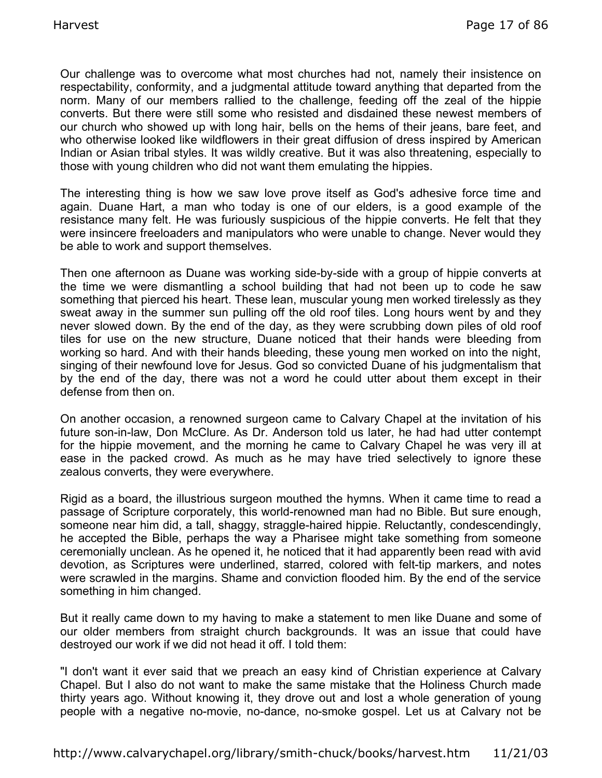Our challenge was to overcome what most churches had not, namely their insistence on respectability, conformity, and a judgmental attitude toward anything that departed from the norm. Many of our members rallied to the challenge, feeding off the zeal of the hippie converts. But there were still some who resisted and disdained these newest members of our church who showed up with long hair, bells on the hems of their jeans, bare feet, and who otherwise looked like wildflowers in their great diffusion of dress inspired by American Indian or Asian tribal styles. It was wildly creative. But it was also threatening, especially to those with young children who did not want them emulating the hippies.

The interesting thing is how we saw love prove itself as God's adhesive force time and again. Duane Hart, a man who today is one of our elders, is a good example of the resistance many felt. He was furiously suspicious of the hippie converts. He felt that they were insincere freeloaders and manipulators who were unable to change. Never would they be able to work and support themselves.

Then one afternoon as Duane was working side-by-side with a group of hippie converts at the time we were dismantling a school building that had not been up to code he saw something that pierced his heart. These lean, muscular young men worked tirelessly as they sweat away in the summer sun pulling off the old roof tiles. Long hours went by and they never slowed down. By the end of the day, as they were scrubbing down piles of old roof tiles for use on the new structure, Duane noticed that their hands were bleeding from working so hard. And with their hands bleeding, these young men worked on into the night, singing of their newfound love for Jesus. God so convicted Duane of his judgmentalism that by the end of the day, there was not a word he could utter about them except in their defense from then on.

On another occasion, a renowned surgeon came to Calvary Chapel at the invitation of his future son-in-law, Don McClure. As Dr. Anderson told us later, he had had utter contempt for the hippie movement, and the morning he came to Calvary Chapel he was very ill at ease in the packed crowd. As much as he may have tried selectively to ignore these zealous converts, they were everywhere.

Rigid as a board, the illustrious surgeon mouthed the hymns. When it came time to read a passage of Scripture corporately, this world-renowned man had no Bible. But sure enough, someone near him did, a tall, shaggy, straggle-haired hippie. Reluctantly, condescendingly, he accepted the Bible, perhaps the way a Pharisee might take something from someone ceremonially unclean. As he opened it, he noticed that it had apparently been read with avid devotion, as Scriptures were underlined, starred, colored with felt-tip markers, and notes were scrawled in the margins. Shame and conviction flooded him. By the end of the service something in him changed.

But it really came down to my having to make a statement to men like Duane and some of our older members from straight church backgrounds. It was an issue that could have destroyed our work if we did not head it off. I told them:

"I don't want it ever said that we preach an easy kind of Christian experience at Calvary Chapel. But I also do not want to make the same mistake that the Holiness Church made thirty years ago. Without knowing it, they drove out and lost a whole generation of young people with a negative no-movie, no-dance, no-smoke gospel. Let us at Calvary not be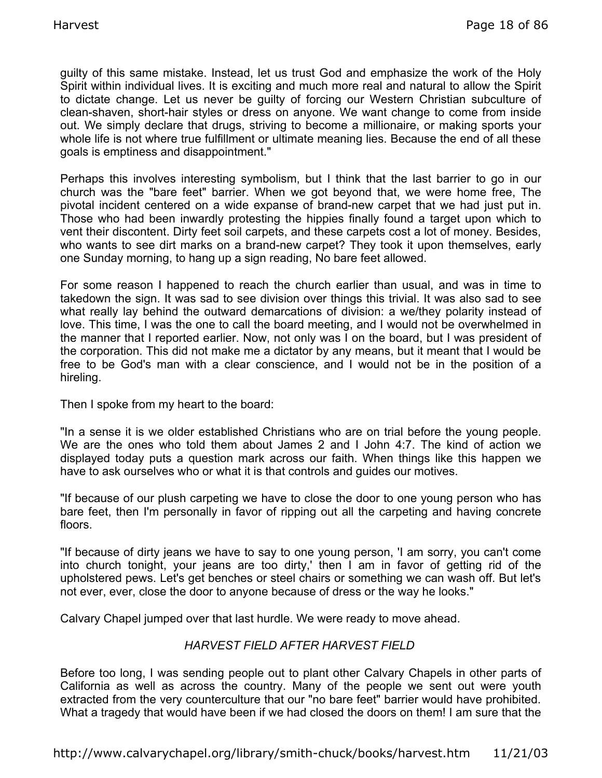guilty of this same mistake. Instead, let us trust God and emphasize the work of the Holy Spirit within individual lives. It is exciting and much more real and natural to allow the Spirit to dictate change. Let us never be guilty of forcing our Western Christian subculture of clean-shaven, short-hair styles or dress on anyone. We want change to come from inside out. We simply declare that drugs, striving to become a millionaire, or making sports your whole life is not where true fulfillment or ultimate meaning lies. Because the end of all these goals is emptiness and disappointment."

Perhaps this involves interesting symbolism, but I think that the last barrier to go in our church was the "bare feet" barrier. When we got beyond that, we were home free, The pivotal incident centered on a wide expanse of brand-new carpet that we had just put in. Those who had been inwardly protesting the hippies finally found a target upon which to vent their discontent. Dirty feet soil carpets, and these carpets cost a lot of money. Besides, who wants to see dirt marks on a brand-new carpet? They took it upon themselves, early one Sunday morning, to hang up a sign reading, No bare feet allowed.

For some reason I happened to reach the church earlier than usual, and was in time to takedown the sign. It was sad to see division over things this trivial. It was also sad to see what really lay behind the outward demarcations of division: a we/they polarity instead of love. This time, I was the one to call the board meeting, and I would not be overwhelmed in the manner that I reported earlier. Now, not only was I on the board, but I was president of the corporation. This did not make me a dictator by any means, but it meant that I would be free to be God's man with a clear conscience, and I would not be in the position of a hireling.

Then I spoke from my heart to the board:

"In a sense it is we older established Christians who are on trial before the young people. We are the ones who told them about James 2 and I John 4:7. The kind of action we displayed today puts a question mark across our faith. When things like this happen we have to ask ourselves who or what it is that controls and guides our motives.

"If because of our plush carpeting we have to close the door to one young person who has bare feet, then I'm personally in favor of ripping out all the carpeting and having concrete floors.

"If because of dirty jeans we have to say to one young person, 'I am sorry, you can't come into church tonight, your jeans are too dirty,' then I am in favor of getting rid of the upholstered pews. Let's get benches or steel chairs or something we can wash off. But let's not ever, ever, close the door to anyone because of dress or the way he looks."

Calvary Chapel jumped over that last hurdle. We were ready to move ahead.

#### *HARVEST FIELD AFTER HARVEST FIELD*

Before too long, I was sending people out to plant other Calvary Chapels in other parts of California as well as across the country. Many of the people we sent out were youth extracted from the very counterculture that our "no bare feet" barrier would have prohibited. What a tragedy that would have been if we had closed the doors on them! I am sure that the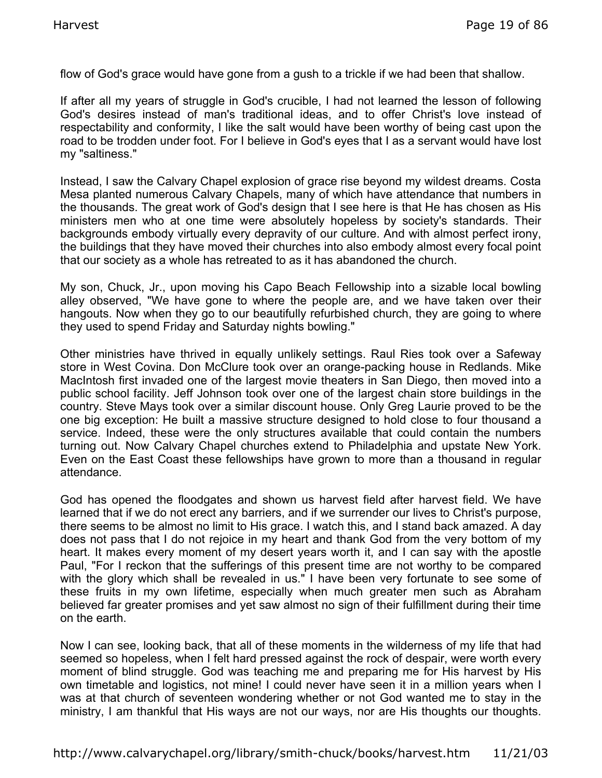flow of God's grace would have gone from a gush to a trickle if we had been that shallow.

If after all my years of struggle in God's crucible, I had not learned the lesson of following God's desires instead of man's traditional ideas, and to offer Christ's love instead of respectability and conformity, I like the salt would have been worthy of being cast upon the road to be trodden under foot. For I believe in God's eyes that I as a servant would have lost my "saltiness."

Instead, I saw the Calvary Chapel explosion of grace rise beyond my wildest dreams. Costa Mesa planted numerous Calvary Chapels, many of which have attendance that numbers in the thousands. The great work of God's design that I see here is that He has chosen as His ministers men who at one time were absolutely hopeless by society's standards. Their backgrounds embody virtually every depravity of our culture. And with almost perfect irony, the buildings that they have moved their churches into also embody almost every focal point that our society as a whole has retreated to as it has abandoned the church.

My son, Chuck, Jr., upon moving his Capo Beach Fellowship into a sizable local bowling alley observed, "We have gone to where the people are, and we have taken over their hangouts. Now when they go to our beautifully refurbished church, they are going to where they used to spend Friday and Saturday nights bowling."

Other ministries have thrived in equally unlikely settings. Raul Ries took over a Safeway store in West Covina. Don McClure took over an orange-packing house in Redlands. Mike MacIntosh first invaded one of the largest movie theaters in San Diego, then moved into a public school facility. Jeff Johnson took over one of the largest chain store buildings in the country. Steve Mays took over a similar discount house. Only Greg Laurie proved to be the one big exception: He built a massive structure designed to hold close to four thousand a service. Indeed, these were the only structures available that could contain the numbers turning out. Now Calvary Chapel churches extend to Philadelphia and upstate New York. Even on the East Coast these fellowships have grown to more than a thousand in regular attendance.

God has opened the floodgates and shown us harvest field after harvest field. We have learned that if we do not erect any barriers, and if we surrender our lives to Christ's purpose, there seems to be almost no limit to His grace. I watch this, and I stand back amazed. A day does not pass that I do not rejoice in my heart and thank God from the very bottom of my heart. It makes every moment of my desert years worth it, and I can say with the apostle Paul, "For I reckon that the sufferings of this present time are not worthy to be compared with the glory which shall be revealed in us." I have been very fortunate to see some of these fruits in my own lifetime, especially when much greater men such as Abraham believed far greater promises and yet saw almost no sign of their fulfillment during their time on the earth.

Now I can see, looking back, that all of these moments in the wilderness of my life that had seemed so hopeless, when I felt hard pressed against the rock of despair, were worth every moment of blind struggle. God was teaching me and preparing me for His harvest by His own timetable and logistics, not mine! I could never have seen it in a million years when I was at that church of seventeen wondering whether or not God wanted me to stay in the ministry, I am thankful that His ways are not our ways, nor are His thoughts our thoughts.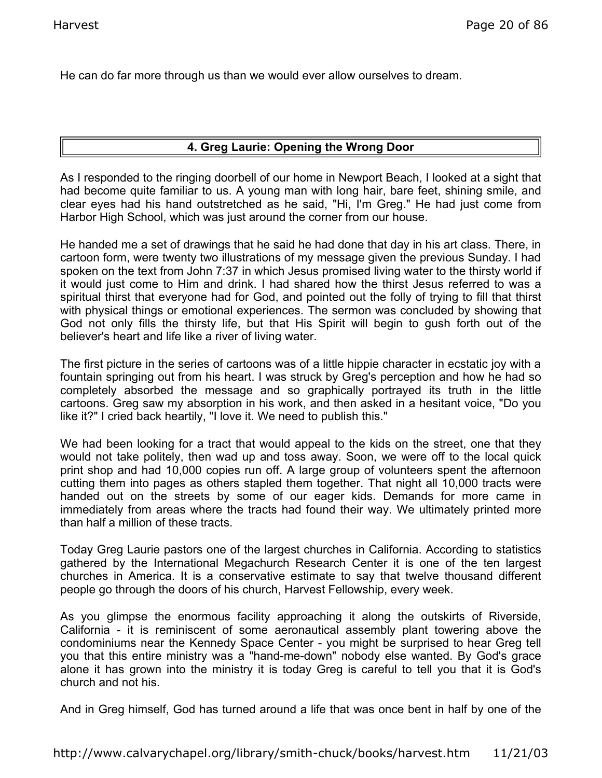He can do far more through us than we would ever allow ourselves to dream.

## **4. Greg Laurie: Opening the Wrong Door**

As I responded to the ringing doorbell of our home in Newport Beach, I looked at a sight that had become quite familiar to us. A young man with long hair, bare feet, shining smile, and clear eyes had his hand outstretched as he said, "Hi, I'm Greg." He had just come from Harbor High School, which was just around the corner from our house.

He handed me a set of drawings that he said he had done that day in his art class. There, in cartoon form, were twenty two illustrations of my message given the previous Sunday. I had spoken on the text from John 7:37 in which Jesus promised living water to the thirsty world if it would just come to Him and drink. I had shared how the thirst Jesus referred to was a spiritual thirst that everyone had for God, and pointed out the folly of trying to fill that thirst with physical things or emotional experiences. The sermon was concluded by showing that God not only fills the thirsty life, but that His Spirit will begin to gush forth out of the believer's heart and life like a river of living water.

The first picture in the series of cartoons was of a little hippie character in ecstatic joy with a fountain springing out from his heart. I was struck by Greg's perception and how he had so completely absorbed the message and so graphically portrayed its truth in the little cartoons. Greg saw my absorption in his work, and then asked in a hesitant voice, "Do you like it?" I cried back heartily, "I love it. We need to publish this."

We had been looking for a tract that would appeal to the kids on the street, one that they would not take politely, then wad up and toss away. Soon, we were off to the local quick print shop and had 10,000 copies run off. A large group of volunteers spent the afternoon cutting them into pages as others stapled them together. That night all 10,000 tracts were handed out on the streets by some of our eager kids. Demands for more came in immediately from areas where the tracts had found their way. We ultimately printed more than half a million of these tracts.

Today Greg Laurie pastors one of the largest churches in California. According to statistics gathered by the International Megachurch Research Center it is one of the ten largest churches in America. It is a conservative estimate to say that twelve thousand different people go through the doors of his church, Harvest Fellowship, every week.

As you glimpse the enormous facility approaching it along the outskirts of Riverside, California - it is reminiscent of some aeronautical assembly plant towering above the condominiums near the Kennedy Space Center - you might be surprised to hear Greg tell you that this entire ministry was a "hand-me-down" nobody else wanted. By God's grace alone it has grown into the ministry it is today Greg is careful to tell you that it is God's church and not his.

And in Greg himself, God has turned around a life that was once bent in half by one of the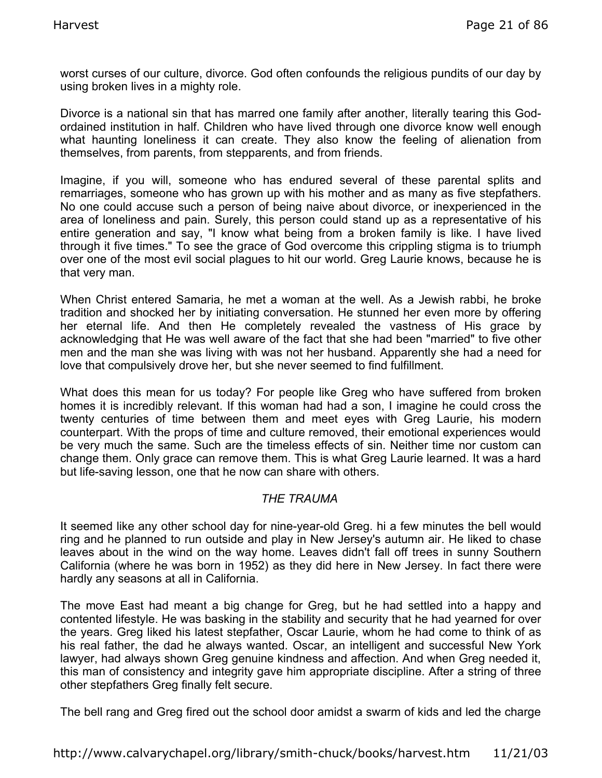worst curses of our culture, divorce. God often confounds the religious pundits of our day by using broken lives in a mighty role.

Divorce is a national sin that has marred one family after another, literally tearing this Godordained institution in half. Children who have lived through one divorce know well enough what haunting loneliness it can create. They also know the feeling of alienation from themselves, from parents, from stepparents, and from friends.

Imagine, if you will, someone who has endured several of these parental splits and remarriages, someone who has grown up with his mother and as many as five stepfathers. No one could accuse such a person of being naive about divorce, or inexperienced in the area of loneliness and pain. Surely, this person could stand up as a representative of his entire generation and say, "I know what being from a broken family is like. I have lived through it five times." To see the grace of God overcome this crippling stigma is to triumph over one of the most evil social plagues to hit our world. Greg Laurie knows, because he is that very man.

When Christ entered Samaria, he met a woman at the well. As a Jewish rabbi, he broke tradition and shocked her by initiating conversation. He stunned her even more by offering her eternal life. And then He completely revealed the vastness of His grace by acknowledging that He was well aware of the fact that she had been "married" to five other men and the man she was living with was not her husband. Apparently she had a need for love that compulsively drove her, but she never seemed to find fulfillment.

What does this mean for us today? For people like Greg who have suffered from broken homes it is incredibly relevant. If this woman had had a son, I imagine he could cross the twenty centuries of time between them and meet eyes with Greg Laurie, his modern counterpart. With the props of time and culture removed, their emotional experiences would be very much the same. Such are the timeless effects of sin. Neither time nor custom can change them. Only grace can remove them. This is what Greg Laurie learned. It was a hard but life-saving lesson, one that he now can share with others.

## *THE TRAUMA*

It seemed like any other school day for nine-year-old Greg. hi a few minutes the bell would ring and he planned to run outside and play in New Jersey's autumn air. He liked to chase leaves about in the wind on the way home. Leaves didn't fall off trees in sunny Southern California (where he was born in 1952) as they did here in New Jersey. In fact there were hardly any seasons at all in California.

The move East had meant a big change for Greg, but he had settled into a happy and contented lifestyle. He was basking in the stability and security that he had yearned for over the years. Greg liked his latest stepfather, Oscar Laurie, whom he had come to think of as his real father, the dad he always wanted. Oscar, an intelligent and successful New York lawyer, had always shown Greg genuine kindness and affection. And when Greg needed it, this man of consistency and integrity gave him appropriate discipline. After a string of three other stepfathers Greg finally felt secure.

The bell rang and Greg fired out the school door amidst a swarm of kids and led the charge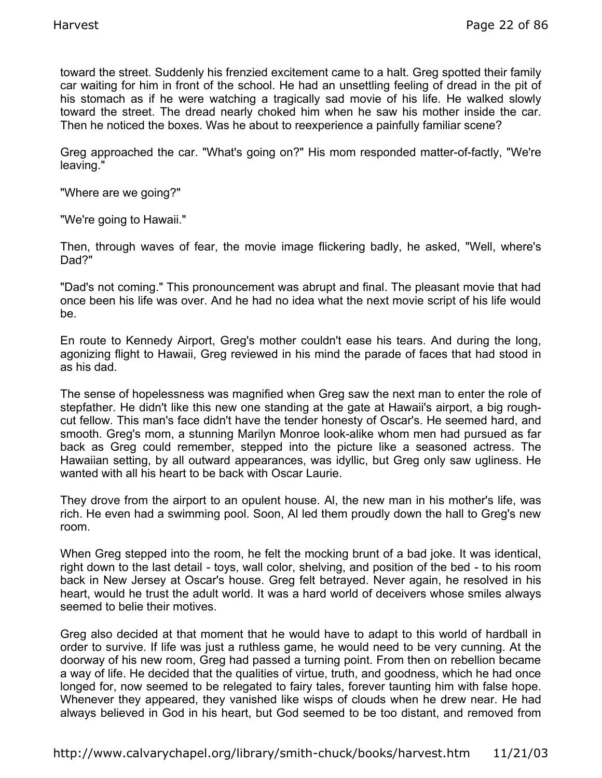toward the street. Suddenly his frenzied excitement came to a halt. Greg spotted their family car waiting for him in front of the school. He had an unsettling feeling of dread in the pit of his stomach as if he were watching a tragically sad movie of his life. He walked slowly toward the street. The dread nearly choked him when he saw his mother inside the car. Then he noticed the boxes. Was he about to reexperience a painfully familiar scene?

Greg approached the car. "What's going on?" His mom responded matter-of-factly, "We're leaving."

"Where are we going?"

"We're going to Hawaii."

Then, through waves of fear, the movie image flickering badly, he asked, "Well, where's Dad?"

"Dad's not coming." This pronouncement was abrupt and final. The pleasant movie that had once been his life was over. And he had no idea what the next movie script of his life would be.

En route to Kennedy Airport, Greg's mother couldn't ease his tears. And during the long, agonizing flight to Hawaii, Greg reviewed in his mind the parade of faces that had stood in as his dad.

The sense of hopelessness was magnified when Greg saw the next man to enter the role of stepfather. He didn't like this new one standing at the gate at Hawaii's airport, a big roughcut fellow. This man's face didn't have the tender honesty of Oscar's. He seemed hard, and smooth. Greg's mom, a stunning Marilyn Monroe look-alike whom men had pursued as far back as Greg could remember, stepped into the picture like a seasoned actress. The Hawaiian setting, by all outward appearances, was idyllic, but Greg only saw ugliness. He wanted with all his heart to be back with Oscar Laurie.

They drove from the airport to an opulent house. Al, the new man in his mother's life, was rich. He even had a swimming pool. Soon, Al led them proudly down the hall to Greg's new room.

When Greg stepped into the room, he felt the mocking brunt of a bad joke. It was identical, right down to the last detail - toys, wall color, shelving, and position of the bed - to his room back in New Jersey at Oscar's house. Greg felt betrayed. Never again, he resolved in his heart, would he trust the adult world. It was a hard world of deceivers whose smiles always seemed to belie their motives.

Greg also decided at that moment that he would have to adapt to this world of hardball in order to survive. If life was just a ruthless game, he would need to be very cunning. At the doorway of his new room, Greg had passed a turning point. From then on rebellion became a way of life. He decided that the qualities of virtue, truth, and goodness, which he had once longed for, now seemed to be relegated to fairy tales, forever taunting him with false hope. Whenever they appeared, they vanished like wisps of clouds when he drew near. He had always believed in God in his heart, but God seemed to be too distant, and removed from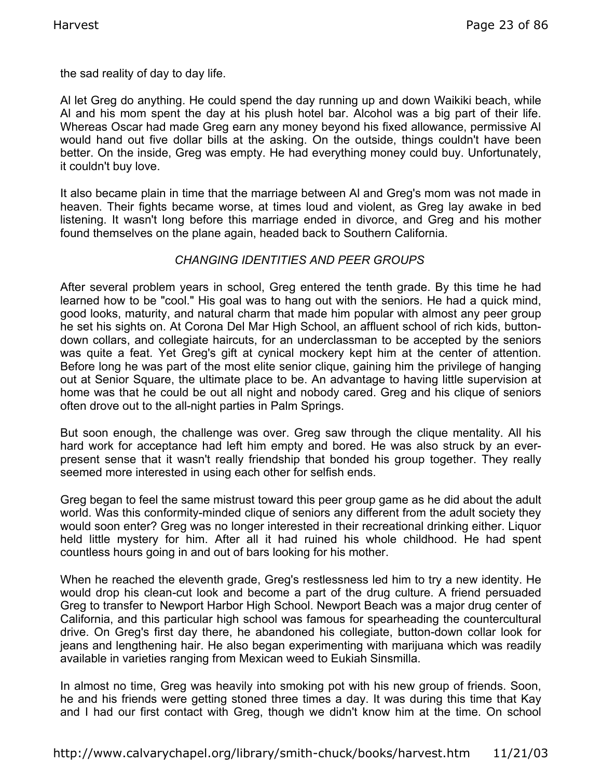the sad reality of day to day life.

Al let Greg do anything. He could spend the day running up and down Waikiki beach, while Al and his mom spent the day at his plush hotel bar. Alcohol was a big part of their life. Whereas Oscar had made Greg earn any money beyond his fixed allowance, permissive Al would hand out five dollar bills at the asking. On the outside, things couldn't have been better. On the inside, Greg was empty. He had everything money could buy. Unfortunately, it couldn't buy love.

It also became plain in time that the marriage between Al and Greg's mom was not made in heaven. Their fights became worse, at times loud and violent, as Greg lay awake in bed listening. It wasn't long before this marriage ended in divorce, and Greg and his mother found themselves on the plane again, headed back to Southern California.

#### *CHANGING IDENTITIES AND PEER GROUPS*

After several problem years in school, Greg entered the tenth grade. By this time he had learned how to be "cool." His goal was to hang out with the seniors. He had a quick mind, good looks, maturity, and natural charm that made him popular with almost any peer group he set his sights on. At Corona Del Mar High School, an affluent school of rich kids, buttondown collars, and collegiate haircuts, for an underclassman to be accepted by the seniors was quite a feat. Yet Greg's gift at cynical mockery kept him at the center of attention. Before long he was part of the most elite senior clique, gaining him the privilege of hanging out at Senior Square, the ultimate place to be. An advantage to having little supervision at home was that he could be out all night and nobody cared. Greg and his clique of seniors often drove out to the all-night parties in Palm Springs.

But soon enough, the challenge was over. Greg saw through the clique mentality. All his hard work for acceptance had left him empty and bored. He was also struck by an everpresent sense that it wasn't really friendship that bonded his group together. They really seemed more interested in using each other for selfish ends.

Greg began to feel the same mistrust toward this peer group game as he did about the adult world. Was this conformity-minded clique of seniors any different from the adult society they would soon enter? Greg was no longer interested in their recreational drinking either. Liquor held little mystery for him. After all it had ruined his whole childhood. He had spent countless hours going in and out of bars looking for his mother.

When he reached the eleventh grade, Greg's restlessness led him to try a new identity. He would drop his clean-cut look and become a part of the drug culture. A friend persuaded Greg to transfer to Newport Harbor High School. Newport Beach was a major drug center of California, and this particular high school was famous for spearheading the countercultural drive. On Greg's first day there, he abandoned his collegiate, button-down collar look for jeans and lengthening hair. He also began experimenting with marijuana which was readily available in varieties ranging from Mexican weed to Eukiah Sinsmilla.

In almost no time, Greg was heavily into smoking pot with his new group of friends. Soon, he and his friends were getting stoned three times a day. It was during this time that Kay and I had our first contact with Greg, though we didn't know him at the time. On school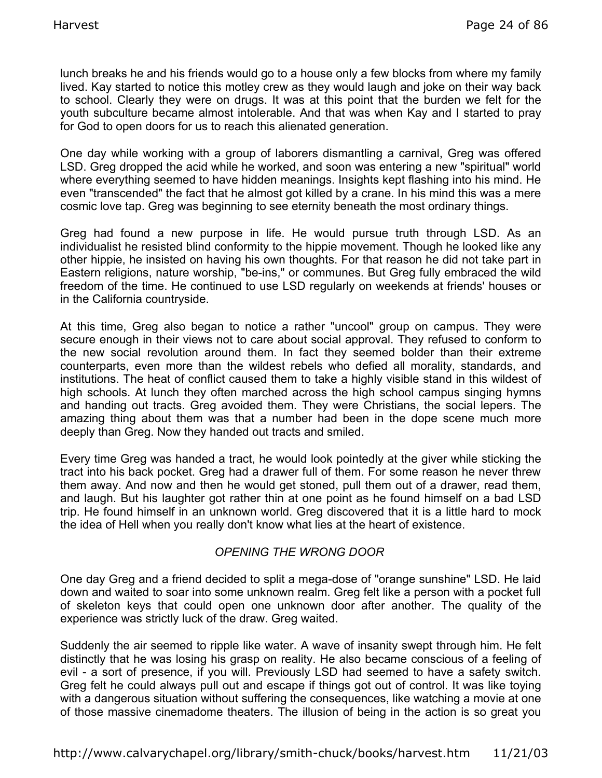lunch breaks he and his friends would go to a house only a few blocks from where my family lived. Kay started to notice this motley crew as they would laugh and joke on their way back to school. Clearly they were on drugs. It was at this point that the burden we felt for the youth subculture became almost intolerable. And that was when Kay and I started to pray for God to open doors for us to reach this alienated generation.

One day while working with a group of laborers dismantling a carnival, Greg was offered LSD. Greg dropped the acid while he worked, and soon was entering a new "spiritual" world where everything seemed to have hidden meanings. Insights kept flashing into his mind. He even "transcended" the fact that he almost got killed by a crane. In his mind this was a mere cosmic love tap. Greg was beginning to see eternity beneath the most ordinary things.

Greg had found a new purpose in life. He would pursue truth through LSD. As an individualist he resisted blind conformity to the hippie movement. Though he looked like any other hippie, he insisted on having his own thoughts. For that reason he did not take part in Eastern religions, nature worship, "be-ins," or communes. But Greg fully embraced the wild freedom of the time. He continued to use LSD regularly on weekends at friends' houses or in the California countryside.

At this time, Greg also began to notice a rather "uncool" group on campus. They were secure enough in their views not to care about social approval. They refused to conform to the new social revolution around them. In fact they seemed bolder than their extreme counterparts, even more than the wildest rebels who defied all morality, standards, and institutions. The heat of conflict caused them to take a highly visible stand in this wildest of high schools. At lunch they often marched across the high school campus singing hymns and handing out tracts. Greg avoided them. They were Christians, the social lepers. The amazing thing about them was that a number had been in the dope scene much more deeply than Greg. Now they handed out tracts and smiled.

Every time Greg was handed a tract, he would look pointedly at the giver while sticking the tract into his back pocket. Greg had a drawer full of them. For some reason he never threw them away. And now and then he would get stoned, pull them out of a drawer, read them, and laugh. But his laughter got rather thin at one point as he found himself on a bad LSD trip. He found himself in an unknown world. Greg discovered that it is a little hard to mock the idea of Hell when you really don't know what lies at the heart of existence.

#### *OPENING THE WRONG DOOR*

One day Greg and a friend decided to split a mega-dose of "orange sunshine" LSD. He laid down and waited to soar into some unknown realm. Greg felt like a person with a pocket full of skeleton keys that could open one unknown door after another. The quality of the experience was strictly luck of the draw. Greg waited.

Suddenly the air seemed to ripple like water. A wave of insanity swept through him. He felt distinctly that he was losing his grasp on reality. He also became conscious of a feeling of evil - a sort of presence, if you will. Previously LSD had seemed to have a safety switch. Greg felt he could always pull out and escape if things got out of control. It was like toying with a dangerous situation without suffering the consequences, like watching a movie at one of those massive cinemadome theaters. The illusion of being in the action is so great you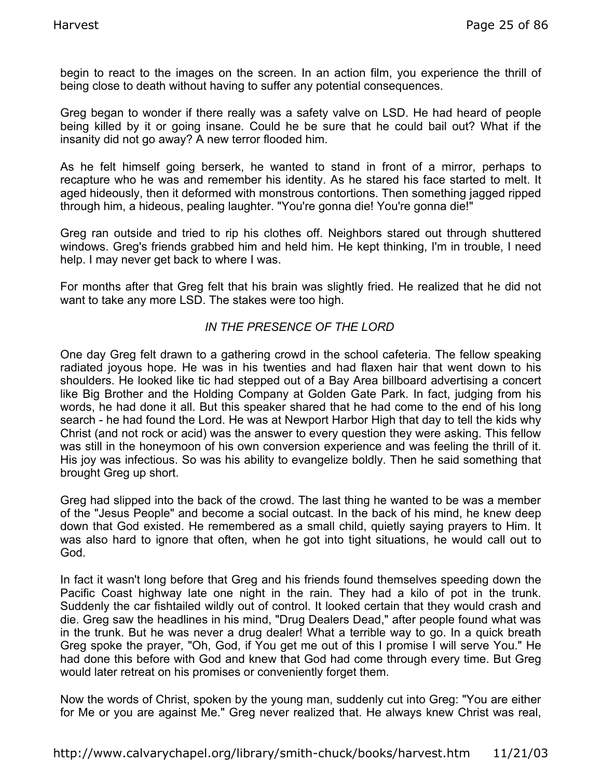begin to react to the images on the screen. In an action film, you experience the thrill of being close to death without having to suffer any potential consequences.

Greg began to wonder if there really was a safety valve on LSD. He had heard of people being killed by it or going insane. Could he be sure that he could bail out? What if the insanity did not go away? A new terror flooded him.

As he felt himself going berserk, he wanted to stand in front of a mirror, perhaps to recapture who he was and remember his identity. As he stared his face started to melt. It aged hideously, then it deformed with monstrous contortions. Then something jagged ripped through him, a hideous, pealing laughter. "You're gonna die! You're gonna die!"

Greg ran outside and tried to rip his clothes off. Neighbors stared out through shuttered windows. Greg's friends grabbed him and held him. He kept thinking, I'm in trouble, I need help. I may never get back to where I was.

For months after that Greg felt that his brain was slightly fried. He realized that he did not want to take any more LSD. The stakes were too high.

#### *IN THE PRESENCE OF THE LORD*

One day Greg felt drawn to a gathering crowd in the school cafeteria. The fellow speaking radiated joyous hope. He was in his twenties and had flaxen hair that went down to his shoulders. He looked like tic had stepped out of a Bay Area billboard advertising a concert like Big Brother and the Holding Company at Golden Gate Park. In fact, judging from his words, he had done it all. But this speaker shared that he had come to the end of his long search - he had found the Lord. He was at Newport Harbor High that day to tell the kids why Christ (and not rock or acid) was the answer to every question they were asking. This fellow was still in the honeymoon of his own conversion experience and was feeling the thrill of it. His joy was infectious. So was his ability to evangelize boldly. Then he said something that brought Greg up short.

Greg had slipped into the back of the crowd. The last thing he wanted to be was a member of the "Jesus People" and become a social outcast. In the back of his mind, he knew deep down that God existed. He remembered as a small child, quietly saying prayers to Him. It was also hard to ignore that often, when he got into tight situations, he would call out to God.

In fact it wasn't long before that Greg and his friends found themselves speeding down the Pacific Coast highway late one night in the rain. They had a kilo of pot in the trunk. Suddenly the car fishtailed wildly out of control. It looked certain that they would crash and die. Greg saw the headlines in his mind, "Drug Dealers Dead," after people found what was in the trunk. But he was never a drug dealer! What a terrible way to go. In a quick breath Greg spoke the prayer, "Oh, God, if You get me out of this I promise I will serve You." He had done this before with God and knew that God had come through every time. But Greg would later retreat on his promises or conveniently forget them.

Now the words of Christ, spoken by the young man, suddenly cut into Greg: "You are either for Me or you are against Me." Greg never realized that. He always knew Christ was real,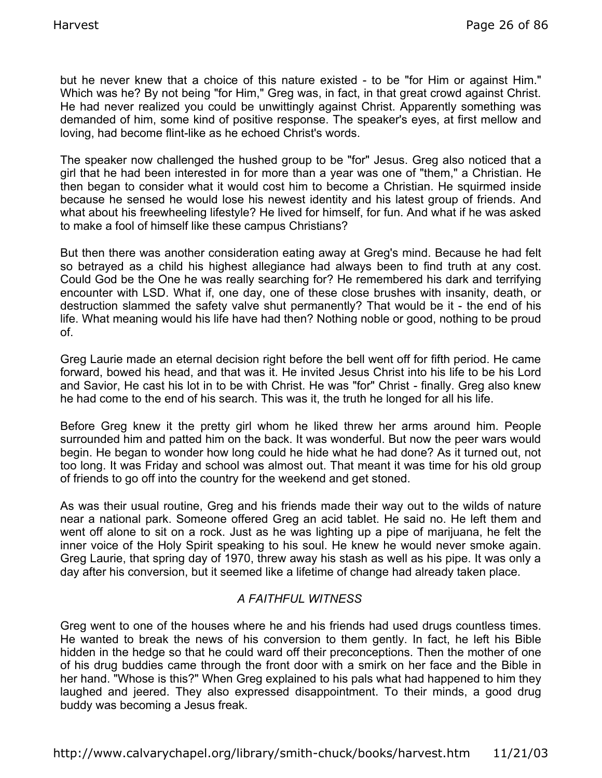but he never knew that a choice of this nature existed - to be "for Him or against Him." Which was he? By not being "for Him," Greg was, in fact, in that great crowd against Christ. He had never realized you could be unwittingly against Christ. Apparently something was demanded of him, some kind of positive response. The speaker's eyes, at first mellow and loving, had become flint-like as he echoed Christ's words.

The speaker now challenged the hushed group to be "for" Jesus. Greg also noticed that a girl that he had been interested in for more than a year was one of "them," a Christian. He then began to consider what it would cost him to become a Christian. He squirmed inside because he sensed he would lose his newest identity and his latest group of friends. And what about his freewheeling lifestyle? He lived for himself, for fun. And what if he was asked to make a fool of himself like these campus Christians?

But then there was another consideration eating away at Greg's mind. Because he had felt so betrayed as a child his highest allegiance had always been to find truth at any cost. Could God be the One he was really searching for? He remembered his dark and terrifying encounter with LSD. What if, one day, one of these close brushes with insanity, death, or destruction slammed the safety valve shut permanently? That would be it - the end of his life. What meaning would his life have had then? Nothing noble or good, nothing to be proud of.

Greg Laurie made an eternal decision right before the bell went off for fifth period. He came forward, bowed his head, and that was it. He invited Jesus Christ into his life to be his Lord and Savior, He cast his lot in to be with Christ. He was "for" Christ - finally. Greg also knew he had come to the end of his search. This was it, the truth he longed for all his life.

Before Greg knew it the pretty girl whom he liked threw her arms around him. People surrounded him and patted him on the back. It was wonderful. But now the peer wars would begin. He began to wonder how long could he hide what he had done? As it turned out, not too long. It was Friday and school was almost out. That meant it was time for his old group of friends to go off into the country for the weekend and get stoned.

As was their usual routine, Greg and his friends made their way out to the wilds of nature near a national park. Someone offered Greg an acid tablet. He said no. He left them and went off alone to sit on a rock. Just as he was lighting up a pipe of marijuana, he felt the inner voice of the Holy Spirit speaking to his soul. He knew he would never smoke again. Greg Laurie, that spring day of 1970, threw away his stash as well as his pipe. It was only a day after his conversion, but it seemed like a lifetime of change had already taken place.

#### *A FAITHFUL WITNESS*

Greg went to one of the houses where he and his friends had used drugs countless times. He wanted to break the news of his conversion to them gently. In fact, he left his Bible hidden in the hedge so that he could ward off their preconceptions. Then the mother of one of his drug buddies came through the front door with a smirk on her face and the Bible in her hand. "Whose is this?" When Greg explained to his pals what had happened to him they laughed and jeered. They also expressed disappointment. To their minds, a good drug buddy was becoming a Jesus freak.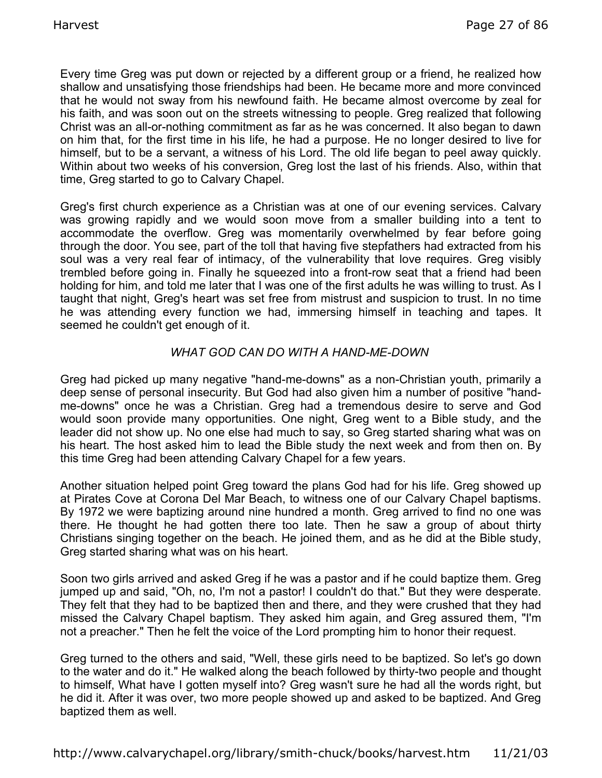Every time Greg was put down or rejected by a different group or a friend, he realized how shallow and unsatisfying those friendships had been. He became more and more convinced that he would not sway from his newfound faith. He became almost overcome by zeal for his faith, and was soon out on the streets witnessing to people. Greg realized that following Christ was an all-or-nothing commitment as far as he was concerned. It also began to dawn on him that, for the first time in his life, he had a purpose. He no longer desired to live for himself, but to be a servant, a witness of his Lord. The old life began to peel away quickly. Within about two weeks of his conversion, Greg lost the last of his friends. Also, within that time, Greg started to go to Calvary Chapel.

Greg's first church experience as a Christian was at one of our evening services. Calvary was growing rapidly and we would soon move from a smaller building into a tent to accommodate the overflow. Greg was momentarily overwhelmed by fear before going through the door. You see, part of the toll that having five stepfathers had extracted from his soul was a very real fear of intimacy, of the vulnerability that love requires. Greg visibly trembled before going in. Finally he squeezed into a front-row seat that a friend had been holding for him, and told me later that I was one of the first adults he was willing to trust. As I taught that night, Greg's heart was set free from mistrust and suspicion to trust. In no time he was attending every function we had, immersing himself in teaching and tapes. It seemed he couldn't get enough of it.

## *WHAT GOD CAN DO WITH A HAND-ME-DOWN*

Greg had picked up many negative "hand-me-downs" as a non-Christian youth, primarily a deep sense of personal insecurity. But God had also given him a number of positive "handme-downs" once he was a Christian. Greg had a tremendous desire to serve and God would soon provide many opportunities. One night, Greg went to a Bible study, and the leader did not show up. No one else had much to say, so Greg started sharing what was on his heart. The host asked him to lead the Bible study the next week and from then on. By this time Greg had been attending Calvary Chapel for a few years.

Another situation helped point Greg toward the plans God had for his life. Greg showed up at Pirates Cove at Corona Del Mar Beach, to witness one of our Calvary Chapel baptisms. By 1972 we were baptizing around nine hundred a month. Greg arrived to find no one was there. He thought he had gotten there too late. Then he saw a group of about thirty Christians singing together on the beach. He joined them, and as he did at the Bible study, Greg started sharing what was on his heart.

Soon two girls arrived and asked Greg if he was a pastor and if he could baptize them. Greg jumped up and said, "Oh, no, I'm not a pastor! I couldn't do that." But they were desperate. They felt that they had to be baptized then and there, and they were crushed that they had missed the Calvary Chapel baptism. They asked him again, and Greg assured them, "I'm not a preacher." Then he felt the voice of the Lord prompting him to honor their request.

Greg turned to the others and said, "Well, these girls need to be baptized. So let's go down to the water and do it." He walked along the beach followed by thirty-two people and thought to himself, What have I gotten myself into? Greg wasn't sure he had all the words right, but he did it. After it was over, two more people showed up and asked to be baptized. And Greg baptized them as well.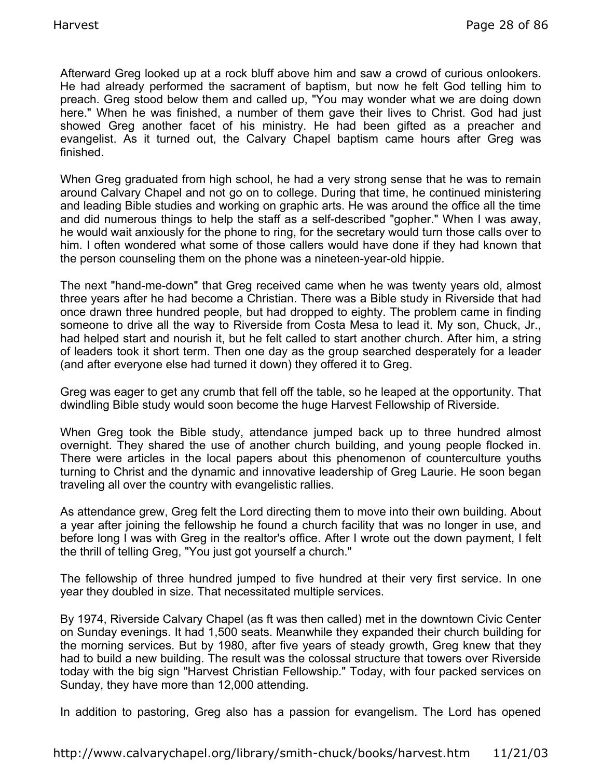Afterward Greg looked up at a rock bluff above him and saw a crowd of curious onlookers. He had already performed the sacrament of baptism, but now he felt God telling him to preach. Greg stood below them and called up, "You may wonder what we are doing down here." When he was finished, a number of them gave their lives to Christ. God had just showed Greg another facet of his ministry. He had been gifted as a preacher and evangelist. As it turned out, the Calvary Chapel baptism came hours after Greg was finished.

When Greg graduated from high school, he had a very strong sense that he was to remain around Calvary Chapel and not go on to college. During that time, he continued ministering and leading Bible studies and working on graphic arts. He was around the office all the time and did numerous things to help the staff as a self-described "gopher." When I was away, he would wait anxiously for the phone to ring, for the secretary would turn those calls over to him. I often wondered what some of those callers would have done if they had known that the person counseling them on the phone was a nineteen-year-old hippie.

The next "hand-me-down" that Greg received came when he was twenty years old, almost three years after he had become a Christian. There was a Bible study in Riverside that had once drawn three hundred people, but had dropped to eighty. The problem came in finding someone to drive all the way to Riverside from Costa Mesa to lead it. My son, Chuck, Jr., had helped start and nourish it, but he felt called to start another church. After him, a string of leaders took it short term. Then one day as the group searched desperately for a leader (and after everyone else had turned it down) they offered it to Greg.

Greg was eager to get any crumb that fell off the table, so he leaped at the opportunity. That dwindling Bible study would soon become the huge Harvest Fellowship of Riverside.

When Greg took the Bible study, attendance jumped back up to three hundred almost overnight. They shared the use of another church building, and young people flocked in. There were articles in the local papers about this phenomenon of counterculture youths turning to Christ and the dynamic and innovative leadership of Greg Laurie. He soon began traveling all over the country with evangelistic rallies.

As attendance grew, Greg felt the Lord directing them to move into their own building. About a year after joining the fellowship he found a church facility that was no longer in use, and before long I was with Greg in the realtor's office. After I wrote out the down payment, I felt the thrill of telling Greg, "You just got yourself a church."

The fellowship of three hundred jumped to five hundred at their very first service. In one year they doubled in size. That necessitated multiple services.

By 1974, Riverside Calvary Chapel (as ft was then called) met in the downtown Civic Center on Sunday evenings. It had 1,500 seats. Meanwhile they expanded their church building for the morning services. But by 1980, after five years of steady growth, Greg knew that they had to build a new building. The result was the colossal structure that towers over Riverside today with the big sign "Harvest Christian Fellowship." Today, with four packed services on Sunday, they have more than 12,000 attending.

In addition to pastoring, Greg also has a passion for evangelism. The Lord has opened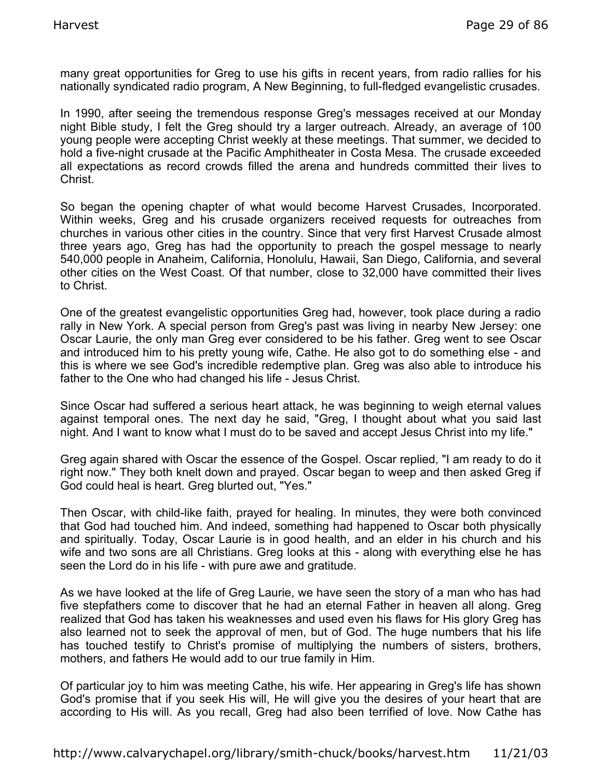many great opportunities for Greg to use his gifts in recent years, from radio rallies for his nationally syndicated radio program, A New Beginning, to full-fledged evangelistic crusades.

In 1990, after seeing the tremendous response Greg's messages received at our Monday night Bible study, I felt the Greg should try a larger outreach. Already, an average of 100 young people were accepting Christ weekly at these meetings. That summer, we decided to hold a five-night crusade at the Pacific Amphitheater in Costa Mesa. The crusade exceeded all expectations as record crowds filled the arena and hundreds committed their lives to Christ.

So began the opening chapter of what would become Harvest Crusades, Incorporated. Within weeks, Greg and his crusade organizers received requests for outreaches from churches in various other cities in the country. Since that very first Harvest Crusade almost three years ago, Greg has had the opportunity to preach the gospel message to nearly 540,000 people in Anaheim, California, Honolulu, Hawaii, San Diego, California, and several other cities on the West Coast. Of that number, close to 32,000 have committed their lives to Christ.

One of the greatest evangelistic opportunities Greg had, however, took place during a radio rally in New York. A special person from Greg's past was living in nearby New Jersey: one Oscar Laurie, the only man Greg ever considered to be his father. Greg went to see Oscar and introduced him to his pretty young wife, Cathe. He also got to do something else - and this is where we see God's incredible redemptive plan. Greg was also able to introduce his father to the One who had changed his life - Jesus Christ.

Since Oscar had suffered a serious heart attack, he was beginning to weigh eternal values against temporal ones. The next day he said, "Greg, I thought about what you said last night. And I want to know what I must do to be saved and accept Jesus Christ into my life."

Greg again shared with Oscar the essence of the Gospel. Oscar replied, "I am ready to do it right now." They both knelt down and prayed. Oscar began to weep and then asked Greg if God could heal is heart. Greg blurted out, "Yes."

Then Oscar, with child-like faith, prayed for healing. In minutes, they were both convinced that God had touched him. And indeed, something had happened to Oscar both physically and spiritually. Today, Oscar Laurie is in good health, and an elder in his church and his wife and two sons are all Christians. Greg looks at this - along with everything else he has seen the Lord do in his life - with pure awe and gratitude.

As we have looked at the life of Greg Laurie, we have seen the story of a man who has had five stepfathers come to discover that he had an eternal Father in heaven all along. Greg realized that God has taken his weaknesses and used even his flaws for His glory Greg has also learned not to seek the approval of men, but of God. The huge numbers that his life has touched testify to Christ's promise of multiplying the numbers of sisters, brothers, mothers, and fathers He would add to our true family in Him.

Of particular joy to him was meeting Cathe, his wife. Her appearing in Greg's life has shown God's promise that if you seek His will, He will give you the desires of your heart that are according to His will. As you recall, Greg had also been terrified of love. Now Cathe has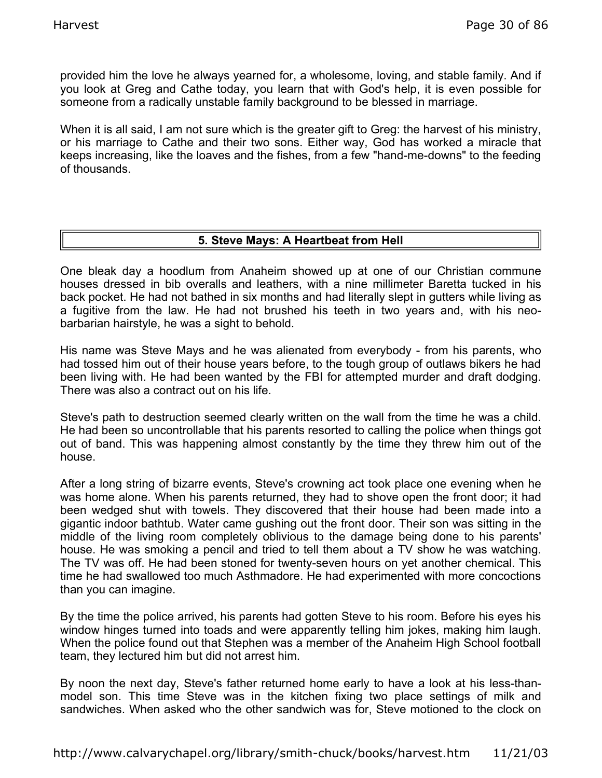provided him the love he always yearned for, a wholesome, loving, and stable family. And if you look at Greg and Cathe today, you learn that with God's help, it is even possible for someone from a radically unstable family background to be blessed in marriage.

When it is all said, I am not sure which is the greater gift to Greg: the harvest of his ministry, or his marriage to Cathe and their two sons. Either way, God has worked a miracle that keeps increasing, like the loaves and the fishes, from a few "hand-me-downs" to the feeding of thousands.

#### **5. Steve Mays: A Heartbeat from Hell**

One bleak day a hoodlum from Anaheim showed up at one of our Christian commune houses dressed in bib overalls and leathers, with a nine millimeter Baretta tucked in his back pocket. He had not bathed in six months and had literally slept in gutters while living as a fugitive from the law. He had not brushed his teeth in two years and, with his neobarbarian hairstyle, he was a sight to behold.

His name was Steve Mays and he was alienated from everybody - from his parents, who had tossed him out of their house years before, to the tough group of outlaws bikers he had been living with. He had been wanted by the FBI for attempted murder and draft dodging. There was also a contract out on his life.

Steve's path to destruction seemed clearly written on the wall from the time he was a child. He had been so uncontrollable that his parents resorted to calling the police when things got out of band. This was happening almost constantly by the time they threw him out of the house.

After a long string of bizarre events, Steve's crowning act took place one evening when he was home alone. When his parents returned, they had to shove open the front door; it had been wedged shut with towels. They discovered that their house had been made into a gigantic indoor bathtub. Water came gushing out the front door. Their son was sitting in the middle of the living room completely oblivious to the damage being done to his parents' house. He was smoking a pencil and tried to tell them about a TV show he was watching. The TV was off. He had been stoned for twenty-seven hours on yet another chemical. This time he had swallowed too much Asthmadore. He had experimented with more concoctions than you can imagine.

By the time the police arrived, his parents had gotten Steve to his room. Before his eyes his window hinges turned into toads and were apparently telling him jokes, making him laugh. When the police found out that Stephen was a member of the Anaheim High School football team, they lectured him but did not arrest him.

By noon the next day, Steve's father returned home early to have a look at his less-thanmodel son. This time Steve was in the kitchen fixing two place settings of milk and sandwiches. When asked who the other sandwich was for, Steve motioned to the clock on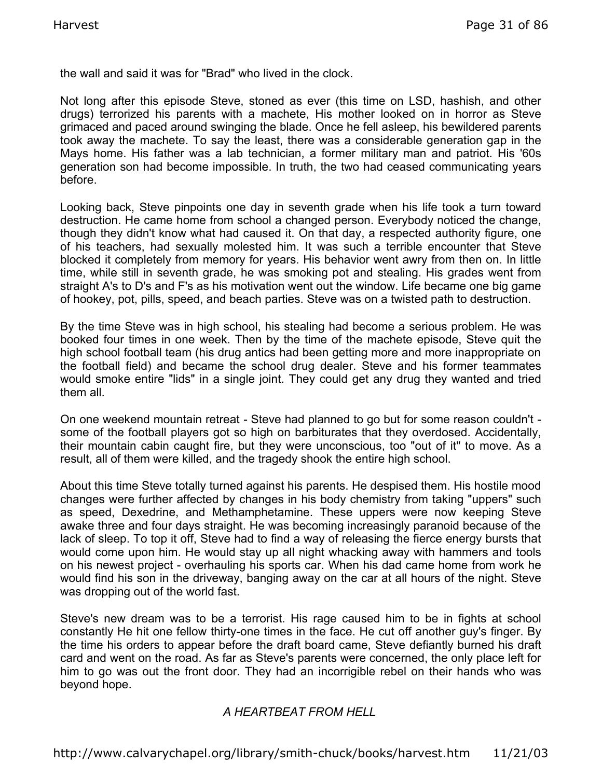the wall and said it was for "Brad" who lived in the clock.

Not long after this episode Steve, stoned as ever (this time on LSD, hashish, and other drugs) terrorized his parents with a machete, His mother looked on in horror as Steve grimaced and paced around swinging the blade. Once he fell asleep, his bewildered parents took away the machete. To say the least, there was a considerable generation gap in the Mays home. His father was a lab technician, a former military man and patriot. His '60s generation son had become impossible. In truth, the two had ceased communicating years before.

Looking back, Steve pinpoints one day in seventh grade when his life took a turn toward destruction. He came home from school a changed person. Everybody noticed the change, though they didn't know what had caused it. On that day, a respected authority figure, one of his teachers, had sexually molested him. It was such a terrible encounter that Steve blocked it completely from memory for years. His behavior went awry from then on. In little time, while still in seventh grade, he was smoking pot and stealing. His grades went from straight A's to D's and F's as his motivation went out the window. Life became one big game of hookey, pot, pills, speed, and beach parties. Steve was on a twisted path to destruction.

By the time Steve was in high school, his stealing had become a serious problem. He was booked four times in one week. Then by the time of the machete episode, Steve quit the high school football team (his drug antics had been getting more and more inappropriate on the football field) and became the school drug dealer. Steve and his former teammates would smoke entire "lids" in a single joint. They could get any drug they wanted and tried them all.

On one weekend mountain retreat - Steve had planned to go but for some reason couldn't some of the football players got so high on barbiturates that they overdosed. Accidentally, their mountain cabin caught fire, but they were unconscious, too "out of it" to move. As a result, all of them were killed, and the tragedy shook the entire high school.

About this time Steve totally turned against his parents. He despised them. His hostile mood changes were further affected by changes in his body chemistry from taking "uppers" such as speed, Dexedrine, and Methamphetamine. These uppers were now keeping Steve awake three and four days straight. He was becoming increasingly paranoid because of the lack of sleep. To top it off, Steve had to find a way of releasing the fierce energy bursts that would come upon him. He would stay up all night whacking away with hammers and tools on his newest project - overhauling his sports car. When his dad came home from work he would find his son in the driveway, banging away on the car at all hours of the night. Steve was dropping out of the world fast.

Steve's new dream was to be a terrorist. His rage caused him to be in fights at school constantly He hit one fellow thirty-one times in the face. He cut off another guy's finger. By the time his orders to appear before the draft board came, Steve defiantly burned his draft card and went on the road. As far as Steve's parents were concerned, the only place left for him to go was out the front door. They had an incorrigible rebel on their hands who was beyond hope.

#### *A HEARTBEAT FROM HELL*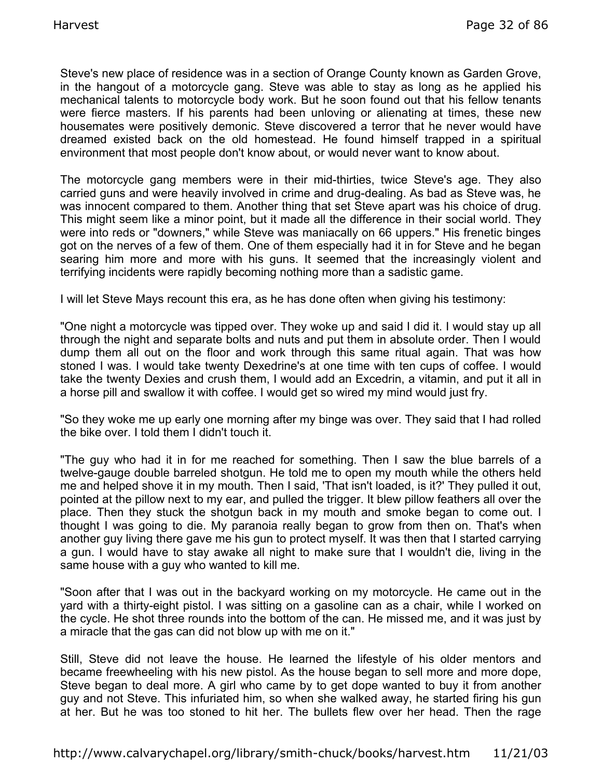Steve's new place of residence was in a section of Orange County known as Garden Grove, in the hangout of a motorcycle gang. Steve was able to stay as long as he applied his mechanical talents to motorcycle body work. But he soon found out that his fellow tenants were fierce masters. If his parents had been unloving or alienating at times, these new housemates were positively demonic. Steve discovered a terror that he never would have dreamed existed back on the old homestead. He found himself trapped in a spiritual environment that most people don't know about, or would never want to know about.

The motorcycle gang members were in their mid-thirties, twice Steve's age. They also carried guns and were heavily involved in crime and drug-dealing. As bad as Steve was, he was innocent compared to them. Another thing that set Steve apart was his choice of drug. This might seem like a minor point, but it made all the difference in their social world. They were into reds or "downers," while Steve was maniacally on 66 uppers." His frenetic binges got on the nerves of a few of them. One of them especially had it in for Steve and he began searing him more and more with his guns. It seemed that the increasingly violent and terrifying incidents were rapidly becoming nothing more than a sadistic game.

I will let Steve Mays recount this era, as he has done often when giving his testimony:

"One night a motorcycle was tipped over. They woke up and said I did it. I would stay up all through the night and separate bolts and nuts and put them in absolute order. Then I would dump them all out on the floor and work through this same ritual again. That was how stoned I was. I would take twenty Dexedrine's at one time with ten cups of coffee. I would take the twenty Dexies and crush them, I would add an Excedrin, a vitamin, and put it all in a horse pill and swallow it with coffee. I would get so wired my mind would just fry.

"So they woke me up early one morning after my binge was over. They said that I had rolled the bike over. I told them I didn't touch it.

"The guy who had it in for me reached for something. Then I saw the blue barrels of a twelve-gauge double barreled shotgun. He told me to open my mouth while the others held me and helped shove it in my mouth. Then I said, 'That isn't loaded, is it?' They pulled it out, pointed at the pillow next to my ear, and pulled the trigger. It blew pillow feathers all over the place. Then they stuck the shotgun back in my mouth and smoke began to come out. I thought I was going to die. My paranoia really began to grow from then on. That's when another guy living there gave me his gun to protect myself. It was then that I started carrying a gun. I would have to stay awake all night to make sure that I wouldn't die, living in the same house with a guy who wanted to kill me.

"Soon after that I was out in the backyard working on my motorcycle. He came out in the yard with a thirty-eight pistol. I was sitting on a gasoline can as a chair, while I worked on the cycle. He shot three rounds into the bottom of the can. He missed me, and it was just by a miracle that the gas can did not blow up with me on it."

Still, Steve did not leave the house. He learned the lifestyle of his older mentors and became freewheeling with his new pistol. As the house began to sell more and more dope, Steve began to deal more. A girl who came by to get dope wanted to buy it from another guy and not Steve. This infuriated him, so when she walked away, he started firing his gun at her. But he was too stoned to hit her. The bullets flew over her head. Then the rage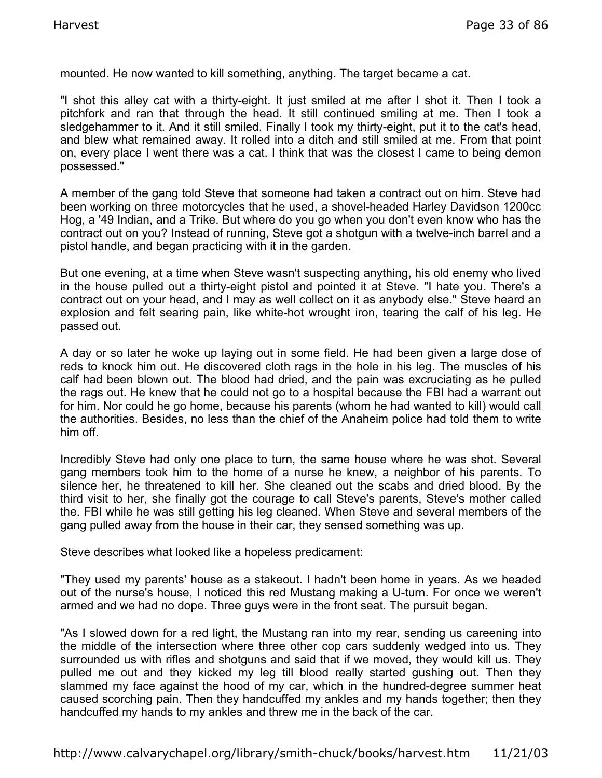mounted. He now wanted to kill something, anything. The target became a cat.

"I shot this alley cat with a thirty-eight. It just smiled at me after I shot it. Then I took a pitchfork and ran that through the head. It still continued smiling at me. Then I took a sledgehammer to it. And it still smiled. Finally I took my thirty-eight, put it to the cat's head, and blew what remained away. It rolled into a ditch and still smiled at me. From that point on, every place I went there was a cat. I think that was the closest I came to being demon possessed."

A member of the gang told Steve that someone had taken a contract out on him. Steve had been working on three motorcycles that he used, a shovel-headed Harley Davidson 1200cc Hog, a '49 Indian, and a Trike. But where do you go when you don't even know who has the contract out on you? Instead of running, Steve got a shotgun with a twelve-inch barrel and a pistol handle, and began practicing with it in the garden.

But one evening, at a time when Steve wasn't suspecting anything, his old enemy who lived in the house pulled out a thirty-eight pistol and pointed it at Steve. "I hate you. There's a contract out on your head, and I may as well collect on it as anybody else." Steve heard an explosion and felt searing pain, like white-hot wrought iron, tearing the calf of his leg. He passed out.

A day or so later he woke up laying out in some field. He had been given a large dose of reds to knock him out. He discovered cloth rags in the hole in his leg. The muscles of his calf had been blown out. The blood had dried, and the pain was excruciating as he pulled the rags out. He knew that he could not go to a hospital because the FBI had a warrant out for him. Nor could he go home, because his parents (whom he had wanted to kill) would call the authorities. Besides, no less than the chief of the Anaheim police had told them to write him off.

Incredibly Steve had only one place to turn, the same house where he was shot. Several gang members took him to the home of a nurse he knew, a neighbor of his parents. To silence her, he threatened to kill her. She cleaned out the scabs and dried blood. By the third visit to her, she finally got the courage to call Steve's parents, Steve's mother called the. FBI while he was still getting his leg cleaned. When Steve and several members of the gang pulled away from the house in their car, they sensed something was up.

Steve describes what looked like a hopeless predicament:

"They used my parents' house as a stakeout. I hadn't been home in years. As we headed out of the nurse's house, I noticed this red Mustang making a U-turn. For once we weren't armed and we had no dope. Three guys were in the front seat. The pursuit began.

"As I slowed down for a red light, the Mustang ran into my rear, sending us careening into the middle of the intersection where three other cop cars suddenly wedged into us. They surrounded us with rifles and shotguns and said that if we moved, they would kill us. They pulled me out and they kicked my leg till blood really started gushing out. Then they slammed my face against the hood of my car, which in the hundred-degree summer heat caused scorching pain. Then they handcuffed my ankles and my hands together; then they handcuffed my hands to my ankles and threw me in the back of the car.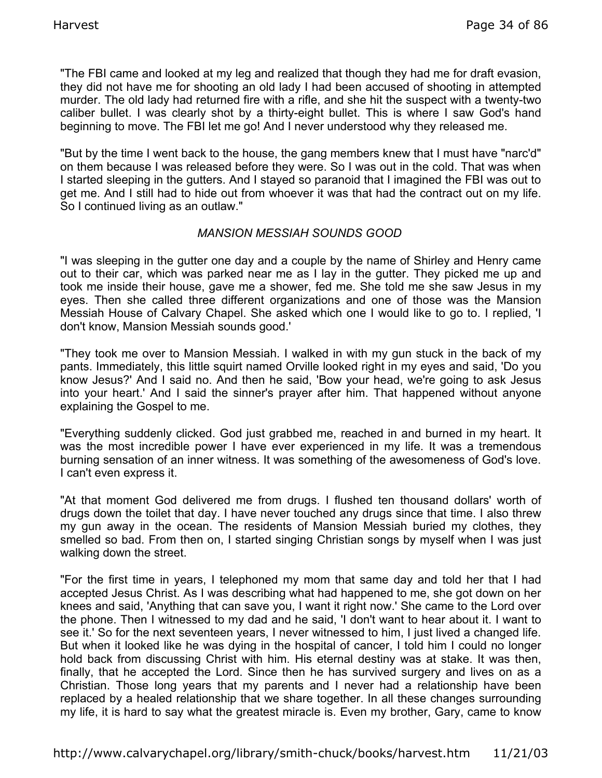"The FBI came and looked at my leg and realized that though they had me for draft evasion, they did not have me for shooting an old lady I had been accused of shooting in attempted murder. The old lady had returned fire with a rifle, and she hit the suspect with a twenty-two caliber bullet. I was clearly shot by a thirty-eight bullet. This is where I saw God's hand beginning to move. The FBI let me go! And I never understood why they released me.

"But by the time I went back to the house, the gang members knew that I must have "narc'd" on them because I was released before they were. So I was out in the cold. That was when I started sleeping in the gutters. And I stayed so paranoid that I imagined the FBI was out to get me. And I still had to hide out from whoever it was that had the contract out on my life. So I continued living as an outlaw."

## *MANSION MESSIAH SOUNDS GOOD*

"I was sleeping in the gutter one day and a couple by the name of Shirley and Henry came out to their car, which was parked near me as I lay in the gutter. They picked me up and took me inside their house, gave me a shower, fed me. She told me she saw Jesus in my eyes. Then she called three different organizations and one of those was the Mansion Messiah House of Calvary Chapel. She asked which one I would like to go to. I replied, 'I don't know, Mansion Messiah sounds good.'

"They took me over to Mansion Messiah. I walked in with my gun stuck in the back of my pants. Immediately, this little squirt named Orville looked right in my eyes and said, 'Do you know Jesus?' And I said no. And then he said, 'Bow your head, we're going to ask Jesus into your heart.' And I said the sinner's prayer after him. That happened without anyone explaining the Gospel to me.

"Everything suddenly clicked. God just grabbed me, reached in and burned in my heart. It was the most incredible power I have ever experienced in my life. It was a tremendous burning sensation of an inner witness. It was something of the awesomeness of God's love. I can't even express it.

"At that moment God delivered me from drugs. I flushed ten thousand dollars' worth of drugs down the toilet that day. I have never touched any drugs since that time. I also threw my gun away in the ocean. The residents of Mansion Messiah buried my clothes, they smelled so bad. From then on, I started singing Christian songs by myself when I was just walking down the street.

"For the first time in years, I telephoned my mom that same day and told her that I had accepted Jesus Christ. As I was describing what had happened to me, she got down on her knees and said, 'Anything that can save you, I want it right now.' She came to the Lord over the phone. Then I witnessed to my dad and he said, 'I don't want to hear about it. I want to see it.' So for the next seventeen years, I never witnessed to him, I just lived a changed life. But when it looked like he was dying in the hospital of cancer, I told him I could no longer hold back from discussing Christ with him. His eternal destiny was at stake. It was then, finally, that he accepted the Lord. Since then he has survived surgery and lives on as a Christian. Those long years that my parents and I never had a relationship have been replaced by a healed relationship that we share together. In all these changes surrounding my life, it is hard to say what the greatest miracle is. Even my brother, Gary, came to know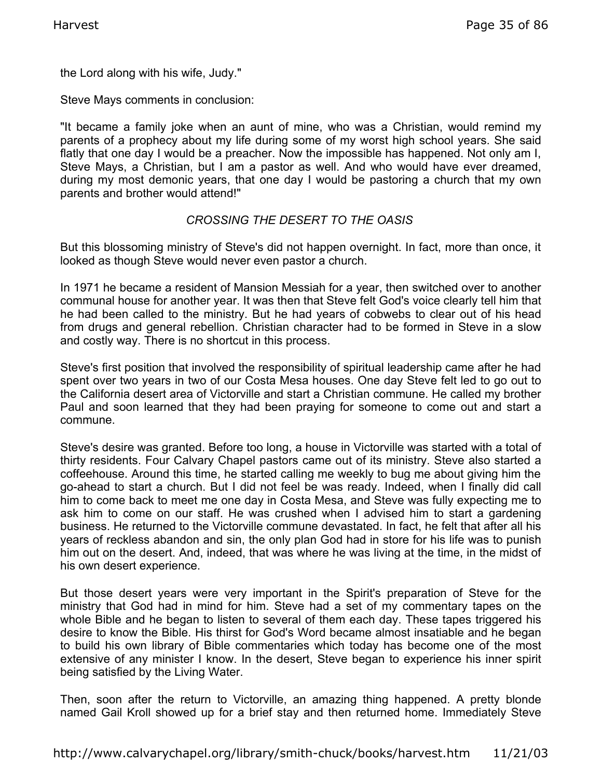the Lord along with his wife, Judy."

Steve Mays comments in conclusion:

"It became a family joke when an aunt of mine, who was a Christian, would remind my parents of a prophecy about my life during some of my worst high school years. She said flatly that one day I would be a preacher. Now the impossible has happened. Not only am I, Steve Mays, a Christian, but I am a pastor as well. And who would have ever dreamed, during my most demonic years, that one day I would be pastoring a church that my own parents and brother would attend!"

#### *CROSSING THE DESERT TO THE OASIS*

But this blossoming ministry of Steve's did not happen overnight. In fact, more than once, it looked as though Steve would never even pastor a church.

In 1971 he became a resident of Mansion Messiah for a year, then switched over to another communal house for another year. It was then that Steve felt God's voice clearly tell him that he had been called to the ministry. But he had years of cobwebs to clear out of his head from drugs and general rebellion. Christian character had to be formed in Steve in a slow and costly way. There is no shortcut in this process.

Steve's first position that involved the responsibility of spiritual leadership came after he had spent over two years in two of our Costa Mesa houses. One day Steve felt led to go out to the California desert area of Victorville and start a Christian commune. He called my brother Paul and soon learned that they had been praying for someone to come out and start a commune.

Steve's desire was granted. Before too long, a house in Victorville was started with a total of thirty residents. Four Calvary Chapel pastors came out of its ministry. Steve also started a coffeehouse. Around this time, he started calling me weekly to bug me about giving him the go-ahead to start a church. But I did not feel be was ready. Indeed, when I finally did call him to come back to meet me one day in Costa Mesa, and Steve was fully expecting me to ask him to come on our staff. He was crushed when I advised him to start a gardening business. He returned to the Victorville commune devastated. In fact, he felt that after all his years of reckless abandon and sin, the only plan God had in store for his life was to punish him out on the desert. And, indeed, that was where he was living at the time, in the midst of his own desert experience.

But those desert years were very important in the Spirit's preparation of Steve for the ministry that God had in mind for him. Steve had a set of my commentary tapes on the whole Bible and he began to listen to several of them each day. These tapes triggered his desire to know the Bible. His thirst for God's Word became almost insatiable and he began to build his own library of Bible commentaries which today has become one of the most extensive of any minister I know. In the desert, Steve began to experience his inner spirit being satisfied by the Living Water.

Then, soon after the return to Victorville, an amazing thing happened. A pretty blonde named Gail Kroll showed up for a brief stay and then returned home. Immediately Steve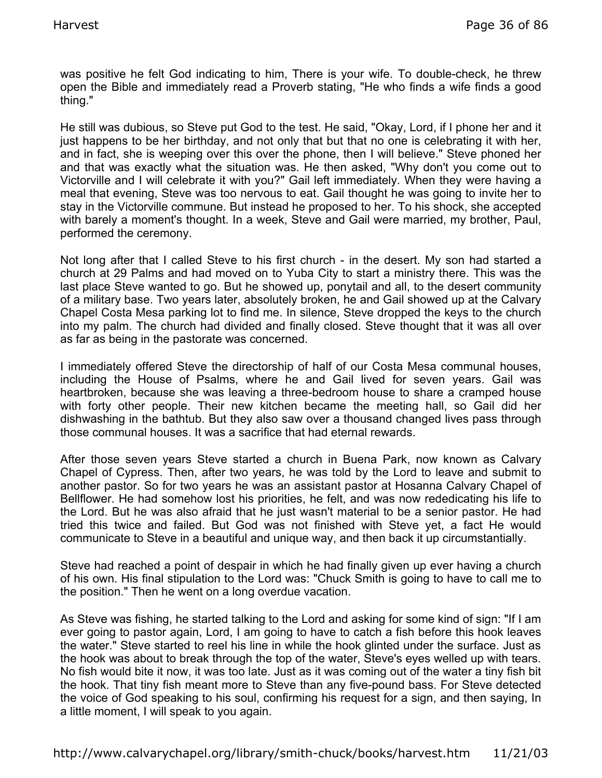was positive he felt God indicating to him, There is your wife. To double-check, he threw open the Bible and immediately read a Proverb stating, "He who finds a wife finds a good thing."

He still was dubious, so Steve put God to the test. He said, "Okay, Lord, if I phone her and it just happens to be her birthday, and not only that but that no one is celebrating it with her, and in fact, she is weeping over this over the phone, then I will believe." Steve phoned her and that was exactly what the situation was. He then asked, "Why don't you come out to Victorville and I will celebrate it with you?" Gail left immediately. When they were having a meal that evening, Steve was too nervous to eat. Gail thought he was going to invite her to stay in the Victorville commune. But instead he proposed to her. To his shock, she accepted with barely a moment's thought. In a week, Steve and Gail were married, my brother, Paul, performed the ceremony.

Not long after that I called Steve to his first church - in the desert. My son had started a church at 29 Palms and had moved on to Yuba City to start a ministry there. This was the last place Steve wanted to go. But he showed up, ponytail and all, to the desert community of a military base. Two years later, absolutely broken, he and Gail showed up at the Calvary Chapel Costa Mesa parking lot to find me. In silence, Steve dropped the keys to the church into my palm. The church had divided and finally closed. Steve thought that it was all over as far as being in the pastorate was concerned.

I immediately offered Steve the directorship of half of our Costa Mesa communal houses, including the House of Psalms, where he and Gail lived for seven years. Gail was heartbroken, because she was leaving a three-bedroom house to share a cramped house with forty other people. Their new kitchen became the meeting hall, so Gail did her dishwashing in the bathtub. But they also saw over a thousand changed lives pass through those communal houses. It was a sacrifice that had eternal rewards.

After those seven years Steve started a church in Buena Park, now known as Calvary Chapel of Cypress. Then, after two years, he was told by the Lord to leave and submit to another pastor. So for two years he was an assistant pastor at Hosanna Calvary Chapel of Bellflower. He had somehow lost his priorities, he felt, and was now rededicating his life to the Lord. But he was also afraid that he just wasn't material to be a senior pastor. He had tried this twice and failed. But God was not finished with Steve yet, a fact He would communicate to Steve in a beautiful and unique way, and then back it up circumstantially.

Steve had reached a point of despair in which he had finally given up ever having a church of his own. His final stipulation to the Lord was: "Chuck Smith is going to have to call me to the position." Then he went on a long overdue vacation.

As Steve was fishing, he started talking to the Lord and asking for some kind of sign: "If I am ever going to pastor again, Lord, I am going to have to catch a fish before this hook leaves the water." Steve started to reel his line in while the hook glinted under the surface. Just as the hook was about to break through the top of the water, Steve's eyes welled up with tears. No fish would bite it now, it was too late. Just as it was coming out of the water a tiny fish bit the hook. That tiny fish meant more to Steve than any five-pound bass. For Steve detected the voice of God speaking to his soul, confirming his request for a sign, and then saying, In a little moment, I will speak to you again.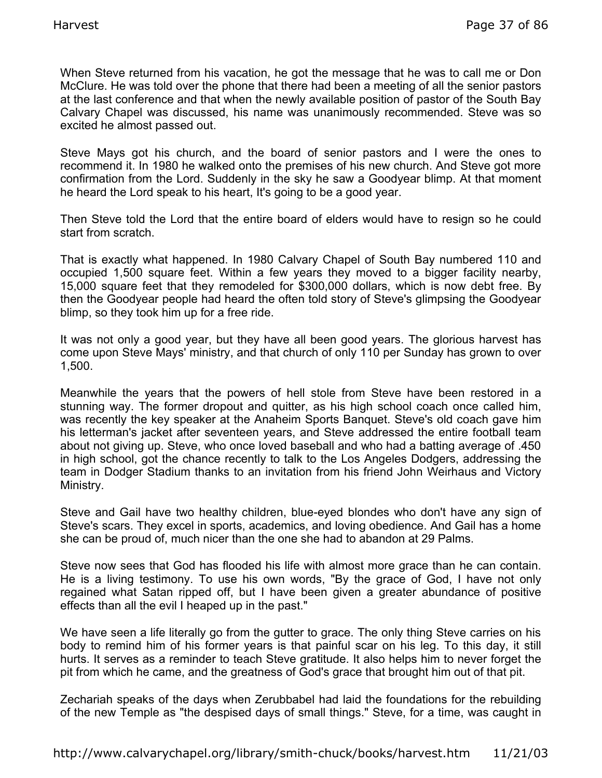When Steve returned from his vacation, he got the message that he was to call me or Don McClure. He was told over the phone that there had been a meeting of all the senior pastors at the last conference and that when the newly available position of pastor of the South Bay Calvary Chapel was discussed, his name was unanimously recommended. Steve was so excited he almost passed out.

Steve Mays got his church, and the board of senior pastors and I were the ones to recommend it. In 1980 he walked onto the premises of his new church. And Steve got more confirmation from the Lord. Suddenly in the sky he saw a Goodyear blimp. At that moment he heard the Lord speak to his heart, It's going to be a good year.

Then Steve told the Lord that the entire board of elders would have to resign so he could start from scratch.

That is exactly what happened. In 1980 Calvary Chapel of South Bay numbered 110 and occupied 1,500 square feet. Within a few years they moved to a bigger facility nearby, 15,000 square feet that they remodeled for \$300,000 dollars, which is now debt free. By then the Goodyear people had heard the often told story of Steve's glimpsing the Goodyear blimp, so they took him up for a free ride.

It was not only a good year, but they have all been good years. The glorious harvest has come upon Steve Mays' ministry, and that church of only 110 per Sunday has grown to over 1,500.

Meanwhile the years that the powers of hell stole from Steve have been restored in a stunning way. The former dropout and quitter, as his high school coach once called him, was recently the key speaker at the Anaheim Sports Banquet. Steve's old coach gave him his letterman's jacket after seventeen years, and Steve addressed the entire football team about not giving up. Steve, who once loved baseball and who had a batting average of .450 in high school, got the chance recently to talk to the Los Angeles Dodgers, addressing the team in Dodger Stadium thanks to an invitation from his friend John Weirhaus and Victory Ministry.

Steve and Gail have two healthy children, blue-eyed blondes who don't have any sign of Steve's scars. They excel in sports, academics, and loving obedience. And Gail has a home she can be proud of, much nicer than the one she had to abandon at 29 Palms.

Steve now sees that God has flooded his life with almost more grace than he can contain. He is a living testimony. To use his own words, "By the grace of God, I have not only regained what Satan ripped off, but I have been given a greater abundance of positive effects than all the evil I heaped up in the past."

We have seen a life literally go from the gutter to grace. The only thing Steve carries on his body to remind him of his former years is that painful scar on his leg. To this day, it still hurts. It serves as a reminder to teach Steve gratitude. It also helps him to never forget the pit from which he came, and the greatness of God's grace that brought him out of that pit.

Zechariah speaks of the days when Zerubbabel had laid the foundations for the rebuilding of the new Temple as "the despised days of small things." Steve, for a time, was caught in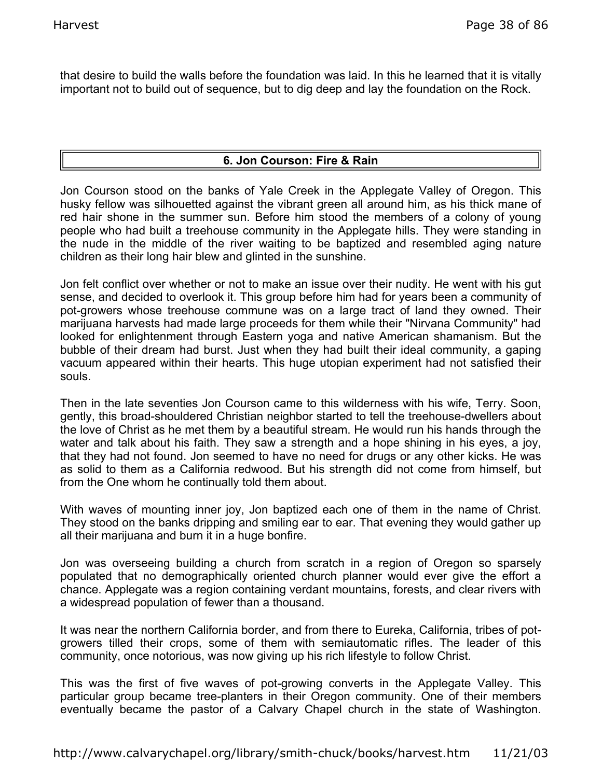that desire to build the walls before the foundation was laid. In this he learned that it is vitally important not to build out of sequence, but to dig deep and lay the foundation on the Rock.

# **6. Jon Courson: Fire & Rain**

Jon Courson stood on the banks of Yale Creek in the Applegate Valley of Oregon. This husky fellow was silhouetted against the vibrant green all around him, as his thick mane of red hair shone in the summer sun. Before him stood the members of a colony of young people who had built a treehouse community in the Applegate hills. They were standing in the nude in the middle of the river waiting to be baptized and resembled aging nature children as their long hair blew and glinted in the sunshine.

Jon felt conflict over whether or not to make an issue over their nudity. He went with his gut sense, and decided to overlook it. This group before him had for years been a community of pot-growers whose treehouse commune was on a large tract of land they owned. Their marijuana harvests had made large proceeds for them while their "Nirvana Community" had looked for enlightenment through Eastern yoga and native American shamanism. But the bubble of their dream had burst. Just when they had built their ideal community, a gaping vacuum appeared within their hearts. This huge utopian experiment had not satisfied their souls.

Then in the late seventies Jon Courson came to this wilderness with his wife, Terry. Soon, gently, this broad-shouldered Christian neighbor started to tell the treehouse-dwellers about the love of Christ as he met them by a beautiful stream. He would run his hands through the water and talk about his faith. They saw a strength and a hope shining in his eyes, a joy, that they had not found. Jon seemed to have no need for drugs or any other kicks. He was as solid to them as a California redwood. But his strength did not come from himself, but from the One whom he continually told them about.

With waves of mounting inner joy, Jon baptized each one of them in the name of Christ. They stood on the banks dripping and smiling ear to ear. That evening they would gather up all their marijuana and burn it in a huge bonfire.

Jon was overseeing building a church from scratch in a region of Oregon so sparsely populated that no demographically oriented church planner would ever give the effort a chance. Applegate was a region containing verdant mountains, forests, and clear rivers with a widespread population of fewer than a thousand.

It was near the northern California border, and from there to Eureka, California, tribes of potgrowers tilled their crops, some of them with semiautomatic rifles. The leader of this community, once notorious, was now giving up his rich lifestyle to follow Christ.

This was the first of five waves of pot-growing converts in the Applegate Valley. This particular group became tree-planters in their Oregon community. One of their members eventually became the pastor of a Calvary Chapel church in the state of Washington.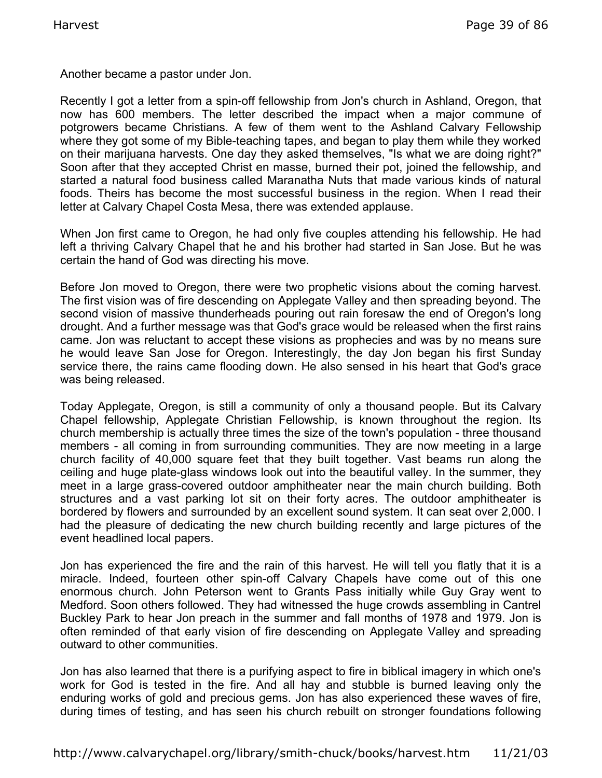Another became a pastor under Jon.

Recently I got a letter from a spin-off fellowship from Jon's church in Ashland, Oregon, that now has 600 members. The letter described the impact when a major commune of potgrowers became Christians. A few of them went to the Ashland Calvary Fellowship where they got some of my Bible-teaching tapes, and began to play them while they worked on their marijuana harvests. One day they asked themselves, "Is what we are doing right?" Soon after that they accepted Christ en masse, burned their pot, joined the fellowship, and started a natural food business called Maranatha Nuts that made various kinds of natural foods. Theirs has become the most successful business in the region. When I read their letter at Calvary Chapel Costa Mesa, there was extended applause.

When Jon first came to Oregon, he had only five couples attending his fellowship. He had left a thriving Calvary Chapel that he and his brother had started in San Jose. But he was certain the hand of God was directing his move.

Before Jon moved to Oregon, there were two prophetic visions about the coming harvest. The first vision was of fire descending on Applegate Valley and then spreading beyond. The second vision of massive thunderheads pouring out rain foresaw the end of Oregon's long drought. And a further message was that God's grace would be released when the first rains came. Jon was reluctant to accept these visions as prophecies and was by no means sure he would leave San Jose for Oregon. Interestingly, the day Jon began his first Sunday service there, the rains came flooding down. He also sensed in his heart that God's grace was being released.

Today Applegate, Oregon, is still a community of only a thousand people. But its Calvary Chapel fellowship, Applegate Christian Fellowship, is known throughout the region. Its church membership is actually three times the size of the town's population - three thousand members - all coming in from surrounding communities. They are now meeting in a large church facility of 40,000 square feet that they built together. Vast beams run along the ceiling and huge plate-glass windows look out into the beautiful valley. In the summer, they meet in a large grass-covered outdoor amphitheater near the main church building. Both structures and a vast parking lot sit on their forty acres. The outdoor amphitheater is bordered by flowers and surrounded by an excellent sound system. It can seat over 2,000. I had the pleasure of dedicating the new church building recently and large pictures of the event headlined local papers.

Jon has experienced the fire and the rain of this harvest. He will tell you flatly that it is a miracle. Indeed, fourteen other spin-off Calvary Chapels have come out of this one enormous church. John Peterson went to Grants Pass initially while Guy Gray went to Medford. Soon others followed. They had witnessed the huge crowds assembling in Cantrel Buckley Park to hear Jon preach in the summer and fall months of 1978 and 1979. Jon is often reminded of that early vision of fire descending on Applegate Valley and spreading outward to other communities.

Jon has also learned that there is a purifying aspect to fire in biblical imagery in which one's work for God is tested in the fire. And all hay and stubble is burned leaving only the enduring works of gold and precious gems. Jon has also experienced these waves of fire, during times of testing, and has seen his church rebuilt on stronger foundations following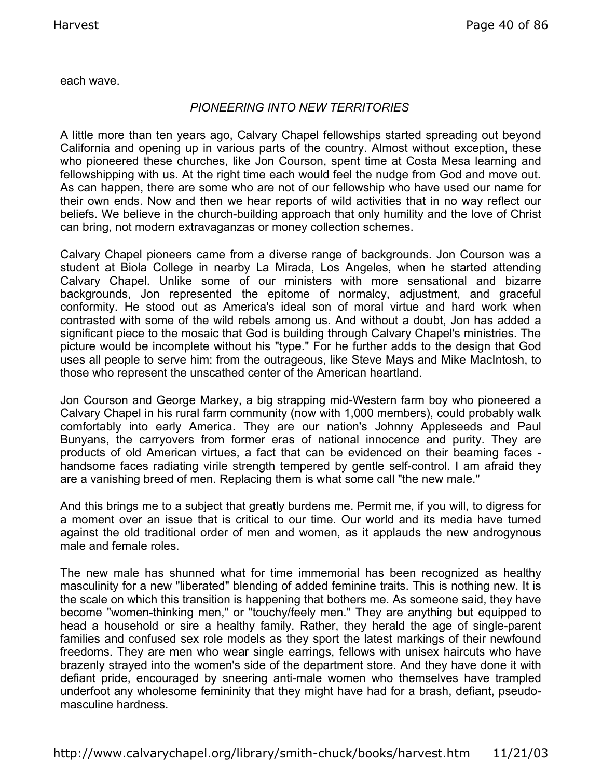each wave.

# *PIONEERING INTO NEW TERRITORIES*

A little more than ten years ago, Calvary Chapel fellowships started spreading out beyond California and opening up in various parts of the country. Almost without exception, these who pioneered these churches, like Jon Courson, spent time at Costa Mesa learning and fellowshipping with us. At the right time each would feel the nudge from God and move out. As can happen, there are some who are not of our fellowship who have used our name for their own ends. Now and then we hear reports of wild activities that in no way reflect our beliefs. We believe in the church-building approach that only humility and the love of Christ can bring, not modern extravaganzas or money collection schemes.

Calvary Chapel pioneers came from a diverse range of backgrounds. Jon Courson was a student at Biola College in nearby La Mirada, Los Angeles, when he started attending Calvary Chapel. Unlike some of our ministers with more sensational and bizarre backgrounds, Jon represented the epitome of normalcy, adjustment, and graceful conformity. He stood out as America's ideal son of moral virtue and hard work when contrasted with some of the wild rebels among us. And without a doubt, Jon has added a significant piece to the mosaic that God is building through Calvary Chapel's ministries. The picture would be incomplete without his "type." For he further adds to the design that God uses all people to serve him: from the outrageous, like Steve Mays and Mike MacIntosh, to those who represent the unscathed center of the American heartland.

Jon Courson and George Markey, a big strapping mid-Western farm boy who pioneered a Calvary Chapel in his rural farm community (now with 1,000 members), could probably walk comfortably into early America. They are our nation's Johnny Appleseeds and Paul Bunyans, the carryovers from former eras of national innocence and purity. They are products of old American virtues, a fact that can be evidenced on their beaming faces handsome faces radiating virile strength tempered by gentle self-control. I am afraid they are a vanishing breed of men. Replacing them is what some call "the new male."

And this brings me to a subject that greatly burdens me. Permit me, if you will, to digress for a moment over an issue that is critical to our time. Our world and its media have turned against the old traditional order of men and women, as it applauds the new androgynous male and female roles.

The new male has shunned what for time immemorial has been recognized as healthy masculinity for a new "liberated" blending of added feminine traits. This is nothing new. It is the scale on which this transition is happening that bothers me. As someone said, they have become "women-thinking men," or "touchy/feely men." They are anything but equipped to head a household or sire a healthy family. Rather, they herald the age of single-parent families and confused sex role models as they sport the latest markings of their newfound freedoms. They are men who wear single earrings, fellows with unisex haircuts who have brazenly strayed into the women's side of the department store. And they have done it with defiant pride, encouraged by sneering anti-male women who themselves have trampled underfoot any wholesome femininity that they might have had for a brash, defiant, pseudomasculine hardness.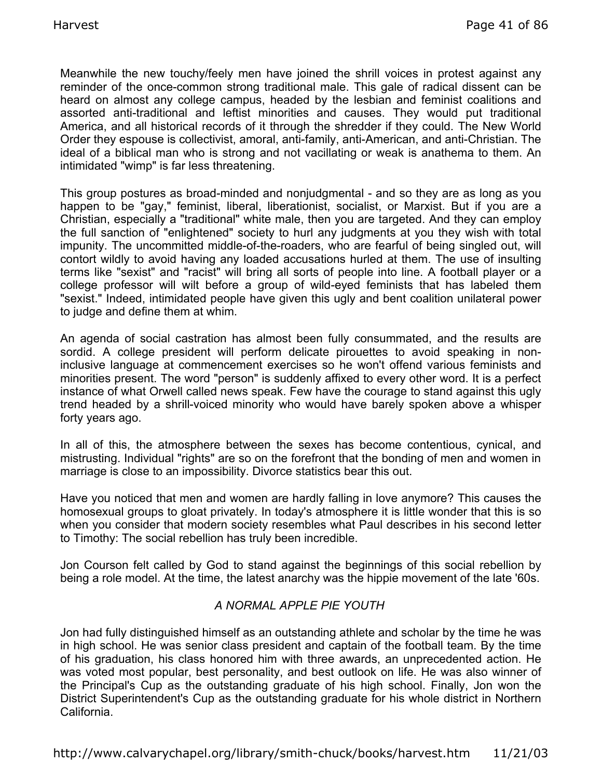Meanwhile the new touchy/feely men have joined the shrill voices in protest against any reminder of the once-common strong traditional male. This gale of radical dissent can be heard on almost any college campus, headed by the lesbian and feminist coalitions and assorted anti-traditional and leftist minorities and causes. They would put traditional America, and all historical records of it through the shredder if they could. The New World Order they espouse is collectivist, amoral, anti-family, anti-American, and anti-Christian. The ideal of a biblical man who is strong and not vacillating or weak is anathema to them. An intimidated "wimp" is far less threatening.

This group postures as broad-minded and nonjudgmental - and so they are as long as you happen to be "gay," feminist, liberal, liberationist, socialist, or Marxist. But if you are a Christian, especially a "traditional" white male, then you are targeted. And they can employ the full sanction of "enlightened" society to hurl any judgments at you they wish with total impunity. The uncommitted middle-of-the-roaders, who are fearful of being singled out, will contort wildly to avoid having any loaded accusations hurled at them. The use of insulting terms like "sexist" and "racist" will bring all sorts of people into line. A football player or a college professor will wilt before a group of wild-eyed feminists that has labeled them "sexist." Indeed, intimidated people have given this ugly and bent coalition unilateral power to judge and define them at whim.

An agenda of social castration has almost been fully consummated, and the results are sordid. A college president will perform delicate pirouettes to avoid speaking in noninclusive language at commencement exercises so he won't offend various feminists and minorities present. The word "person" is suddenly affixed to every other word. It is a perfect instance of what Orwell called news speak. Few have the courage to stand against this ugly trend headed by a shrill-voiced minority who would have barely spoken above a whisper forty years ago.

In all of this, the atmosphere between the sexes has become contentious, cynical, and mistrusting. Individual "rights" are so on the forefront that the bonding of men and women in marriage is close to an impossibility. Divorce statistics bear this out.

Have you noticed that men and women are hardly falling in love anymore? This causes the homosexual groups to gloat privately. In today's atmosphere it is little wonder that this is so when you consider that modern society resembles what Paul describes in his second letter to Timothy: The social rebellion has truly been incredible.

Jon Courson felt called by God to stand against the beginnings of this social rebellion by being a role model. At the time, the latest anarchy was the hippie movement of the late '60s.

## *A NORMAL APPLE PIE YOUTH*

Jon had fully distinguished himself as an outstanding athlete and scholar by the time he was in high school. He was senior class president and captain of the football team. By the time of his graduation, his class honored him with three awards, an unprecedented action. He was voted most popular, best personality, and best outlook on life. He was also winner of the Principal's Cup as the outstanding graduate of his high school. Finally, Jon won the District Superintendent's Cup as the outstanding graduate for his whole district in Northern California.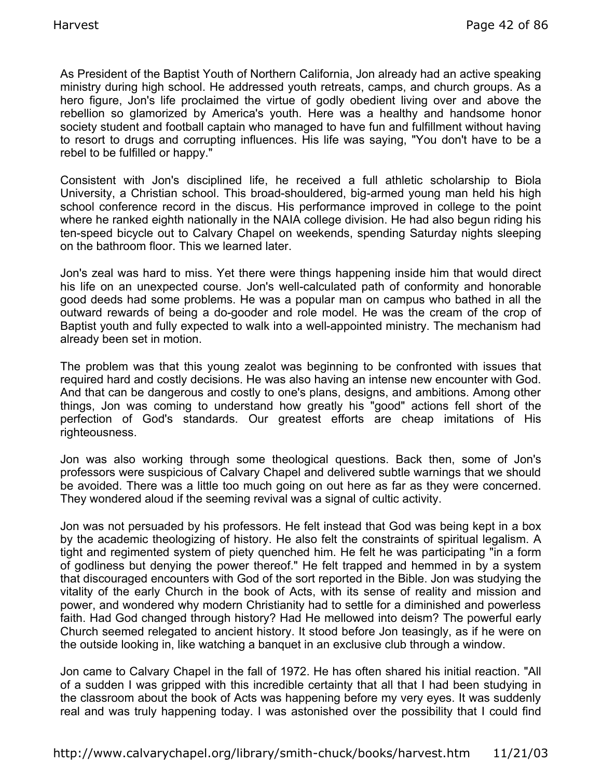As President of the Baptist Youth of Northern California, Jon already had an active speaking ministry during high school. He addressed youth retreats, camps, and church groups. As a hero figure, Jon's life proclaimed the virtue of godly obedient living over and above the rebellion so glamorized by America's youth. Here was a healthy and handsome honor society student and football captain who managed to have fun and fulfillment without having to resort to drugs and corrupting influences. His life was saying, "You don't have to be a rebel to be fulfilled or happy."

Consistent with Jon's disciplined life, he received a full athletic scholarship to Biola University, a Christian school. This broad-shouldered, big-armed young man held his high school conference record in the discus. His performance improved in college to the point where he ranked eighth nationally in the NAIA college division. He had also begun riding his ten-speed bicycle out to Calvary Chapel on weekends, spending Saturday nights sleeping on the bathroom floor. This we learned later.

Jon's zeal was hard to miss. Yet there were things happening inside him that would direct his life on an unexpected course. Jon's well-calculated path of conformity and honorable good deeds had some problems. He was a popular man on campus who bathed in all the outward rewards of being a do-gooder and role model. He was the cream of the crop of Baptist youth and fully expected to walk into a well-appointed ministry. The mechanism had already been set in motion.

The problem was that this young zealot was beginning to be confronted with issues that required hard and costly decisions. He was also having an intense new encounter with God. And that can be dangerous and costly to one's plans, designs, and ambitions. Among other things, Jon was coming to understand how greatly his "good" actions fell short of the perfection of God's standards. Our greatest efforts are cheap imitations of His righteousness.

Jon was also working through some theological questions. Back then, some of Jon's professors were suspicious of Calvary Chapel and delivered subtle warnings that we should be avoided. There was a little too much going on out here as far as they were concerned. They wondered aloud if the seeming revival was a signal of cultic activity.

Jon was not persuaded by his professors. He felt instead that God was being kept in a box by the academic theologizing of history. He also felt the constraints of spiritual legalism. A tight and regimented system of piety quenched him. He felt he was participating "in a form of godliness but denying the power thereof." He felt trapped and hemmed in by a system that discouraged encounters with God of the sort reported in the Bible. Jon was studying the vitality of the early Church in the book of Acts, with its sense of reality and mission and power, and wondered why modern Christianity had to settle for a diminished and powerless faith. Had God changed through history? Had He mellowed into deism? The powerful early Church seemed relegated to ancient history. It stood before Jon teasingly, as if he were on the outside looking in, like watching a banquet in an exclusive club through a window.

Jon came to Calvary Chapel in the fall of 1972. He has often shared his initial reaction. "All of a sudden I was gripped with this incredible certainty that all that I had been studying in the classroom about the book of Acts was happening before my very eyes. It was suddenly real and was truly happening today. I was astonished over the possibility that I could find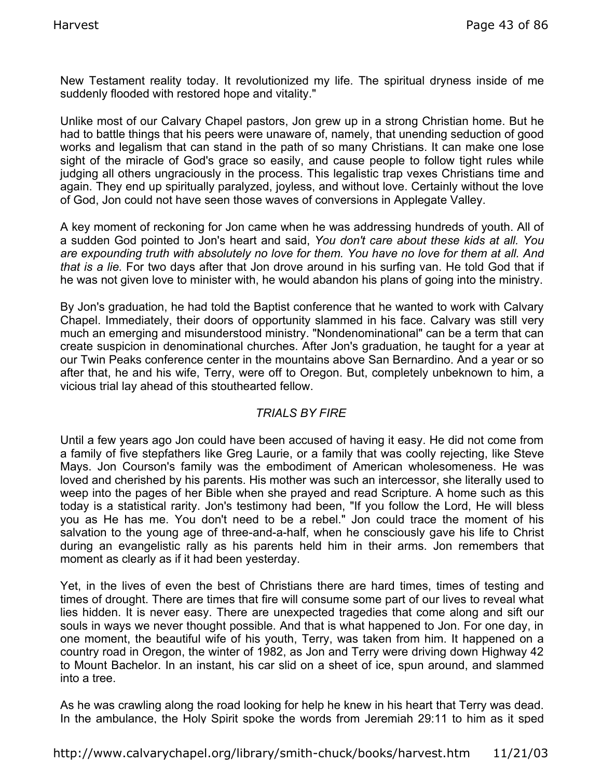New Testament reality today. It revolutionized my life. The spiritual dryness inside of me suddenly flooded with restored hope and vitality."

Unlike most of our Calvary Chapel pastors, Jon grew up in a strong Christian home. But he had to battle things that his peers were unaware of, namely, that unending seduction of good works and legalism that can stand in the path of so many Christians. It can make one lose sight of the miracle of God's grace so easily, and cause people to follow tight rules while judging all others ungraciously in the process. This legalistic trap vexes Christians time and again. They end up spiritually paralyzed, joyless, and without love. Certainly without the love of God, Jon could not have seen those waves of conversions in Applegate Valley.

A key moment of reckoning for Jon came when he was addressing hundreds of youth. All of a sudden God pointed to Jon's heart and said, *You don't care about these kids at all. You are expounding truth with absolutely no love for them. You have no love for them at all. And that is a lie.* For two days after that Jon drove around in his surfing van. He told God that if he was not given love to minister with, he would abandon his plans of going into the ministry.

By Jon's graduation, he had told the Baptist conference that he wanted to work with Calvary Chapel. Immediately, their doors of opportunity slammed in his face. Calvary was still very much an emerging and misunderstood ministry. "Nondenominational" can be a term that can create suspicion in denominational churches. After Jon's graduation, he taught for a year at our Twin Peaks conference center in the mountains above San Bernardino. And a year or so after that, he and his wife, Terry, were off to Oregon. But, completely unbeknown to him, a vicious trial lay ahead of this stouthearted fellow.

## *TRIALS BY FIRE*

Until a few years ago Jon could have been accused of having it easy. He did not come from a family of five stepfathers like Greg Laurie, or a family that was coolly rejecting, like Steve Mays. Jon Courson's family was the embodiment of American wholesomeness. He was loved and cherished by his parents. His mother was such an intercessor, she literally used to weep into the pages of her Bible when she prayed and read Scripture. A home such as this today is a statistical rarity. Jon's testimony had been, "If you follow the Lord, He will bless you as He has me. You don't need to be a rebel." Jon could trace the moment of his salvation to the young age of three-and-a-half, when he consciously gave his life to Christ during an evangelistic rally as his parents held him in their arms. Jon remembers that moment as clearly as if it had been yesterday.

Yet, in the lives of even the best of Christians there are hard times, times of testing and times of drought. There are times that fire will consume some part of our lives to reveal what lies hidden. It is never easy. There are unexpected tragedies that come along and sift our souls in ways we never thought possible. And that is what happened to Jon. For one day, in one moment, the beautiful wife of his youth, Terry, was taken from him. It happened on a country road in Oregon, the winter of 1982, as Jon and Terry were driving down Highway 42 to Mount Bachelor. In an instant, his car slid on a sheet of ice, spun around, and slammed into a tree.

As he was crawling along the road looking for help he knew in his heart that Terry was dead. In the ambulance, the Holy Spirit spoke the words from Jeremiah 29:11 to him as it sped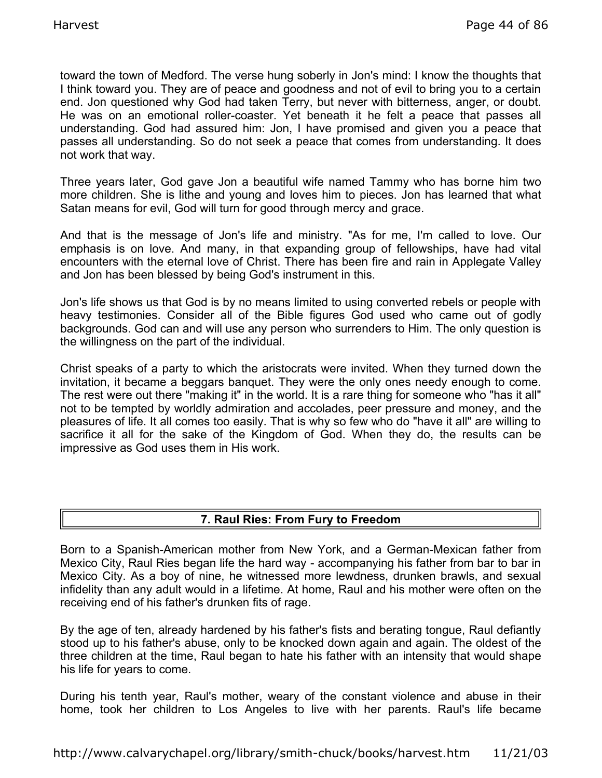toward the town of Medford. The verse hung soberly in Jon's mind: I know the thoughts that I think toward you. They are of peace and goodness and not of evil to bring you to a certain end. Jon questioned why God had taken Terry, but never with bitterness, anger, or doubt. He was on an emotional roller-coaster. Yet beneath it he felt a peace that passes all understanding. God had assured him: Jon, I have promised and given you a peace that passes all understanding. So do not seek a peace that comes from understanding. It does not work that way.

Three years later, God gave Jon a beautiful wife named Tammy who has borne him two more children. She is lithe and young and loves him to pieces. Jon has learned that what Satan means for evil, God will turn for good through mercy and grace.

And that is the message of Jon's life and ministry. "As for me, I'm called to love. Our emphasis is on love. And many, in that expanding group of fellowships, have had vital encounters with the eternal love of Christ. There has been fire and rain in Applegate Valley and Jon has been blessed by being God's instrument in this.

Jon's life shows us that God is by no means limited to using converted rebels or people with heavy testimonies. Consider all of the Bible figures God used who came out of godly backgrounds. God can and will use any person who surrenders to Him. The only question is the willingness on the part of the individual.

Christ speaks of a party to which the aristocrats were invited. When they turned down the invitation, it became a beggars banquet. They were the only ones needy enough to come. The rest were out there "making it" in the world. It is a rare thing for someone who "has it all" not to be tempted by worldly admiration and accolades, peer pressure and money, and the pleasures of life. It all comes too easily. That is why so few who do "have it all" are willing to sacrifice it all for the sake of the Kingdom of God. When they do, the results can be impressive as God uses them in His work.

## **7. Raul Ries: From Fury to Freedom**

Born to a Spanish-American mother from New York, and a German-Mexican father from Mexico City, Raul Ries began life the hard way - accompanying his father from bar to bar in Mexico City. As a boy of nine, he witnessed more lewdness, drunken brawls, and sexual infidelity than any adult would in a lifetime. At home, Raul and his mother were often on the receiving end of his father's drunken fits of rage.

By the age of ten, already hardened by his father's fists and berating tongue, Raul defiantly stood up to his father's abuse, only to be knocked down again and again. The oldest of the three children at the time, Raul began to hate his father with an intensity that would shape his life for years to come.

During his tenth year, Raul's mother, weary of the constant violence and abuse in their home, took her children to Los Angeles to live with her parents. Raul's life became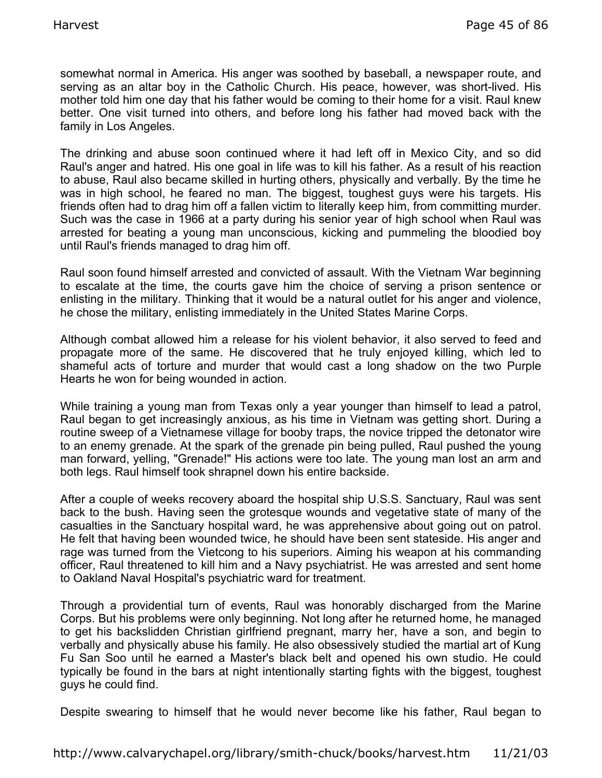somewhat normal in America. His anger was soothed by baseball, a newspaper route, and serving as an altar boy in the Catholic Church. His peace, however, was short-lived. His mother told him one day that his father would be coming to their home for a visit. Raul knew better. One visit turned into others, and before long his father had moved back with the family in Los Angeles.

The drinking and abuse soon continued where it had left off in Mexico City, and so did Raul's anger and hatred. His one goal in life was to kill his father. As a result of his reaction to abuse, Raul also became skilled in hurting others, physically and verbally. By the time he was in high school, he feared no man. The biggest, toughest guys were his targets. His friends often had to drag him off a fallen victim to literally keep him, from committing murder. Such was the case in 1966 at a party during his senior year of high school when Raul was arrested for beating a young man unconscious, kicking and pummeling the bloodied boy until Raul's friends managed to drag him off.

Raul soon found himself arrested and convicted of assault. With the Vietnam War beginning to escalate at the time, the courts gave him the choice of serving a prison sentence or enlisting in the military. Thinking that it would be a natural outlet for his anger and violence, he chose the military, enlisting immediately in the United States Marine Corps.

Although combat allowed him a release for his violent behavior, it also served to feed and propagate more of the same. He discovered that he truly enjoyed killing, which led to shameful acts of torture and murder that would cast a long shadow on the two Purple Hearts he won for being wounded in action.

While training a young man from Texas only a year younger than himself to lead a patrol, Raul began to get increasingly anxious, as his time in Vietnam was getting short. During a routine sweep of a Vietnamese village for booby traps, the novice tripped the detonator wire to an enemy grenade. At the spark of the grenade pin being pulled, Raul pushed the young man forward, yelling, "Grenade!" His actions were too late. The young man lost an arm and both legs. Raul himself took shrapnel down his entire backside.

After a couple of weeks recovery aboard the hospital ship U.S.S. Sanctuary, Raul was sent back to the bush. Having seen the grotesque wounds and vegetative state of many of the casualties in the Sanctuary hospital ward, he was apprehensive about going out on patrol. He felt that having been wounded twice, he should have been sent stateside. His anger and rage was turned from the Vietcong to his superiors. Aiming his weapon at his commanding officer, Raul threatened to kill him and a Navy psychiatrist. He was arrested and sent home to Oakland Naval Hospital's psychiatric ward for treatment.

Through a providential turn of events, Raul was honorably discharged from the Marine Corps. But his problems were only beginning. Not long after he returned home, he managed to get his backslidden Christian girlfriend pregnant, marry her, have a son, and begin to verbally and physically abuse his family. He also obsessively studied the martial art of Kung Fu San Soo until he earned a Master's black belt and opened his own studio. He could typically be found in the bars at night intentionally starting fights with the biggest, toughest guys he could find.

Despite swearing to himself that he would never become like his father, Raul began to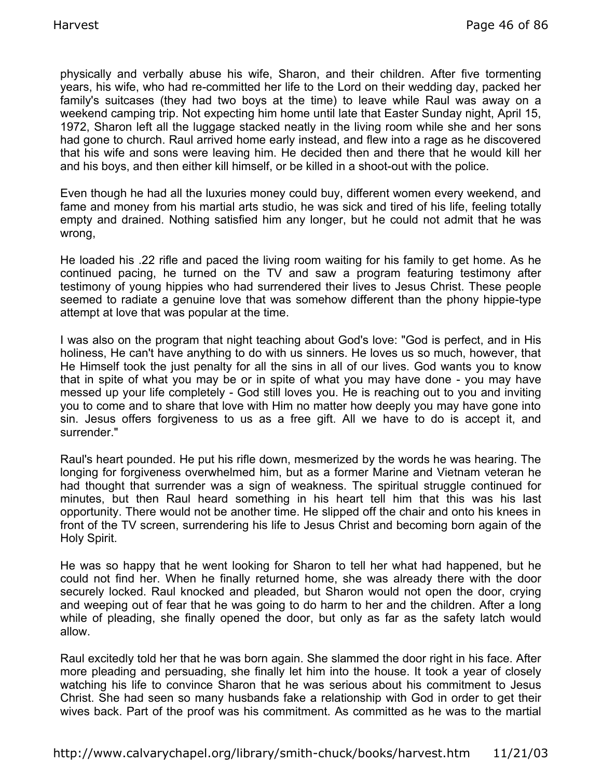physically and verbally abuse his wife, Sharon, and their children. After five tormenting years, his wife, who had re-committed her life to the Lord on their wedding day, packed her family's suitcases (they had two boys at the time) to leave while Raul was away on a weekend camping trip. Not expecting him home until late that Easter Sunday night, April 15, 1972, Sharon left all the luggage stacked neatly in the living room while she and her sons had gone to church. Raul arrived home early instead, and flew into a rage as he discovered that his wife and sons were leaving him. He decided then and there that he would kill her and his boys, and then either kill himself, or be killed in a shoot-out with the police.

Even though he had all the luxuries money could buy, different women every weekend, and fame and money from his martial arts studio, he was sick and tired of his life, feeling totally empty and drained. Nothing satisfied him any longer, but he could not admit that he was wrong,

He loaded his .22 rifle and paced the living room waiting for his family to get home. As he continued pacing, he turned on the TV and saw a program featuring testimony after testimony of young hippies who had surrendered their lives to Jesus Christ. These people seemed to radiate a genuine love that was somehow different than the phony hippie-type attempt at love that was popular at the time.

I was also on the program that night teaching about God's love: "God is perfect, and in His holiness, He can't have anything to do with us sinners. He loves us so much, however, that He Himself took the just penalty for all the sins in all of our lives. God wants you to know that in spite of what you may be or in spite of what you may have done - you may have messed up your life completely - God still loves you. He is reaching out to you and inviting you to come and to share that love with Him no matter how deeply you may have gone into sin. Jesus offers forgiveness to us as a free gift. All we have to do is accept it, and surrender."

Raul's heart pounded. He put his rifle down, mesmerized by the words he was hearing. The longing for forgiveness overwhelmed him, but as a former Marine and Vietnam veteran he had thought that surrender was a sign of weakness. The spiritual struggle continued for minutes, but then Raul heard something in his heart tell him that this was his last opportunity. There would not be another time. He slipped off the chair and onto his knees in front of the TV screen, surrendering his life to Jesus Christ and becoming born again of the Holy Spirit.

He was so happy that he went looking for Sharon to tell her what had happened, but he could not find her. When he finally returned home, she was already there with the door securely locked. Raul knocked and pleaded, but Sharon would not open the door, crying and weeping out of fear that he was going to do harm to her and the children. After a long while of pleading, she finally opened the door, but only as far as the safety latch would allow.

Raul excitedly told her that he was born again. She slammed the door right in his face. After more pleading and persuading, she finally let him into the house. It took a year of closely watching his life to convince Sharon that he was serious about his commitment to Jesus Christ. She had seen so many husbands fake a relationship with God in order to get their wives back. Part of the proof was his commitment. As committed as he was to the martial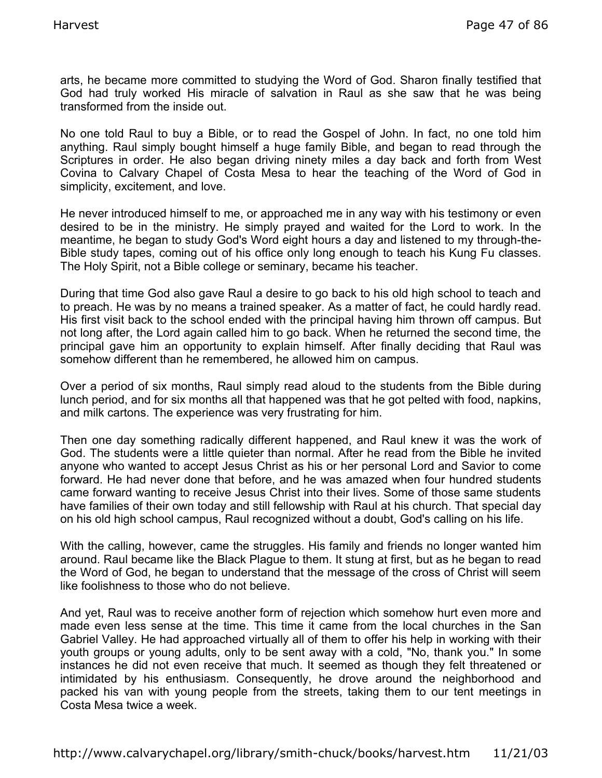arts, he became more committed to studying the Word of God. Sharon finally testified that God had truly worked His miracle of salvation in Raul as she saw that he was being transformed from the inside out.

No one told Raul to buy a Bible, or to read the Gospel of John. In fact, no one told him anything. Raul simply bought himself a huge family Bible, and began to read through the Scriptures in order. He also began driving ninety miles a day back and forth from West Covina to Calvary Chapel of Costa Mesa to hear the teaching of the Word of God in simplicity, excitement, and love.

He never introduced himself to me, or approached me in any way with his testimony or even desired to be in the ministry. He simply prayed and waited for the Lord to work. In the meantime, he began to study God's Word eight hours a day and listened to my through-the-Bible study tapes, coming out of his office only long enough to teach his Kung Fu classes. The Holy Spirit, not a Bible college or seminary, became his teacher.

During that time God also gave Raul a desire to go back to his old high school to teach and to preach. He was by no means a trained speaker. As a matter of fact, he could hardly read. His first visit back to the school ended with the principal having him thrown off campus. But not long after, the Lord again called him to go back. When he returned the second time, the principal gave him an opportunity to explain himself. After finally deciding that Raul was somehow different than he remembered, he allowed him on campus.

Over a period of six months, Raul simply read aloud to the students from the Bible during lunch period, and for six months all that happened was that he got pelted with food, napkins, and milk cartons. The experience was very frustrating for him.

Then one day something radically different happened, and Raul knew it was the work of God. The students were a little quieter than normal. After he read from the Bible he invited anyone who wanted to accept Jesus Christ as his or her personal Lord and Savior to come forward. He had never done that before, and he was amazed when four hundred students came forward wanting to receive Jesus Christ into their lives. Some of those same students have families of their own today and still fellowship with Raul at his church. That special day on his old high school campus, Raul recognized without a doubt, God's calling on his life.

With the calling, however, came the struggles. His family and friends no longer wanted him around. Raul became like the Black Plague to them. It stung at first, but as he began to read the Word of God, he began to understand that the message of the cross of Christ will seem like foolishness to those who do not believe.

And yet, Raul was to receive another form of rejection which somehow hurt even more and made even less sense at the time. This time it came from the local churches in the San Gabriel Valley. He had approached virtually all of them to offer his help in working with their youth groups or young adults, only to be sent away with a cold, "No, thank you." In some instances he did not even receive that much. It seemed as though they felt threatened or intimidated by his enthusiasm. Consequently, he drove around the neighborhood and packed his van with young people from the streets, taking them to our tent meetings in Costa Mesa twice a week.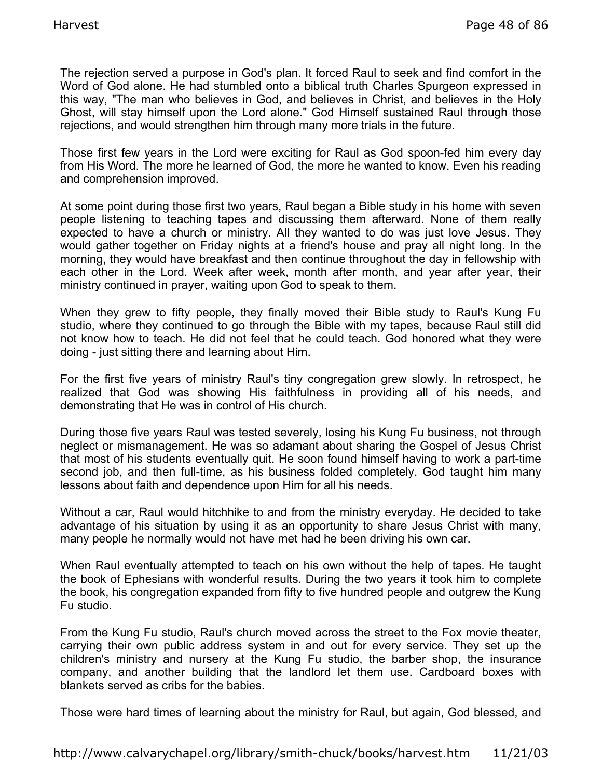The rejection served a purpose in God's plan. It forced Raul to seek and find comfort in the Word of God alone. He had stumbled onto a biblical truth Charles Spurgeon expressed in this way, "The man who believes in God, and believes in Christ, and believes in the Holy Ghost, will stay himself upon the Lord alone." God Himself sustained Raul through those rejections, and would strengthen him through many more trials in the future.

Those first few years in the Lord were exciting for Raul as God spoon-fed him every day from His Word. The more he learned of God, the more he wanted to know. Even his reading and comprehension improved.

At some point during those first two years, Raul began a Bible study in his home with seven people listening to teaching tapes and discussing them afterward. None of them really expected to have a church or ministry. All they wanted to do was just love Jesus. They would gather together on Friday nights at a friend's house and pray all night long. In the morning, they would have breakfast and then continue throughout the day in fellowship with each other in the Lord. Week after week, month after month, and year after year, their ministry continued in prayer, waiting upon God to speak to them.

When they grew to fifty people, they finally moved their Bible study to Raul's Kung Fu studio, where they continued to go through the Bible with my tapes, because Raul still did not know how to teach. He did not feel that he could teach. God honored what they were doing - just sitting there and learning about Him.

For the first five years of ministry Raul's tiny congregation grew slowly. In retrospect, he realized that God was showing His faithfulness in providing all of his needs, and demonstrating that He was in control of His church.

During those five years Raul was tested severely, losing his Kung Fu business, not through neglect or mismanagement. He was so adamant about sharing the Gospel of Jesus Christ that most of his students eventually quit. He soon found himself having to work a part-time second job, and then full-time, as his business folded completely. God taught him many lessons about faith and dependence upon Him for all his needs.

Without a car, Raul would hitchhike to and from the ministry everyday. He decided to take advantage of his situation by using it as an opportunity to share Jesus Christ with many, many people he normally would not have met had he been driving his own car.

When Raul eventually attempted to teach on his own without the help of tapes. He taught the book of Ephesians with wonderful results. During the two years it took him to complete the book, his congregation expanded from fifty to five hundred people and outgrew the Kung Fu studio.

From the Kung Fu studio, Raul's church moved across the street to the Fox movie theater, carrying their own public address system in and out for every service. They set up the children's ministry and nursery at the Kung Fu studio, the barber shop, the insurance company, and another building that the landlord let them use. Cardboard boxes with blankets served as cribs for the babies.

Those were hard times of learning about the ministry for Raul, but again, God blessed, and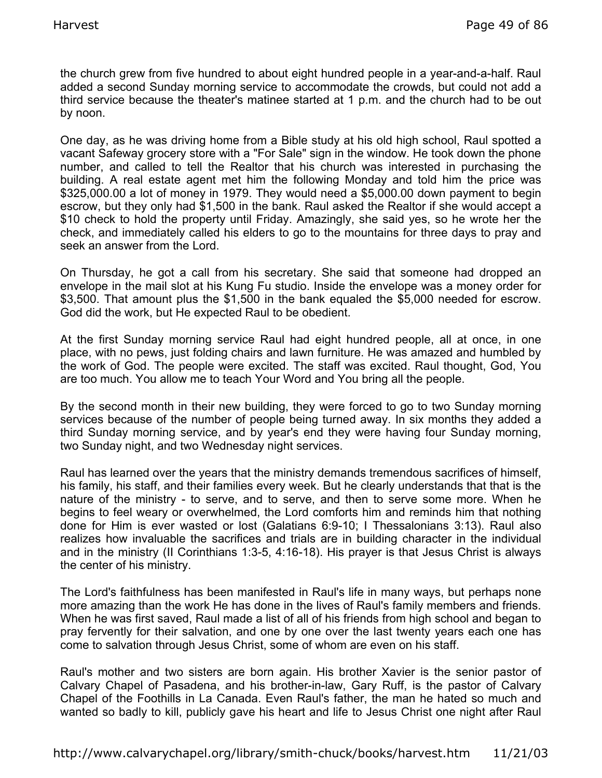the church grew from five hundred to about eight hundred people in a year-and-a-half. Raul added a second Sunday morning service to accommodate the crowds, but could not add a third service because the theater's matinee started at 1 p.m. and the church had to be out by noon.

One day, as he was driving home from a Bible study at his old high school, Raul spotted a vacant Safeway grocery store with a "For Sale" sign in the window. He took down the phone number, and called to tell the Realtor that his church was interested in purchasing the building. A real estate agent met him the following Monday and told him the price was \$325,000.00 a lot of money in 1979. They would need a \$5,000.00 down payment to begin escrow, but they only had \$1,500 in the bank. Raul asked the Realtor if she would accept a \$10 check to hold the property until Friday. Amazingly, she said yes, so he wrote her the check, and immediately called his elders to go to the mountains for three days to pray and seek an answer from the Lord.

On Thursday, he got a call from his secretary. She said that someone had dropped an envelope in the mail slot at his Kung Fu studio. Inside the envelope was a money order for \$3,500. That amount plus the \$1,500 in the bank equaled the \$5,000 needed for escrow. God did the work, but He expected Raul to be obedient.

At the first Sunday morning service Raul had eight hundred people, all at once, in one place, with no pews, just folding chairs and lawn furniture. He was amazed and humbled by the work of God. The people were excited. The staff was excited. Raul thought, God, You are too much. You allow me to teach Your Word and You bring all the people.

By the second month in their new building, they were forced to go to two Sunday morning services because of the number of people being turned away. In six months they added a third Sunday morning service, and by year's end they were having four Sunday morning, two Sunday night, and two Wednesday night services.

Raul has learned over the years that the ministry demands tremendous sacrifices of himself, his family, his staff, and their families every week. But he clearly understands that that is the nature of the ministry - to serve, and to serve, and then to serve some more. When he begins to feel weary or overwhelmed, the Lord comforts him and reminds him that nothing done for Him is ever wasted or lost (Galatians 6:9-10; I Thessalonians 3:13). Raul also realizes how invaluable the sacrifices and trials are in building character in the individual and in the ministry (II Corinthians 1:3-5, 4:16-18). His prayer is that Jesus Christ is always the center of his ministry.

The Lord's faithfulness has been manifested in Raul's life in many ways, but perhaps none more amazing than the work He has done in the lives of Raul's family members and friends. When he was first saved, Raul made a list of all of his friends from high school and began to pray fervently for their salvation, and one by one over the last twenty years each one has come to salvation through Jesus Christ, some of whom are even on his staff.

Raul's mother and two sisters are born again. His brother Xavier is the senior pastor of Calvary Chapel of Pasadena, and his brother-in-law, Gary Ruff, is the pastor of Calvary Chapel of the Foothills in La Canada. Even Raul's father, the man he hated so much and wanted so badly to kill, publicly gave his heart and life to Jesus Christ one night after Raul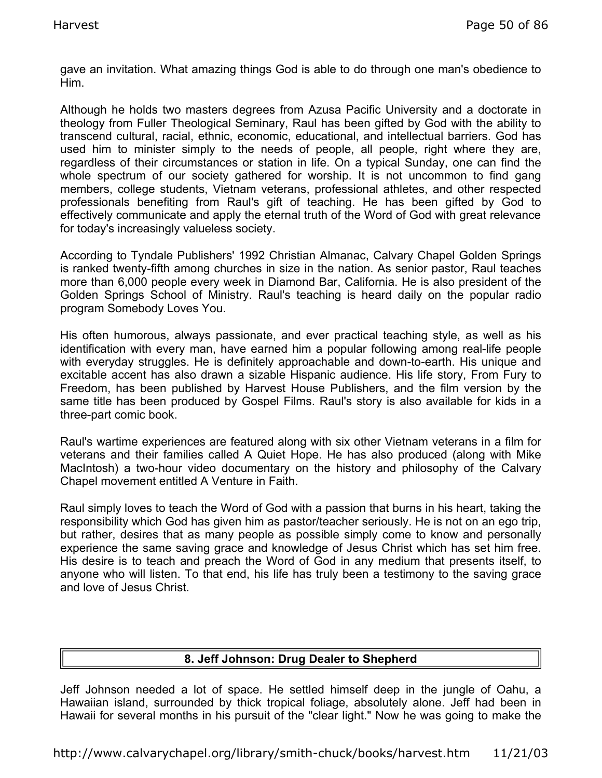gave an invitation. What amazing things God is able to do through one man's obedience to Him.

Although he holds two masters degrees from Azusa Pacific University and a doctorate in theology from Fuller Theological Seminary, Raul has been gifted by God with the ability to transcend cultural, racial, ethnic, economic, educational, and intellectual barriers. God has used him to minister simply to the needs of people, all people, right where they are, regardless of their circumstances or station in life. On a typical Sunday, one can find the whole spectrum of our society gathered for worship. It is not uncommon to find gang members, college students, Vietnam veterans, professional athletes, and other respected professionals benefiting from Raul's gift of teaching. He has been gifted by God to effectively communicate and apply the eternal truth of the Word of God with great relevance for today's increasingly valueless society.

According to Tyndale Publishers' 1992 Christian Almanac, Calvary Chapel Golden Springs is ranked twenty-fifth among churches in size in the nation. As senior pastor, Raul teaches more than 6,000 people every week in Diamond Bar, California. He is also president of the Golden Springs School of Ministry. Raul's teaching is heard daily on the popular radio program Somebody Loves You.

His often humorous, always passionate, and ever practical teaching style, as well as his identification with every man, have earned him a popular following among real-life people with everyday struggles. He is definitely approachable and down-to-earth. His unique and excitable accent has also drawn a sizable Hispanic audience. His life story, From Fury to Freedom, has been published by Harvest House Publishers, and the film version by the same title has been produced by Gospel Films. Raul's story is also available for kids in a three-part comic book.

Raul's wartime experiences are featured along with six other Vietnam veterans in a film for veterans and their families called A Quiet Hope. He has also produced (along with Mike MacIntosh) a two-hour video documentary on the history and philosophy of the Calvary Chapel movement entitled A Venture in Faith.

Raul simply loves to teach the Word of God with a passion that burns in his heart, taking the responsibility which God has given him as pastor/teacher seriously. He is not on an ego trip, but rather, desires that as many people as possible simply come to know and personally experience the same saving grace and knowledge of Jesus Christ which has set him free. His desire is to teach and preach the Word of God in any medium that presents itself, to anyone who will listen. To that end, his life has truly been a testimony to the saving grace and love of Jesus Christ.

## **8. Jeff Johnson: Drug Dealer to Shepherd**

Jeff Johnson needed a lot of space. He settled himself deep in the jungle of Oahu, a Hawaiian island, surrounded by thick tropical foliage, absolutely alone. Jeff had been in Hawaii for several months in his pursuit of the "clear light." Now he was going to make the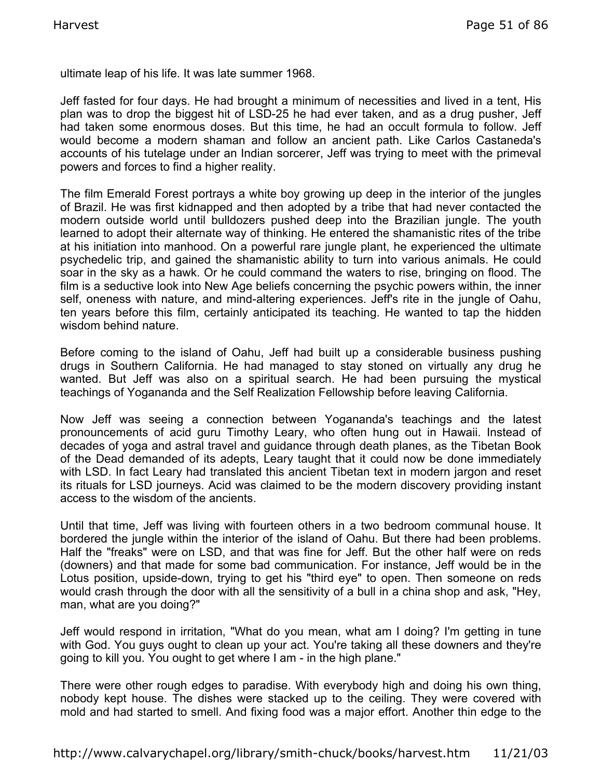ultimate leap of his life. It was late summer 1968.

Jeff fasted for four days. He had brought a minimum of necessities and lived in a tent, His plan was to drop the biggest hit of LSD-25 he had ever taken, and as a drug pusher, Jeff had taken some enormous doses. But this time, he had an occult formula to follow. Jeff would become a modern shaman and follow an ancient path. Like Carlos Castaneda's accounts of his tutelage under an Indian sorcerer, Jeff was trying to meet with the primeval powers and forces to find a higher reality.

The film Emerald Forest portrays a white boy growing up deep in the interior of the jungles of Brazil. He was first kidnapped and then adopted by a tribe that had never contacted the modern outside world until bulldozers pushed deep into the Brazilian jungle. The youth learned to adopt their alternate way of thinking. He entered the shamanistic rites of the tribe at his initiation into manhood. On a powerful rare jungle plant, he experienced the ultimate psychedelic trip, and gained the shamanistic ability to turn into various animals. He could soar in the sky as a hawk. Or he could command the waters to rise, bringing on flood. The film is a seductive look into New Age beliefs concerning the psychic powers within, the inner self, oneness with nature, and mind-altering experiences. Jeff's rite in the jungle of Oahu, ten years before this film, certainly anticipated its teaching. He wanted to tap the hidden wisdom behind nature.

Before coming to the island of Oahu, Jeff had built up a considerable business pushing drugs in Southern California. He had managed to stay stoned on virtually any drug he wanted. But Jeff was also on a spiritual search. He had been pursuing the mystical teachings of Yogananda and the Self Realization Fellowship before leaving California.

Now Jeff was seeing a connection between Yogananda's teachings and the latest pronouncements of acid guru Timothy Leary, who often hung out in Hawaii. Instead of decades of yoga and astral travel and guidance through death planes, as the Tibetan Book of the Dead demanded of its adepts, Leary taught that it could now be done immediately with LSD. In fact Leary had translated this ancient Tibetan text in modern jargon and reset its rituals for LSD journeys. Acid was claimed to be the modern discovery providing instant access to the wisdom of the ancients.

Until that time, Jeff was living with fourteen others in a two bedroom communal house. It bordered the jungle within the interior of the island of Oahu. But there had been problems. Half the "freaks" were on LSD, and that was fine for Jeff. But the other half were on reds (downers) and that made for some bad communication. For instance, Jeff would be in the Lotus position, upside-down, trying to get his "third eye" to open. Then someone on reds would crash through the door with all the sensitivity of a bull in a china shop and ask, "Hey, man, what are you doing?"

Jeff would respond in irritation, "What do you mean, what am I doing? I'm getting in tune with God. You guys ought to clean up your act. You're taking all these downers and they're going to kill you. You ought to get where I am - in the high plane."

There were other rough edges to paradise. With everybody high and doing his own thing, nobody kept house. The dishes were stacked up to the ceiling. They were covered with mold and had started to smell. And fixing food was a major effort. Another thin edge to the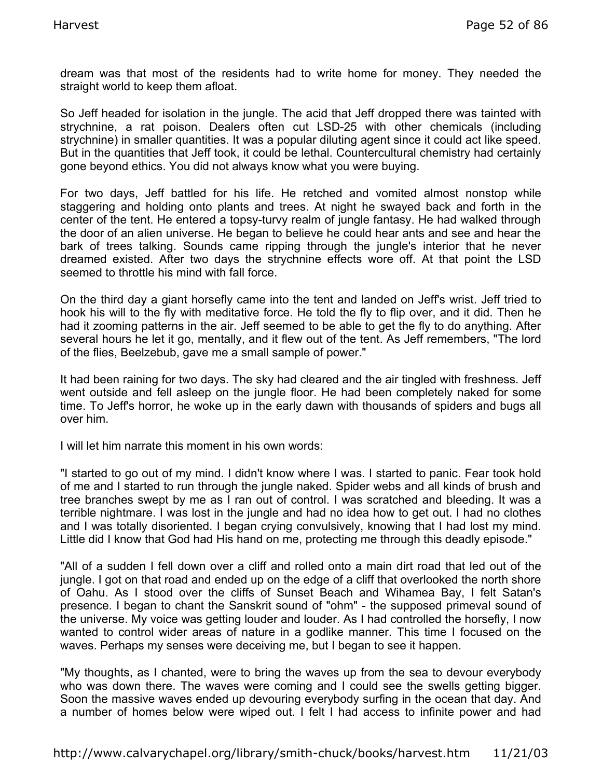dream was that most of the residents had to write home for money. They needed the straight world to keep them afloat.

So Jeff headed for isolation in the jungle. The acid that Jeff dropped there was tainted with strychnine, a rat poison. Dealers often cut LSD-25 with other chemicals (including strychnine) in smaller quantities. It was a popular diluting agent since it could act like speed. But in the quantities that Jeff took, it could be lethal. Countercultural chemistry had certainly gone beyond ethics. You did not always know what you were buying.

For two days, Jeff battled for his life. He retched and vomited almost nonstop while staggering and holding onto plants and trees. At night he swayed back and forth in the center of the tent. He entered a topsy-turvy realm of jungle fantasy. He had walked through the door of an alien universe. He began to believe he could hear ants and see and hear the bark of trees talking. Sounds came ripping through the jungle's interior that he never dreamed existed. After two days the strychnine effects wore off. At that point the LSD seemed to throttle his mind with fall force.

On the third day a giant horsefly came into the tent and landed on Jeff's wrist. Jeff tried to hook his will to the fly with meditative force. He told the fly to flip over, and it did. Then he had it zooming patterns in the air. Jeff seemed to be able to get the fly to do anything. After several hours he let it go, mentally, and it flew out of the tent. As Jeff remembers, "The lord of the flies, Beelzebub, gave me a small sample of power."

It had been raining for two days. The sky had cleared and the air tingled with freshness. Jeff went outside and fell asleep on the jungle floor. He had been completely naked for some time. To Jeff's horror, he woke up in the early dawn with thousands of spiders and bugs all over him.

I will let him narrate this moment in his own words:

"I started to go out of my mind. I didn't know where I was. I started to panic. Fear took hold of me and I started to run through the jungle naked. Spider webs and all kinds of brush and tree branches swept by me as I ran out of control. I was scratched and bleeding. It was a terrible nightmare. I was lost in the jungle and had no idea how to get out. I had no clothes and I was totally disoriented. I began crying convulsively, knowing that I had lost my mind. Little did I know that God had His hand on me, protecting me through this deadly episode."

"All of a sudden I fell down over a cliff and rolled onto a main dirt road that led out of the jungle. I got on that road and ended up on the edge of a cliff that overlooked the north shore of Oahu. As I stood over the cliffs of Sunset Beach and Wihamea Bay, I felt Satan's presence. I began to chant the Sanskrit sound of "ohm" - the supposed primeval sound of the universe. My voice was getting louder and louder. As I had controlled the horsefly, I now wanted to control wider areas of nature in a godlike manner. This time I focused on the waves. Perhaps my senses were deceiving me, but I began to see it happen.

"My thoughts, as I chanted, were to bring the waves up from the sea to devour everybody who was down there. The waves were coming and I could see the swells getting bigger. Soon the massive waves ended up devouring everybody surfing in the ocean that day. And a number of homes below were wiped out. I felt I had access to infinite power and had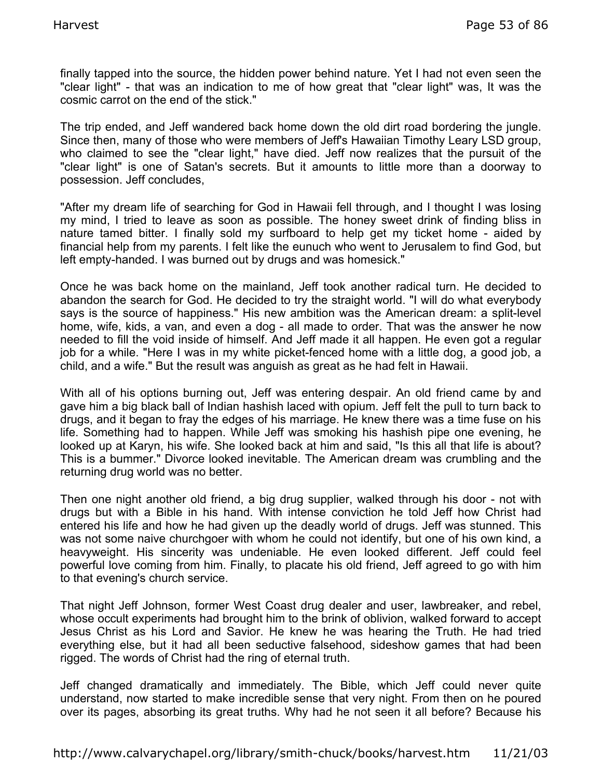finally tapped into the source, the hidden power behind nature. Yet I had not even seen the "clear light" - that was an indication to me of how great that "clear light" was, It was the cosmic carrot on the end of the stick."

The trip ended, and Jeff wandered back home down the old dirt road bordering the jungle. Since then, many of those who were members of Jeff's Hawaiian Timothy Leary LSD group, who claimed to see the "clear light," have died. Jeff now realizes that the pursuit of the "clear light" is one of Satan's secrets. But it amounts to little more than a doorway to possession. Jeff concludes,

"After my dream life of searching for God in Hawaii fell through, and I thought I was losing my mind, I tried to leave as soon as possible. The honey sweet drink of finding bliss in nature tamed bitter. I finally sold my surfboard to help get my ticket home - aided by financial help from my parents. I felt like the eunuch who went to Jerusalem to find God, but left empty-handed. I was burned out by drugs and was homesick."

Once he was back home on the mainland, Jeff took another radical turn. He decided to abandon the search for God. He decided to try the straight world. "I will do what everybody says is the source of happiness." His new ambition was the American dream: a split-level home, wife, kids, a van, and even a dog - all made to order. That was the answer he now needed to fill the void inside of himself. And Jeff made it all happen. He even got a regular job for a while. "Here I was in my white picket-fenced home with a little dog, a good job, a child, and a wife." But the result was anguish as great as he had felt in Hawaii.

With all of his options burning out, Jeff was entering despair. An old friend came by and gave him a big black ball of Indian hashish laced with opium. Jeff felt the pull to turn back to drugs, and it began to fray the edges of his marriage. He knew there was a time fuse on his life. Something had to happen. While Jeff was smoking his hashish pipe one evening, he looked up at Karyn, his wife. She looked back at him and said, "Is this all that life is about? This is a bummer." Divorce looked inevitable. The American dream was crumbling and the returning drug world was no better.

Then one night another old friend, a big drug supplier, walked through his door - not with drugs but with a Bible in his hand. With intense conviction he told Jeff how Christ had entered his life and how he had given up the deadly world of drugs. Jeff was stunned. This was not some naive churchgoer with whom he could not identify, but one of his own kind, a heavyweight. His sincerity was undeniable. He even looked different. Jeff could feel powerful love coming from him. Finally, to placate his old friend, Jeff agreed to go with him to that evening's church service.

That night Jeff Johnson, former West Coast drug dealer and user, lawbreaker, and rebel, whose occult experiments had brought him to the brink of oblivion, walked forward to accept Jesus Christ as his Lord and Savior. He knew he was hearing the Truth. He had tried everything else, but it had all been seductive falsehood, sideshow games that had been rigged. The words of Christ had the ring of eternal truth.

Jeff changed dramatically and immediately. The Bible, which Jeff could never quite understand, now started to make incredible sense that very night. From then on he poured over its pages, absorbing its great truths. Why had he not seen it all before? Because his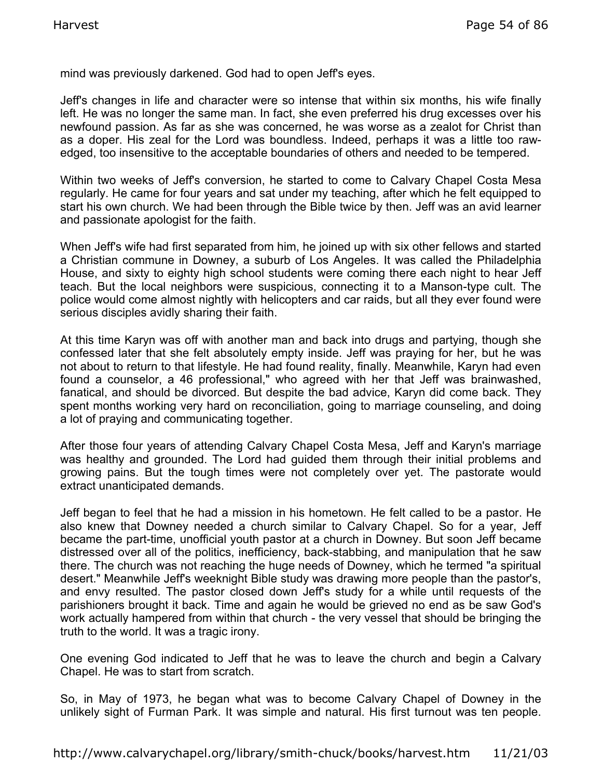mind was previously darkened. God had to open Jeff's eyes.

Jeff's changes in life and character were so intense that within six months, his wife finally left. He was no longer the same man. In fact, she even preferred his drug excesses over his newfound passion. As far as she was concerned, he was worse as a zealot for Christ than as a doper. His zeal for the Lord was boundless. Indeed, perhaps it was a little too rawedged, too insensitive to the acceptable boundaries of others and needed to be tempered.

Within two weeks of Jeff's conversion, he started to come to Calvary Chapel Costa Mesa regularly. He came for four years and sat under my teaching, after which he felt equipped to start his own church. We had been through the Bible twice by then. Jeff was an avid learner and passionate apologist for the faith.

When Jeff's wife had first separated from him, he joined up with six other fellows and started a Christian commune in Downey, a suburb of Los Angeles. It was called the Philadelphia House, and sixty to eighty high school students were coming there each night to hear Jeff teach. But the local neighbors were suspicious, connecting it to a Manson-type cult. The police would come almost nightly with helicopters and car raids, but all they ever found were serious disciples avidly sharing their faith.

At this time Karyn was off with another man and back into drugs and partying, though she confessed later that she felt absolutely empty inside. Jeff was praying for her, but he was not about to return to that lifestyle. He had found reality, finally. Meanwhile, Karyn had even found a counselor, a 46 professional," who agreed with her that Jeff was brainwashed, fanatical, and should be divorced. But despite the bad advice, Karyn did come back. They spent months working very hard on reconciliation, going to marriage counseling, and doing a lot of praying and communicating together.

After those four years of attending Calvary Chapel Costa Mesa, Jeff and Karyn's marriage was healthy and grounded. The Lord had guided them through their initial problems and growing pains. But the tough times were not completely over yet. The pastorate would extract unanticipated demands.

Jeff began to feel that he had a mission in his hometown. He felt called to be a pastor. He also knew that Downey needed a church similar to Calvary Chapel. So for a year, Jeff became the part-time, unofficial youth pastor at a church in Downey. But soon Jeff became distressed over all of the politics, inefficiency, back-stabbing, and manipulation that he saw there. The church was not reaching the huge needs of Downey, which he termed "a spiritual desert." Meanwhile Jeff's weeknight Bible study was drawing more people than the pastor's, and envy resulted. The pastor closed down Jeff's study for a while until requests of the parishioners brought it back. Time and again he would be grieved no end as be saw God's work actually hampered from within that church - the very vessel that should be bringing the truth to the world. It was a tragic irony.

One evening God indicated to Jeff that he was to leave the church and begin a Calvary Chapel. He was to start from scratch.

So, in May of 1973, he began what was to become Calvary Chapel of Downey in the unlikely sight of Furman Park. It was simple and natural. His first turnout was ten people.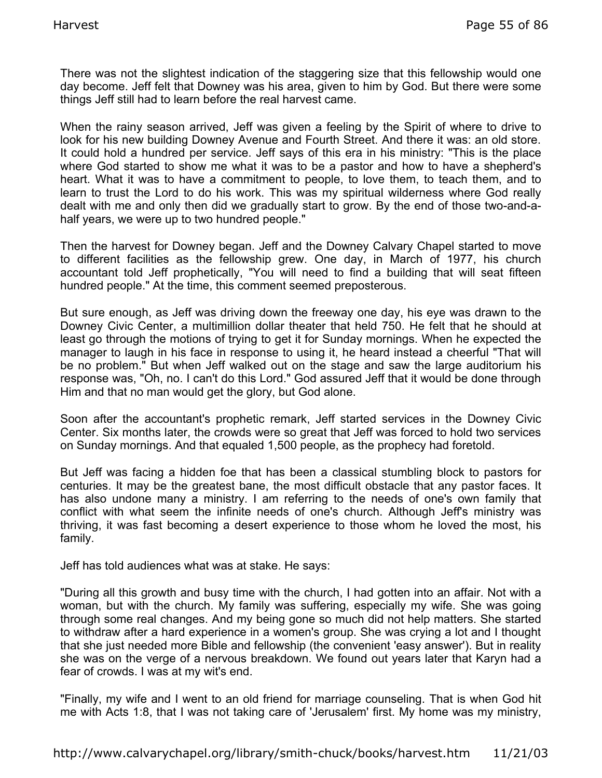There was not the slightest indication of the staggering size that this fellowship would one day become. Jeff felt that Downey was his area, given to him by God. But there were some things Jeff still had to learn before the real harvest came.

When the rainy season arrived, Jeff was given a feeling by the Spirit of where to drive to look for his new building Downey Avenue and Fourth Street. And there it was: an old store. It could hold a hundred per service. Jeff says of this era in his ministry: "This is the place where God started to show me what it was to be a pastor and how to have a shepherd's heart. What it was to have a commitment to people, to love them, to teach them, and to learn to trust the Lord to do his work. This was my spiritual wilderness where God really dealt with me and only then did we gradually start to grow. By the end of those two-and-ahalf years, we were up to two hundred people."

Then the harvest for Downey began. Jeff and the Downey Calvary Chapel started to move to different facilities as the fellowship grew. One day, in March of 1977, his church accountant told Jeff prophetically, "You will need to find a building that will seat fifteen hundred people." At the time, this comment seemed preposterous.

But sure enough, as Jeff was driving down the freeway one day, his eye was drawn to the Downey Civic Center, a multimillion dollar theater that held 750. He felt that he should at least go through the motions of trying to get it for Sunday mornings. When he expected the manager to laugh in his face in response to using it, he heard instead a cheerful "That will be no problem." But when Jeff walked out on the stage and saw the large auditorium his response was, "Oh, no. I can't do this Lord." God assured Jeff that it would be done through Him and that no man would get the glory, but God alone.

Soon after the accountant's prophetic remark, Jeff started services in the Downey Civic Center. Six months later, the crowds were so great that Jeff was forced to hold two services on Sunday mornings. And that equaled 1,500 people, as the prophecy had foretold.

But Jeff was facing a hidden foe that has been a classical stumbling block to pastors for centuries. It may be the greatest bane, the most difficult obstacle that any pastor faces. It has also undone many a ministry. I am referring to the needs of one's own family that conflict with what seem the infinite needs of one's church. Although Jeff's ministry was thriving, it was fast becoming a desert experience to those whom he loved the most, his family.

Jeff has told audiences what was at stake. He says:

"During all this growth and busy time with the church, I had gotten into an affair. Not with a woman, but with the church. My family was suffering, especially my wife. She was going through some real changes. And my being gone so much did not help matters. She started to withdraw after a hard experience in a women's group. She was crying a lot and I thought that she just needed more Bible and fellowship (the convenient 'easy answer'). But in reality she was on the verge of a nervous breakdown. We found out years later that Karyn had a fear of crowds. I was at my wit's end.

"Finally, my wife and I went to an old friend for marriage counseling. That is when God hit me with Acts 1:8, that I was not taking care of 'Jerusalem' first. My home was my ministry,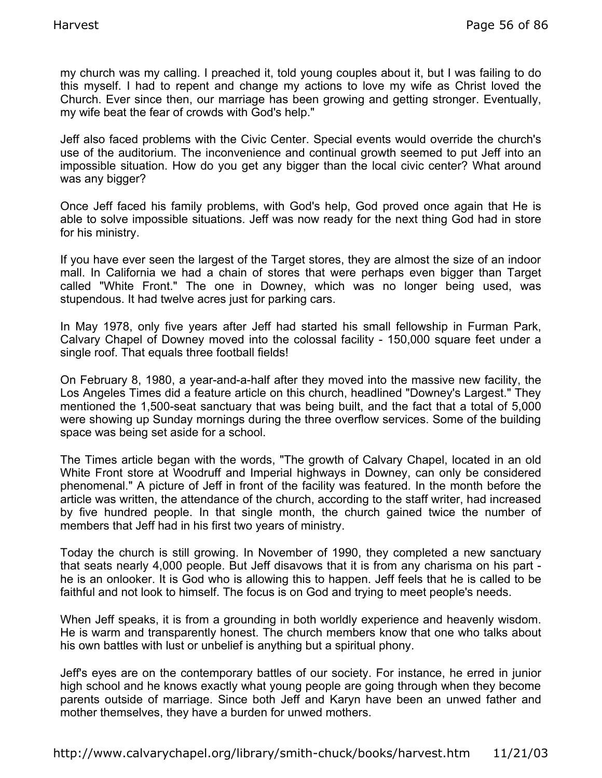my church was my calling. I preached it, told young couples about it, but I was failing to do this myself. I had to repent and change my actions to love my wife as Christ loved the Church. Ever since then, our marriage has been growing and getting stronger. Eventually, my wife beat the fear of crowds with God's help."

Jeff also faced problems with the Civic Center. Special events would override the church's use of the auditorium. The inconvenience and continual growth seemed to put Jeff into an impossible situation. How do you get any bigger than the local civic center? What around was any bigger?

Once Jeff faced his family problems, with God's help, God proved once again that He is able to solve impossible situations. Jeff was now ready for the next thing God had in store for his ministry.

If you have ever seen the largest of the Target stores, they are almost the size of an indoor mall. In California we had a chain of stores that were perhaps even bigger than Target called "White Front." The one in Downey, which was no longer being used, was stupendous. It had twelve acres just for parking cars.

In May 1978, only five years after Jeff had started his small fellowship in Furman Park, Calvary Chapel of Downey moved into the colossal facility - 150,000 square feet under a single roof. That equals three football fields!

On February 8, 1980, a year-and-a-half after they moved into the massive new facility, the Los Angeles Times did a feature article on this church, headlined "Downey's Largest." They mentioned the 1,500-seat sanctuary that was being built, and the fact that a total of 5,000 were showing up Sunday mornings during the three overflow services. Some of the building space was being set aside for a school.

The Times article began with the words, "The growth of Calvary Chapel, located in an old White Front store at Woodruff and Imperial highways in Downey, can only be considered phenomenal." A picture of Jeff in front of the facility was featured. In the month before the article was written, the attendance of the church, according to the staff writer, had increased by five hundred people. In that single month, the church gained twice the number of members that Jeff had in his first two years of ministry.

Today the church is still growing. In November of 1990, they completed a new sanctuary that seats nearly 4,000 people. But Jeff disavows that it is from any charisma on his part he is an onlooker. It is God who is allowing this to happen. Jeff feels that he is called to be faithful and not look to himself. The focus is on God and trying to meet people's needs.

When Jeff speaks, it is from a grounding in both worldly experience and heavenly wisdom. He is warm and transparently honest. The church members know that one who talks about his own battles with lust or unbelief is anything but a spiritual phony.

Jeff's eyes are on the contemporary battles of our society. For instance, he erred in junior high school and he knows exactly what young people are going through when they become parents outside of marriage. Since both Jeff and Karyn have been an unwed father and mother themselves, they have a burden for unwed mothers.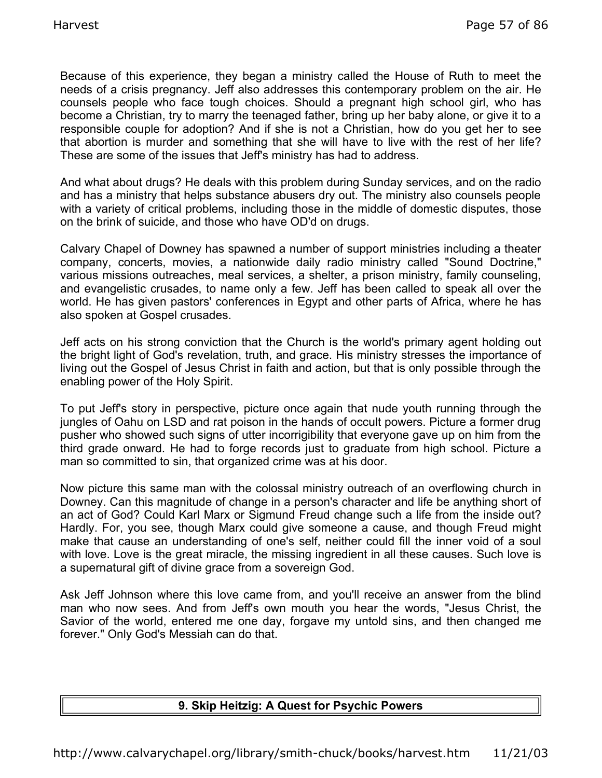Because of this experience, they began a ministry called the House of Ruth to meet the needs of a crisis pregnancy. Jeff also addresses this contemporary problem on the air. He counsels people who face tough choices. Should a pregnant high school girl, who has become a Christian, try to marry the teenaged father, bring up her baby alone, or give it to a responsible couple for adoption? And if she is not a Christian, how do you get her to see that abortion is murder and something that she will have to live with the rest of her life? These are some of the issues that Jeff's ministry has had to address.

And what about drugs? He deals with this problem during Sunday services, and on the radio and has a ministry that helps substance abusers dry out. The ministry also counsels people with a variety of critical problems, including those in the middle of domestic disputes, those on the brink of suicide, and those who have OD'd on drugs.

Calvary Chapel of Downey has spawned a number of support ministries including a theater company, concerts, movies, a nationwide daily radio ministry called "Sound Doctrine," various missions outreaches, meal services, a shelter, a prison ministry, family counseling, and evangelistic crusades, to name only a few. Jeff has been called to speak all over the world. He has given pastors' conferences in Egypt and other parts of Africa, where he has also spoken at Gospel crusades.

Jeff acts on his strong conviction that the Church is the world's primary agent holding out the bright light of God's revelation, truth, and grace. His ministry stresses the importance of living out the Gospel of Jesus Christ in faith and action, but that is only possible through the enabling power of the Holy Spirit.

To put Jeff's story in perspective, picture once again that nude youth running through the jungles of Oahu on LSD and rat poison in the hands of occult powers. Picture a former drug pusher who showed such signs of utter incorrigibility that everyone gave up on him from the third grade onward. He had to forge records just to graduate from high school. Picture a man so committed to sin, that organized crime was at his door.

Now picture this same man with the colossal ministry outreach of an overflowing church in Downey. Can this magnitude of change in a person's character and life be anything short of an act of God? Could Karl Marx or Sigmund Freud change such a life from the inside out? Hardly. For, you see, though Marx could give someone a cause, and though Freud might make that cause an understanding of one's self, neither could fill the inner void of a soul with love. Love is the great miracle, the missing ingredient in all these causes. Such love is a supernatural gift of divine grace from a sovereign God.

Ask Jeff Johnson where this love came from, and you'll receive an answer from the blind man who now sees. And from Jeff's own mouth you hear the words, "Jesus Christ, the Savior of the world, entered me one day, forgave my untold sins, and then changed me forever." Only God's Messiah can do that.

#### **9. Skip Heitzig: A Quest for Psychic Powers**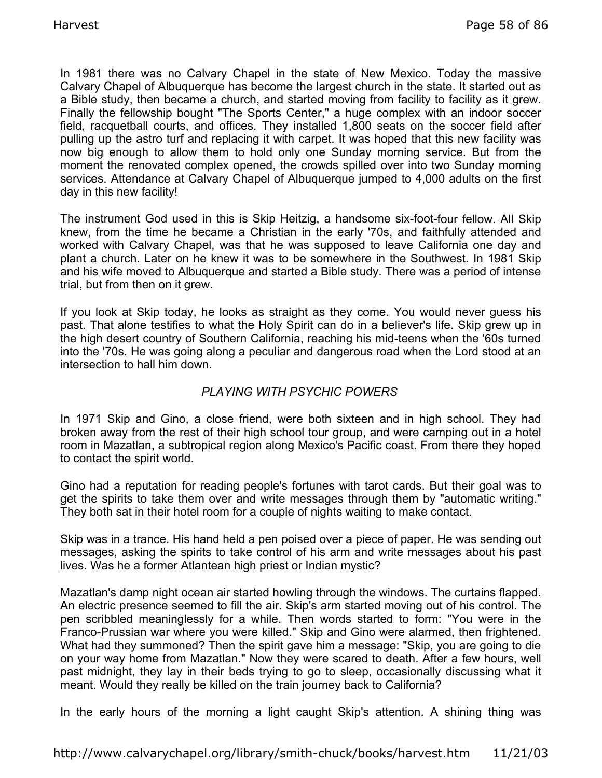In 1981 there was no Calvary Chapel in the state of New Mexico. Today the massive Calvary Chapel of Albuquerque has become the largest church in the state. It started out as a Bible study, then became a church, and started moving from facility to facility as it grew. Finally the fellowship bought "The Sports Center," a huge complex with an indoor soccer field, racquetball courts, and offices. They installed 1,800 seats on the soccer field after pulling up the astro turf and replacing it with carpet. It was hoped that this new facility was now big enough to allow them to hold only one Sunday morning service. But from the moment the renovated complex opened, the crowds spilled over into two Sunday morning services. Attendance at Calvary Chapel of Albuquerque jumped to 4,000 adults on the first day in this new facility!

The instrument God used in this is Skip Heitzig, a handsome six-foot-four fellow. All Skip knew, from the time he became a Christian in the early '70s, and faithfully attended and worked with Calvary Chapel, was that he was supposed to leave California one day and plant a church. Later on he knew it was to be somewhere in the Southwest. In 1981 Skip and his wife moved to Albuquerque and started a Bible study. There was a period of intense trial, but from then on it grew.

If you look at Skip today, he looks as straight as they come. You would never guess his past. That alone testifies to what the Holy Spirit can do in a believer's life. Skip grew up in the high desert country of Southern California, reaching his mid-teens when the '60s turned into the '70s. He was going along a peculiar and dangerous road when the Lord stood at an intersection to hall him down.

## *PLAYING WITH PSYCHIC POWERS*

In 1971 Skip and Gino, a close friend, were both sixteen and in high school. They had broken away from the rest of their high school tour group, and were camping out in a hotel room in Mazatlan, a subtropical region along Mexico's Pacific coast. From there they hoped to contact the spirit world.

Gino had a reputation for reading people's fortunes with tarot cards. But their goal was to get the spirits to take them over and write messages through them by "automatic writing." They both sat in their hotel room for a couple of nights waiting to make contact.

Skip was in a trance. His hand held a pen poised over a piece of paper. He was sending out messages, asking the spirits to take control of his arm and write messages about his past lives. Was he a former Atlantean high priest or Indian mystic?

Mazatlan's damp night ocean air started howling through the windows. The curtains flapped. An electric presence seemed to fill the air. Skip's arm started moving out of his control. The pen scribbled meaninglessly for a while. Then words started to form: "You were in the Franco-Prussian war where you were killed." Skip and Gino were alarmed, then frightened. What had they summoned? Then the spirit gave him a message: "Skip, you are going to die on your way home from Mazatlan." Now they were scared to death. After a few hours, well past midnight, they lay in their beds trying to go to sleep, occasionally discussing what it meant. Would they really be killed on the train journey back to California?

In the early hours of the morning a light caught Skip's attention. A shining thing was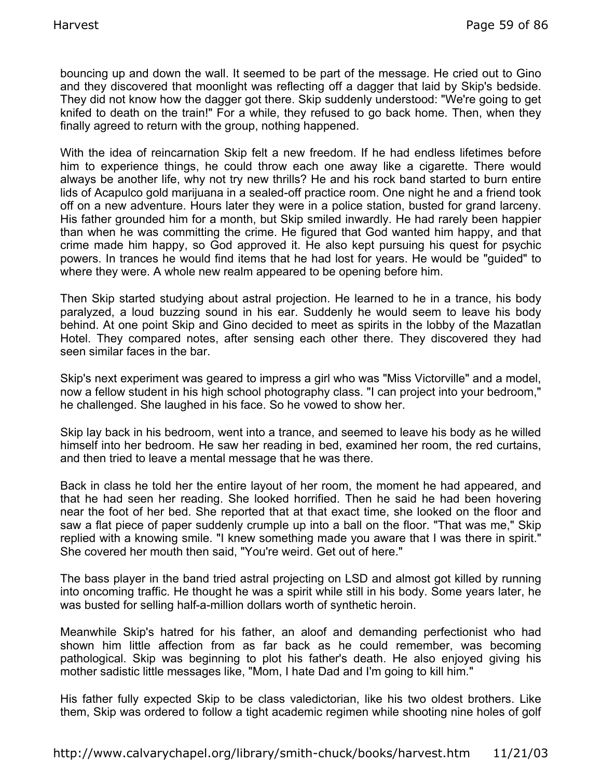bouncing up and down the wall. It seemed to be part of the message. He cried out to Gino and they discovered that moonlight was reflecting off a dagger that laid by Skip's bedside. They did not know how the dagger got there. Skip suddenly understood: "We're going to get knifed to death on the train!" For a while, they refused to go back home. Then, when they finally agreed to return with the group, nothing happened.

With the idea of reincarnation Skip felt a new freedom. If he had endless lifetimes before him to experience things, he could throw each one away like a cigarette. There would always be another life, why not try new thrills? He and his rock band started to burn entire lids of Acapulco gold marijuana in a sealed-off practice room. One night he and a friend took off on a new adventure. Hours later they were in a police station, busted for grand larceny. His father grounded him for a month, but Skip smiled inwardly. He had rarely been happier than when he was committing the crime. He figured that God wanted him happy, and that crime made him happy, so God approved it. He also kept pursuing his quest for psychic powers. In trances he would find items that he had lost for years. He would be "guided" to where they were. A whole new realm appeared to be opening before him.

Then Skip started studying about astral projection. He learned to he in a trance, his body paralyzed, a loud buzzing sound in his ear. Suddenly he would seem to leave his body behind. At one point Skip and Gino decided to meet as spirits in the lobby of the Mazatlan Hotel. They compared notes, after sensing each other there. They discovered they had seen similar faces in the bar.

Skip's next experiment was geared to impress a girl who was "Miss Victorville" and a model, now a fellow student in his high school photography class. "I can project into your bedroom," he challenged. She laughed in his face. So he vowed to show her.

Skip lay back in his bedroom, went into a trance, and seemed to leave his body as he willed himself into her bedroom. He saw her reading in bed, examined her room, the red curtains, and then tried to leave a mental message that he was there.

Back in class he told her the entire layout of her room, the moment he had appeared, and that he had seen her reading. She looked horrified. Then he said he had been hovering near the foot of her bed. She reported that at that exact time, she looked on the floor and saw a flat piece of paper suddenly crumple up into a ball on the floor. "That was me," Skip replied with a knowing smile. "I knew something made you aware that I was there in spirit." She covered her mouth then said, "You're weird. Get out of here."

The bass player in the band tried astral projecting on LSD and almost got killed by running into oncoming traffic. He thought he was a spirit while still in his body. Some years later, he was busted for selling half-a-million dollars worth of synthetic heroin.

Meanwhile Skip's hatred for his father, an aloof and demanding perfectionist who had shown him little affection from as far back as he could remember, was becoming pathological. Skip was beginning to plot his father's death. He also enjoyed giving his mother sadistic little messages like, "Mom, I hate Dad and I'm going to kill him."

His father fully expected Skip to be class valedictorian, like his two oldest brothers. Like them, Skip was ordered to follow a tight academic regimen while shooting nine holes of golf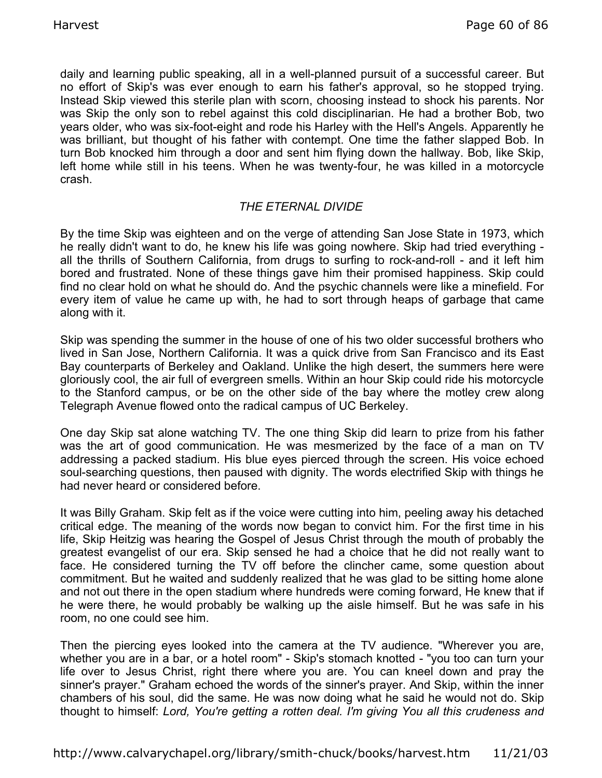daily and learning public speaking, all in a well-planned pursuit of a successful career. But no effort of Skip's was ever enough to earn his father's approval, so he stopped trying. Instead Skip viewed this sterile plan with scorn, choosing instead to shock his parents. Nor was Skip the only son to rebel against this cold disciplinarian. He had a brother Bob, two years older, who was six-foot-eight and rode his Harley with the Hell's Angels. Apparently he was brilliant, but thought of his father with contempt. One time the father slapped Bob. In turn Bob knocked him through a door and sent him flying down the hallway. Bob, like Skip, left home while still in his teens. When he was twenty-four, he was killed in a motorcycle crash.

## *THE ETERNAL DIVIDE*

By the time Skip was eighteen and on the verge of attending San Jose State in 1973, which he really didn't want to do, he knew his life was going nowhere. Skip had tried everything all the thrills of Southern California, from drugs to surfing to rock-and-roll - and it left him bored and frustrated. None of these things gave him their promised happiness. Skip could find no clear hold on what he should do. And the psychic channels were like a minefield. For every item of value he came up with, he had to sort through heaps of garbage that came along with it.

Skip was spending the summer in the house of one of his two older successful brothers who lived in San Jose, Northern California. It was a quick drive from San Francisco and its East Bay counterparts of Berkeley and Oakland. Unlike the high desert, the summers here were gloriously cool, the air full of evergreen smells. Within an hour Skip could ride his motorcycle to the Stanford campus, or be on the other side of the bay where the motley crew along Telegraph Avenue flowed onto the radical campus of UC Berkeley.

One day Skip sat alone watching TV. The one thing Skip did learn to prize from his father was the art of good communication. He was mesmerized by the face of a man on TV addressing a packed stadium. His blue eyes pierced through the screen. His voice echoed soul-searching questions, then paused with dignity. The words electrified Skip with things he had never heard or considered before.

It was Billy Graham. Skip felt as if the voice were cutting into him, peeling away his detached critical edge. The meaning of the words now began to convict him. For the first time in his life, Skip Heitzig was hearing the Gospel of Jesus Christ through the mouth of probably the greatest evangelist of our era. Skip sensed he had a choice that he did not really want to face. He considered turning the TV off before the clincher came, some question about commitment. But he waited and suddenly realized that he was glad to be sitting home alone and not out there in the open stadium where hundreds were coming forward, He knew that if he were there, he would probably be walking up the aisle himself. But he was safe in his room, no one could see him.

Then the piercing eyes looked into the camera at the TV audience. "Wherever you are, whether you are in a bar, or a hotel room" - Skip's stomach knotted - "you too can turn your life over to Jesus Christ, right there where you are. You can kneel down and pray the sinner's prayer." Graham echoed the words of the sinner's prayer. And Skip, within the inner chambers of his soul, did the same. He was now doing what he said he would not do. Skip thought to himself: *Lord, You're getting a rotten deal. I'm giving You all this crudeness and*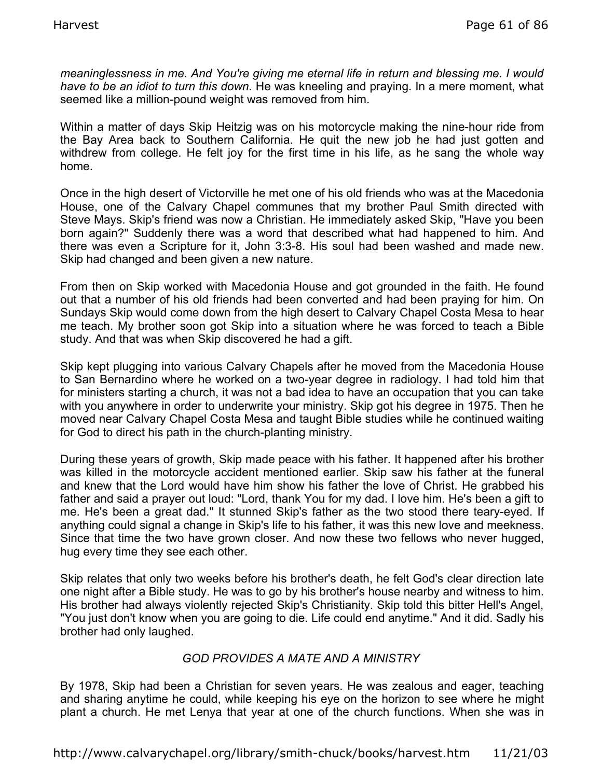*meaninglessness in me. And You're giving me eternal life in return and blessing me. I would have to be an idiot to turn this down.* He was kneeling and praying. In a mere moment, what seemed like a million-pound weight was removed from him.

Within a matter of days Skip Heitzig was on his motorcycle making the nine-hour ride from the Bay Area back to Southern California. He quit the new job he had just gotten and withdrew from college. He felt joy for the first time in his life, as he sang the whole way home.

Once in the high desert of Victorville he met one of his old friends who was at the Macedonia House, one of the Calvary Chapel communes that my brother Paul Smith directed with Steve Mays. Skip's friend was now a Christian. He immediately asked Skip, "Have you been born again?" Suddenly there was a word that described what had happened to him. And there was even a Scripture for it, John 3:3-8. His soul had been washed and made new. Skip had changed and been given a new nature.

From then on Skip worked with Macedonia House and got grounded in the faith. He found out that a number of his old friends had been converted and had been praying for him. On Sundays Skip would come down from the high desert to Calvary Chapel Costa Mesa to hear me teach. My brother soon got Skip into a situation where he was forced to teach a Bible study. And that was when Skip discovered he had a gift.

Skip kept plugging into various Calvary Chapels after he moved from the Macedonia House to San Bernardino where he worked on a two-year degree in radiology. I had told him that for ministers starting a church, it was not a bad idea to have an occupation that you can take with you anywhere in order to underwrite your ministry. Skip got his degree in 1975. Then he moved near Calvary Chapel Costa Mesa and taught Bible studies while he continued waiting for God to direct his path in the church-planting ministry.

During these years of growth, Skip made peace with his father. It happened after his brother was killed in the motorcycle accident mentioned earlier. Skip saw his father at the funeral and knew that the Lord would have him show his father the love of Christ. He grabbed his father and said a prayer out loud: "Lord, thank You for my dad. I love him. He's been a gift to me. He's been a great dad." It stunned Skip's father as the two stood there teary-eyed. If anything could signal a change in Skip's life to his father, it was this new love and meekness. Since that time the two have grown closer. And now these two fellows who never hugged, hug every time they see each other.

Skip relates that only two weeks before his brother's death, he felt God's clear direction late one night after a Bible study. He was to go by his brother's house nearby and witness to him. His brother had always violently rejected Skip's Christianity. Skip told this bitter Hell's Angel, "You just don't know when you are going to die. Life could end anytime." And it did. Sadly his brother had only laughed.

#### *GOD PROVIDES A MATE AND A MINISTRY*

By 1978, Skip had been a Christian for seven years. He was zealous and eager, teaching and sharing anytime he could, while keeping his eye on the horizon to see where he might plant a church. He met Lenya that year at one of the church functions. When she was in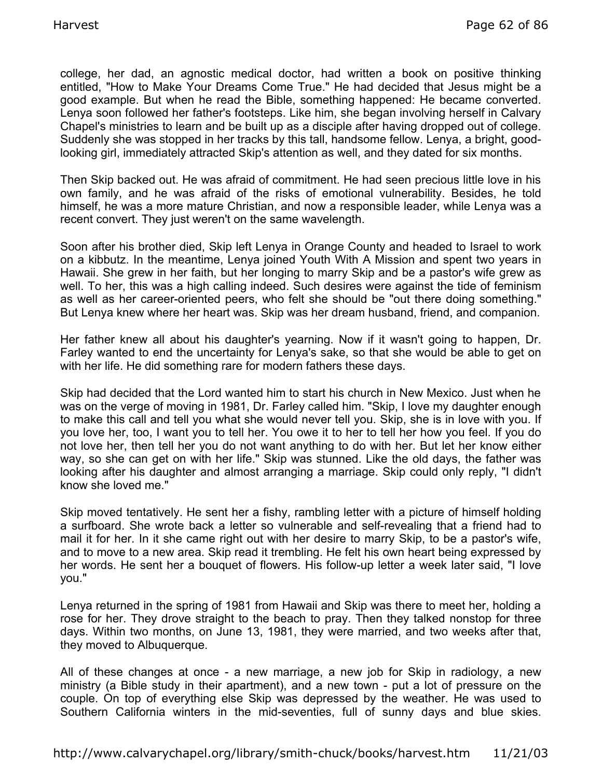college, her dad, an agnostic medical doctor, had written a book on positive thinking entitled, "How to Make Your Dreams Come True." He had decided that Jesus might be a good example. But when he read the Bible, something happened: He became converted. Lenya soon followed her father's footsteps. Like him, she began involving herself in Calvary Chapel's ministries to learn and be built up as a disciple after having dropped out of college. Suddenly she was stopped in her tracks by this tall, handsome fellow. Lenya, a bright, goodlooking girl, immediately attracted Skip's attention as well, and they dated for six months.

Then Skip backed out. He was afraid of commitment. He had seen precious little love in his own family, and he was afraid of the risks of emotional vulnerability. Besides, he told himself, he was a more mature Christian, and now a responsible leader, while Lenya was a recent convert. They just weren't on the same wavelength.

Soon after his brother died, Skip left Lenya in Orange County and headed to Israel to work on a kibbutz. In the meantime, Lenya joined Youth With A Mission and spent two years in Hawaii. She grew in her faith, but her longing to marry Skip and be a pastor's wife grew as well. To her, this was a high calling indeed. Such desires were against the tide of feminism as well as her career-oriented peers, who felt she should be "out there doing something." But Lenya knew where her heart was. Skip was her dream husband, friend, and companion.

Her father knew all about his daughter's yearning. Now if it wasn't going to happen, Dr. Farley wanted to end the uncertainty for Lenya's sake, so that she would be able to get on with her life. He did something rare for modern fathers these days.

Skip had decided that the Lord wanted him to start his church in New Mexico. Just when he was on the verge of moving in 1981, Dr. Farley called him. "Skip, I love my daughter enough to make this call and tell you what she would never tell you. Skip, she is in love with you. If you love her, too, I want you to tell her. You owe it to her to tell her how you feel. If you do not love her, then tell her you do not want anything to do with her. But let her know either way, so she can get on with her life." Skip was stunned. Like the old days, the father was looking after his daughter and almost arranging a marriage. Skip could only reply, "I didn't know she loved me."

Skip moved tentatively. He sent her a fishy, rambling letter with a picture of himself holding a surfboard. She wrote back a letter so vulnerable and self-revealing that a friend had to mail it for her. In it she came right out with her desire to marry Skip, to be a pastor's wife, and to move to a new area. Skip read it trembling. He felt his own heart being expressed by her words. He sent her a bouquet of flowers. His follow-up letter a week later said, "I love you."

Lenya returned in the spring of 1981 from Hawaii and Skip was there to meet her, holding a rose for her. They drove straight to the beach to pray. Then they talked nonstop for three days. Within two months, on June 13, 1981, they were married, and two weeks after that, they moved to Albuquerque.

All of these changes at once - a new marriage, a new job for Skip in radiology, a new ministry (a Bible study in their apartment), and a new town - put a lot of pressure on the couple. On top of everything else Skip was depressed by the weather. He was used to Southern California winters in the mid-seventies, full of sunny days and blue skies.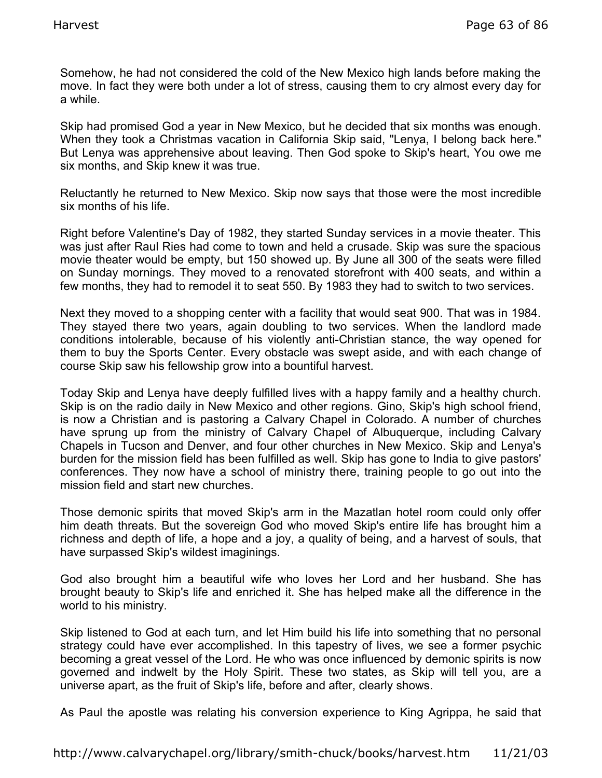Somehow, he had not considered the cold of the New Mexico high lands before making the move. In fact they were both under a lot of stress, causing them to cry almost every day for a while.

Skip had promised God a year in New Mexico, but he decided that six months was enough. When they took a Christmas vacation in California Skip said, "Lenya, I belong back here." But Lenya was apprehensive about leaving. Then God spoke to Skip's heart, You owe me six months, and Skip knew it was true.

Reluctantly he returned to New Mexico. Skip now says that those were the most incredible six months of his life.

Right before Valentine's Day of 1982, they started Sunday services in a movie theater. This was just after Raul Ries had come to town and held a crusade. Skip was sure the spacious movie theater would be empty, but 150 showed up. By June all 300 of the seats were filled on Sunday mornings. They moved to a renovated storefront with 400 seats, and within a few months, they had to remodel it to seat 550. By 1983 they had to switch to two services.

Next they moved to a shopping center with a facility that would seat 900. That was in 1984. They stayed there two years, again doubling to two services. When the landlord made conditions intolerable, because of his violently anti-Christian stance, the way opened for them to buy the Sports Center. Every obstacle was swept aside, and with each change of course Skip saw his fellowship grow into a bountiful harvest.

Today Skip and Lenya have deeply fulfilled lives with a happy family and a healthy church. Skip is on the radio daily in New Mexico and other regions. Gino, Skip's high school friend, is now a Christian and is pastoring a Calvary Chapel in Colorado. A number of churches have sprung up from the ministry of Calvary Chapel of Albuquerque, including Calvary Chapels in Tucson and Denver, and four other churches in New Mexico. Skip and Lenya's burden for the mission field has been fulfilled as well. Skip has gone to India to give pastors' conferences. They now have a school of ministry there, training people to go out into the mission field and start new churches.

Those demonic spirits that moved Skip's arm in the Mazatlan hotel room could only offer him death threats. But the sovereign God who moved Skip's entire life has brought him a richness and depth of life, a hope and a joy, a quality of being, and a harvest of souls, that have surpassed Skip's wildest imaginings.

God also brought him a beautiful wife who loves her Lord and her husband. She has brought beauty to Skip's life and enriched it. She has helped make all the difference in the world to his ministry.

Skip listened to God at each turn, and let Him build his life into something that no personal strategy could have ever accomplished. In this tapestry of lives, we see a former psychic becoming a great vessel of the Lord. He who was once influenced by demonic spirits is now governed and indwelt by the Holy Spirit. These two states, as Skip will tell you, are a universe apart, as the fruit of Skip's life, before and after, clearly shows.

As Paul the apostle was relating his conversion experience to King Agrippa, he said that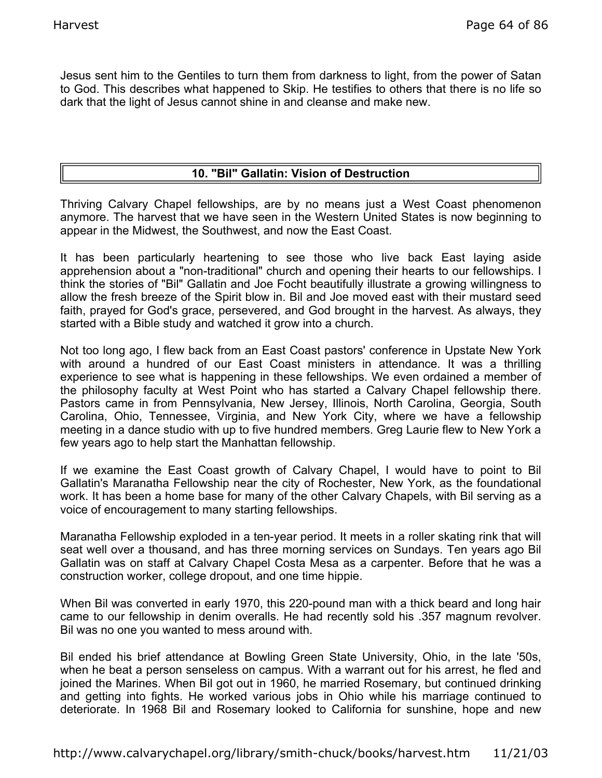Jesus sent him to the Gentiles to turn them from darkness to light, from the power of Satan to God. This describes what happened to Skip. He testifies to others that there is no life so dark that the light of Jesus cannot shine in and cleanse and make new.

## **10. "Bil" Gallatin: Vision of Destruction**

Thriving Calvary Chapel fellowships, are by no means just a West Coast phenomenon anymore. The harvest that we have seen in the Western United States is now beginning to appear in the Midwest, the Southwest, and now the East Coast.

It has been particularly heartening to see those who live back East laying aside apprehension about a "non-traditional" church and opening their hearts to our fellowships. I think the stories of "Bil" Gallatin and Joe Focht beautifully illustrate a growing willingness to allow the fresh breeze of the Spirit blow in. Bil and Joe moved east with their mustard seed faith, prayed for God's grace, persevered, and God brought in the harvest. As always, they started with a Bible study and watched it grow into a church.

Not too long ago, I flew back from an East Coast pastors' conference in Upstate New York with around a hundred of our East Coast ministers in attendance. It was a thrilling experience to see what is happening in these fellowships. We even ordained a member of the philosophy faculty at West Point who has started a Calvary Chapel fellowship there. Pastors came in from Pennsylvania, New Jersey, Illinois, North Carolina, Georgia, South Carolina, Ohio, Tennessee, Virginia, and New York City, where we have a fellowship meeting in a dance studio with up to five hundred members. Greg Laurie flew to New York a few years ago to help start the Manhattan fellowship.

If we examine the East Coast growth of Calvary Chapel, I would have to point to Bil Gallatin's Maranatha Fellowship near the city of Rochester, New York, as the foundational work. It has been a home base for many of the other Calvary Chapels, with Bil serving as a voice of encouragement to many starting fellowships.

Maranatha Fellowship exploded in a ten-year period. It meets in a roller skating rink that will seat well over a thousand, and has three morning services on Sundays. Ten years ago Bil Gallatin was on staff at Calvary Chapel Costa Mesa as a carpenter. Before that he was a construction worker, college dropout, and one time hippie.

When Bil was converted in early 1970, this 220-pound man with a thick beard and long hair came to our fellowship in denim overalls. He had recently sold his .357 magnum revolver. Bil was no one you wanted to mess around with.

Bil ended his brief attendance at Bowling Green State University, Ohio, in the late '50s, when he beat a person senseless on campus. With a warrant out for his arrest, he fled and joined the Marines. When Bil got out in 1960, he married Rosemary, but continued drinking and getting into fights. He worked various jobs in Ohio while his marriage continued to deteriorate. In 1968 Bil and Rosemary looked to California for sunshine, hope and new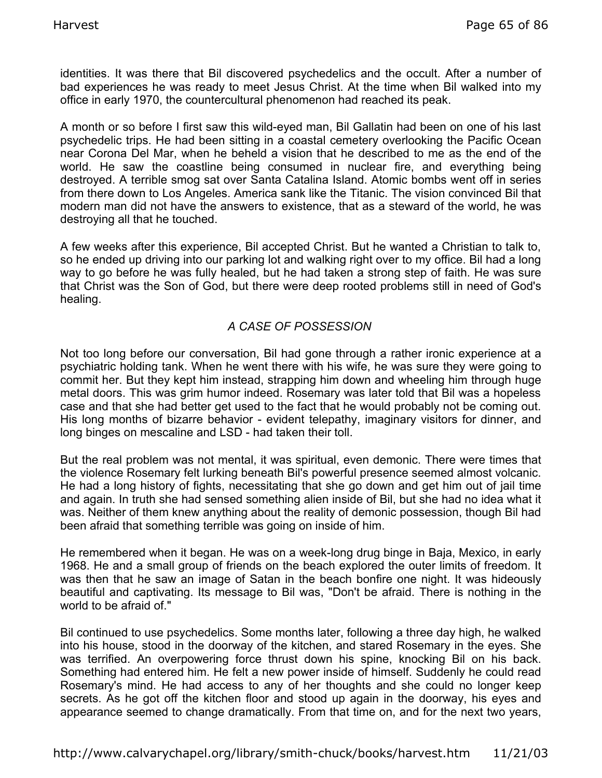identities. It was there that Bil discovered psychedelics and the occult. After a number of bad experiences he was ready to meet Jesus Christ. At the time when Bil walked into my office in early 1970, the countercultural phenomenon had reached its peak.

A month or so before I first saw this wild-eyed man, Bil Gallatin had been on one of his last psychedelic trips. He had been sitting in a coastal cemetery overlooking the Pacific Ocean near Corona Del Mar, when he beheld a vision that he described to me as the end of the world. He saw the coastline being consumed in nuclear fire, and everything being destroyed. A terrible smog sat over Santa Catalina Island. Atomic bombs went off in series from there down to Los Angeles. America sank like the Titanic. The vision convinced Bil that modern man did not have the answers to existence, that as a steward of the world, he was destroying all that he touched.

A few weeks after this experience, Bil accepted Christ. But he wanted a Christian to talk to, so he ended up driving into our parking lot and walking right over to my office. Bil had a long way to go before he was fully healed, but he had taken a strong step of faith. He was sure that Christ was the Son of God, but there were deep rooted problems still in need of God's healing.

## *A CASE OF POSSESSION*

Not too long before our conversation, Bil had gone through a rather ironic experience at a psychiatric holding tank. When he went there with his wife, he was sure they were going to commit her. But they kept him instead, strapping him down and wheeling him through huge metal doors. This was grim humor indeed. Rosemary was later told that Bil was a hopeless case and that she had better get used to the fact that he would probably not be coming out. His long months of bizarre behavior - evident telepathy, imaginary visitors for dinner, and long binges on mescaline and LSD - had taken their toll.

But the real problem was not mental, it was spiritual, even demonic. There were times that the violence Rosemary felt lurking beneath Bil's powerful presence seemed almost volcanic. He had a long history of fights, necessitating that she go down and get him out of jail time and again. In truth she had sensed something alien inside of Bil, but she had no idea what it was. Neither of them knew anything about the reality of demonic possession, though Bil had been afraid that something terrible was going on inside of him.

He remembered when it began. He was on a week-long drug binge in Baja, Mexico, in early 1968. He and a small group of friends on the beach explored the outer limits of freedom. It was then that he saw an image of Satan in the beach bonfire one night. It was hideously beautiful and captivating. Its message to Bil was, "Don't be afraid. There is nothing in the world to be afraid of."

Bil continued to use psychedelics. Some months later, following a three day high, he walked into his house, stood in the doorway of the kitchen, and stared Rosemary in the eyes. She was terrified. An overpowering force thrust down his spine, knocking Bil on his back. Something had entered him. He felt a new power inside of himself. Suddenly he could read Rosemary's mind. He had access to any of her thoughts and she could no longer keep secrets. As he got off the kitchen floor and stood up again in the doorway, his eyes and appearance seemed to change dramatically. From that time on, and for the next two years,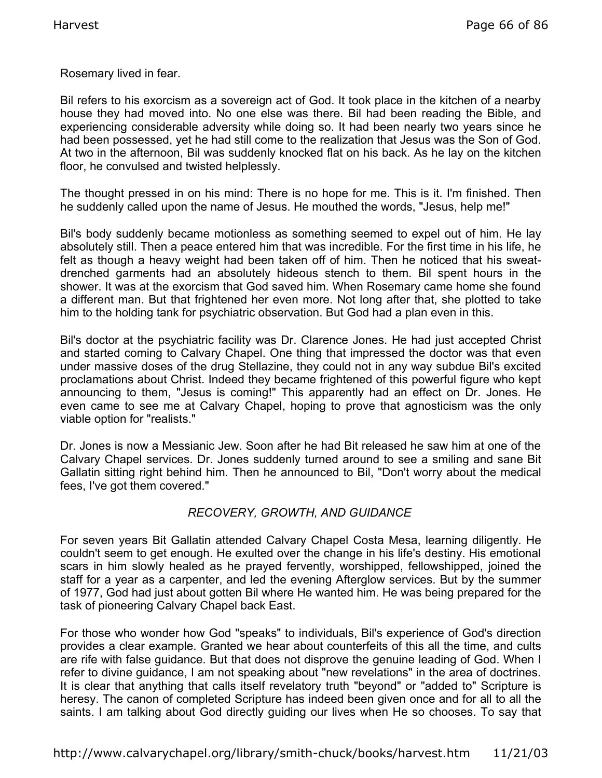Rosemary lived in fear.

Bil refers to his exorcism as a sovereign act of God. It took place in the kitchen of a nearby house they had moved into. No one else was there. Bil had been reading the Bible, and experiencing considerable adversity while doing so. It had been nearly two years since he had been possessed, yet he had still come to the realization that Jesus was the Son of God. At two in the afternoon, Bil was suddenly knocked flat on his back. As he lay on the kitchen floor, he convulsed and twisted helplessly.

The thought pressed in on his mind: There is no hope for me. This is it. I'm finished. Then he suddenly called upon the name of Jesus. He mouthed the words, "Jesus, help me!"

Bil's body suddenly became motionless as something seemed to expel out of him. He lay absolutely still. Then a peace entered him that was incredible. For the first time in his life, he felt as though a heavy weight had been taken off of him. Then he noticed that his sweatdrenched garments had an absolutely hideous stench to them. Bil spent hours in the shower. It was at the exorcism that God saved him. When Rosemary came home she found a different man. But that frightened her even more. Not long after that, she plotted to take him to the holding tank for psychiatric observation. But God had a plan even in this.

Bil's doctor at the psychiatric facility was Dr. Clarence Jones. He had just accepted Christ and started coming to Calvary Chapel. One thing that impressed the doctor was that even under massive doses of the drug Stellazine, they could not in any way subdue Bil's excited proclamations about Christ. Indeed they became frightened of this powerful figure who kept announcing to them, "Jesus is coming!" This apparently had an effect on Dr. Jones. He even came to see me at Calvary Chapel, hoping to prove that agnosticism was the only viable option for "realists."

Dr. Jones is now a Messianic Jew. Soon after he had Bit released he saw him at one of the Calvary Chapel services. Dr. Jones suddenly turned around to see a smiling and sane Bit Gallatin sitting right behind him. Then he announced to Bil, "Don't worry about the medical fees, I've got them covered."

## *RECOVERY, GROWTH, AND GUIDANCE*

For seven years Bit Gallatin attended Calvary Chapel Costa Mesa, learning diligently. He couldn't seem to get enough. He exulted over the change in his life's destiny. His emotional scars in him slowly healed as he prayed fervently, worshipped, fellowshipped, joined the staff for a year as a carpenter, and led the evening Afterglow services. But by the summer of 1977, God had just about gotten Bil where He wanted him. He was being prepared for the task of pioneering Calvary Chapel back East.

For those who wonder how God "speaks" to individuals, Bil's experience of God's direction provides a clear example. Granted we hear about counterfeits of this all the time, and cults are rife with false guidance. But that does not disprove the genuine leading of God. When I refer to divine guidance, I am not speaking about "new revelations" in the area of doctrines. It is clear that anything that calls itself revelatory truth "beyond" or "added to" Scripture is heresy. The canon of completed Scripture has indeed been given once and for all to all the saints. I am talking about God directly guiding our lives when He so chooses. To say that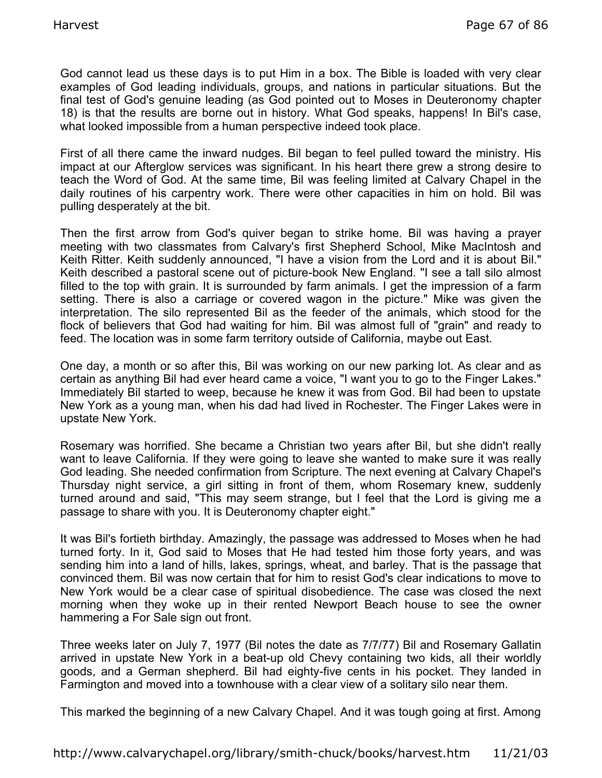God cannot lead us these days is to put Him in a box. The Bible is loaded with very clear examples of God leading individuals, groups, and nations in particular situations. But the final test of God's genuine leading (as God pointed out to Moses in Deuteronomy chapter 18) is that the results are borne out in history. What God speaks, happens! In Bil's case, what looked impossible from a human perspective indeed took place.

First of all there came the inward nudges. Bil began to feel pulled toward the ministry. His impact at our Afterglow services was significant. In his heart there grew a strong desire to teach the Word of God. At the same time, Bil was feeling limited at Calvary Chapel in the daily routines of his carpentry work. There were other capacities in him on hold. Bil was pulling desperately at the bit.

Then the first arrow from God's quiver began to strike home. Bil was having a prayer meeting with two classmates from Calvary's first Shepherd School, Mike MacIntosh and Keith Ritter. Keith suddenly announced, "I have a vision from the Lord and it is about Bil." Keith described a pastoral scene out of picture-book New England. "I see a tall silo almost filled to the top with grain. It is surrounded by farm animals. I get the impression of a farm setting. There is also a carriage or covered wagon in the picture." Mike was given the interpretation. The silo represented Bil as the feeder of the animals, which stood for the flock of believers that God had waiting for him. Bil was almost full of "grain" and ready to feed. The location was in some farm territory outside of California, maybe out East.

One day, a month or so after this, Bil was working on our new parking lot. As clear and as certain as anything Bil had ever heard came a voice, "I want you to go to the Finger Lakes." Immediately Bil started to weep, because he knew it was from God. Bil had been to upstate New York as a young man, when his dad had lived in Rochester. The Finger Lakes were in upstate New York.

Rosemary was horrified. She became a Christian two years after Bil, but she didn't really want to leave California. If they were going to leave she wanted to make sure it was really God leading. She needed confirmation from Scripture. The next evening at Calvary Chapel's Thursday night service, a girl sitting in front of them, whom Rosemary knew, suddenly turned around and said, "This may seem strange, but I feel that the Lord is giving me a passage to share with you. It is Deuteronomy chapter eight."

It was Bil's fortieth birthday. Amazingly, the passage was addressed to Moses when he had turned forty. In it, God said to Moses that He had tested him those forty years, and was sending him into a land of hills, lakes, springs, wheat, and barley. That is the passage that convinced them. Bil was now certain that for him to resist God's clear indications to move to New York would be a clear case of spiritual disobedience. The case was closed the next morning when they woke up in their rented Newport Beach house to see the owner hammering a For Sale sign out front.

Three weeks later on July 7, 1977 (Bil notes the date as 7/7/77) Bil and Rosemary Gallatin arrived in upstate New York in a beat-up old Chevy containing two kids, all their worldly goods, and a German shepherd. Bil had eighty-five cents in his pocket. They landed in Farmington and moved into a townhouse with a clear view of a solitary silo near them.

This marked the beginning of a new Calvary Chapel. And it was tough going at first. Among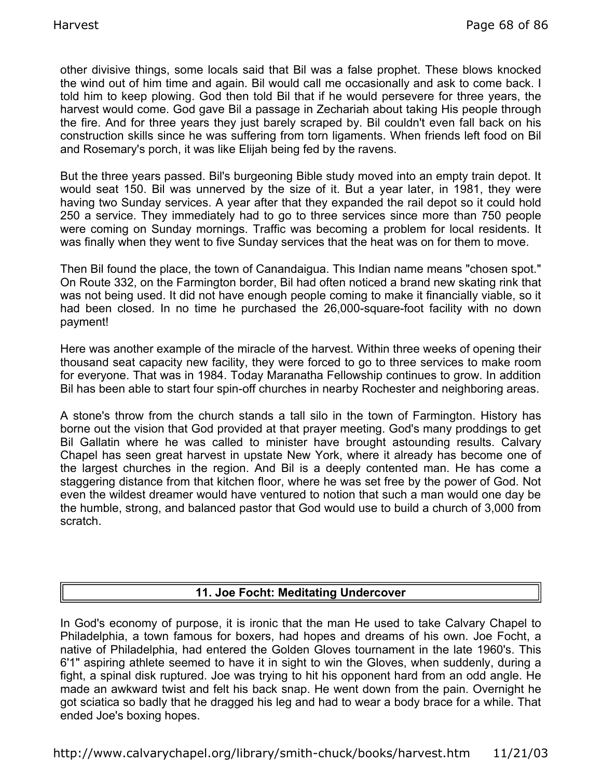other divisive things, some locals said that Bil was a false prophet. These blows knocked the wind out of him time and again. Bil would call me occasionally and ask to come back. I told him to keep plowing. God then told Bil that if he would persevere for three years, the harvest would come. God gave Bil a passage in Zechariah about taking His people through the fire. And for three years they just barely scraped by. Bil couldn't even fall back on his construction skills since he was suffering from torn ligaments. When friends left food on Bil and Rosemary's porch, it was like Elijah being fed by the ravens.

But the three years passed. Bil's burgeoning Bible study moved into an empty train depot. It would seat 150. Bil was unnerved by the size of it. But a year later, in 1981, they were having two Sunday services. A year after that they expanded the rail depot so it could hold 250 a service. They immediately had to go to three services since more than 750 people were coming on Sunday mornings. Traffic was becoming a problem for local residents. It was finally when they went to five Sunday services that the heat was on for them to move.

Then Bil found the place, the town of Canandaigua. This Indian name means "chosen spot." On Route 332, on the Farmington border, Bil had often noticed a brand new skating rink that was not being used. It did not have enough people coming to make it financially viable, so it had been closed. In no time he purchased the 26,000-square-foot facility with no down payment!

Here was another example of the miracle of the harvest. Within three weeks of opening their thousand seat capacity new facility, they were forced to go to three services to make room for everyone. That was in 1984. Today Maranatha Fellowship continues to grow. In addition Bil has been able to start four spin-off churches in nearby Rochester and neighboring areas.

A stone's throw from the church stands a tall silo in the town of Farmington. History has borne out the vision that God provided at that prayer meeting. God's many proddings to get Bil Gallatin where he was called to minister have brought astounding results. Calvary Chapel has seen great harvest in upstate New York, where it already has become one of the largest churches in the region. And Bil is a deeply contented man. He has come a staggering distance from that kitchen floor, where he was set free by the power of God. Not even the wildest dreamer would have ventured to notion that such a man would one day be the humble, strong, and balanced pastor that God would use to build a church of 3,000 from scratch.

## **11. Joe Focht: Meditating Undercover**

In God's economy of purpose, it is ironic that the man He used to take Calvary Chapel to Philadelphia, a town famous for boxers, had hopes and dreams of his own. Joe Focht, a native of Philadelphia, had entered the Golden Gloves tournament in the late 1960's. This 6'1" aspiring athlete seemed to have it in sight to win the Gloves, when suddenly, during a fight, a spinal disk ruptured. Joe was trying to hit his opponent hard from an odd angle. He made an awkward twist and felt his back snap. He went down from the pain. Overnight he got sciatica so badly that he dragged his leg and had to wear a body brace for a while. That ended Joe's boxing hopes.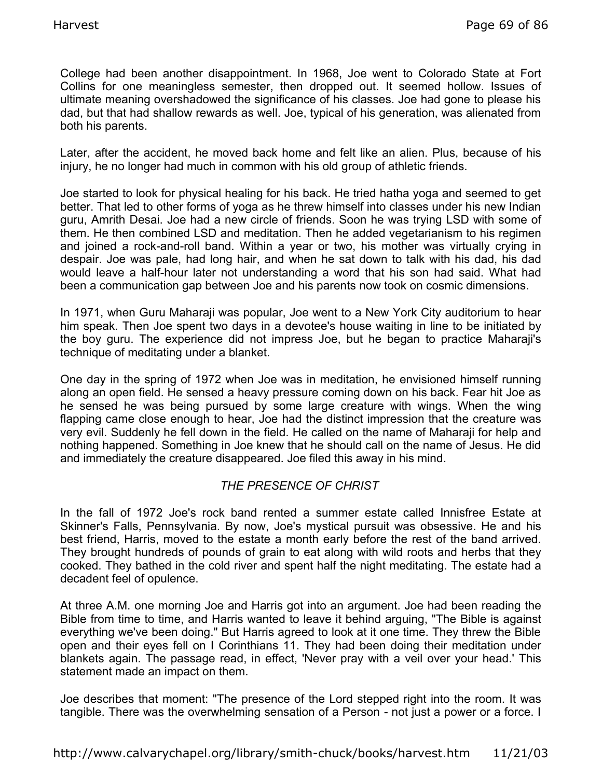College had been another disappointment. In 1968, Joe went to Colorado State at Fort Collins for one meaningless semester, then dropped out. It seemed hollow. Issues of ultimate meaning overshadowed the significance of his classes. Joe had gone to please his dad, but that had shallow rewards as well. Joe, typical of his generation, was alienated from both his parents.

Later, after the accident, he moved back home and felt like an alien. Plus, because of his injury, he no longer had much in common with his old group of athletic friends.

Joe started to look for physical healing for his back. He tried hatha yoga and seemed to get better. That led to other forms of yoga as he threw himself into classes under his new Indian guru, Amrith Desai. Joe had a new circle of friends. Soon he was trying LSD with some of them. He then combined LSD and meditation. Then he added vegetarianism to his regimen and joined a rock-and-roll band. Within a year or two, his mother was virtually crying in despair. Joe was pale, had long hair, and when he sat down to talk with his dad, his dad would leave a half-hour later not understanding a word that his son had said. What had been a communication gap between Joe and his parents now took on cosmic dimensions.

In 1971, when Guru Maharaji was popular, Joe went to a New York City auditorium to hear him speak. Then Joe spent two days in a devotee's house waiting in line to be initiated by the boy guru. The experience did not impress Joe, but he began to practice Maharaji's technique of meditating under a blanket.

One day in the spring of 1972 when Joe was in meditation, he envisioned himself running along an open field. He sensed a heavy pressure coming down on his back. Fear hit Joe as he sensed he was being pursued by some large creature with wings. When the wing flapping came close enough to hear, Joe had the distinct impression that the creature was very evil. Suddenly he fell down in the field. He called on the name of Maharaji for help and nothing happened. Something in Joe knew that he should call on the name of Jesus. He did and immediately the creature disappeared. Joe filed this away in his mind.

#### *THE PRESENCE OF CHRIST*

In the fall of 1972 Joe's rock band rented a summer estate called Innisfree Estate at Skinner's Falls, Pennsylvania. By now, Joe's mystical pursuit was obsessive. He and his best friend, Harris, moved to the estate a month early before the rest of the band arrived. They brought hundreds of pounds of grain to eat along with wild roots and herbs that they cooked. They bathed in the cold river and spent half the night meditating. The estate had a decadent feel of opulence.

At three A.M. one morning Joe and Harris got into an argument. Joe had been reading the Bible from time to time, and Harris wanted to leave it behind arguing, "The Bible is against everything we've been doing." But Harris agreed to look at it one time. They threw the Bible open and their eyes fell on I Corinthians 11. They had been doing their meditation under blankets again. The passage read, in effect, 'Never pray with a veil over your head.' This statement made an impact on them.

Joe describes that moment: "The presence of the Lord stepped right into the room. It was tangible. There was the overwhelming sensation of a Person - not just a power or a force. I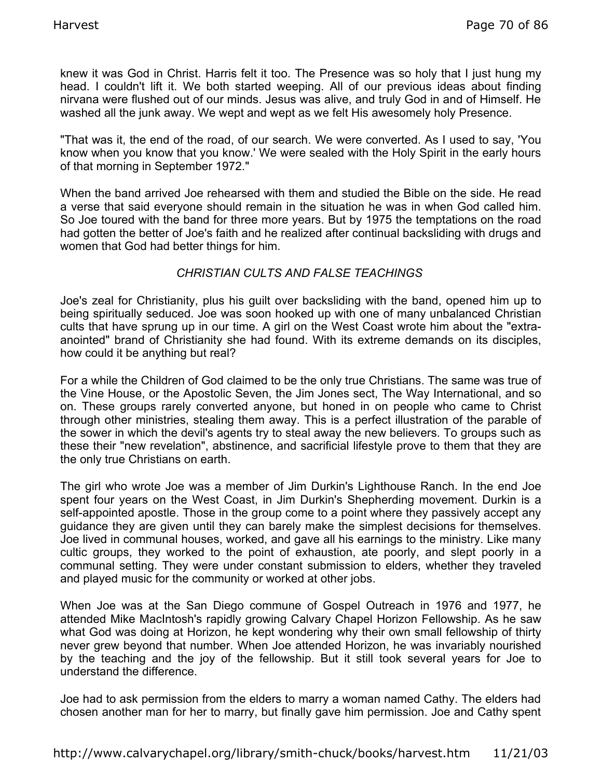knew it was God in Christ. Harris felt it too. The Presence was so holy that I just hung my head. I couldn't lift it. We both started weeping. All of our previous ideas about finding nirvana were flushed out of our minds. Jesus was alive, and truly God in and of Himself. He washed all the junk away. We wept and wept as we felt His awesomely holy Presence.

"That was it, the end of the road, of our search. We were converted. As I used to say, 'You know when you know that you know.' We were sealed with the Holy Spirit in the early hours of that morning in September 1972."

When the band arrived Joe rehearsed with them and studied the Bible on the side. He read a verse that said everyone should remain in the situation he was in when God called him. So Joe toured with the band for three more years. But by 1975 the temptations on the road had gotten the better of Joe's faith and he realized after continual backsliding with drugs and women that God had better things for him.

## *CHRISTIAN CULTS AND FALSE TEACHINGS*

Joe's zeal for Christianity, plus his guilt over backsliding with the band, opened him up to being spiritually seduced. Joe was soon hooked up with one of many unbalanced Christian cults that have sprung up in our time. A girl on the West Coast wrote him about the "extraanointed" brand of Christianity she had found. With its extreme demands on its disciples, how could it be anything but real?

For a while the Children of God claimed to be the only true Christians. The same was true of the Vine House, or the Apostolic Seven, the Jim Jones sect, The Way International, and so on. These groups rarely converted anyone, but honed in on people who came to Christ through other ministries, stealing them away. This is a perfect illustration of the parable of the sower in which the devil's agents try to steal away the new believers. To groups such as these their "new revelation", abstinence, and sacrificial lifestyle prove to them that they are the only true Christians on earth.

The girl who wrote Joe was a member of Jim Durkin's Lighthouse Ranch. In the end Joe spent four years on the West Coast, in Jim Durkin's Shepherding movement. Durkin is a self-appointed apostle. Those in the group come to a point where they passively accept any guidance they are given until they can barely make the simplest decisions for themselves. Joe lived in communal houses, worked, and gave all his earnings to the ministry. Like many cultic groups, they worked to the point of exhaustion, ate poorly, and slept poorly in a communal setting. They were under constant submission to elders, whether they traveled and played music for the community or worked at other jobs.

When Joe was at the San Diego commune of Gospel Outreach in 1976 and 1977, he attended Mike MacIntosh's rapidly growing Calvary Chapel Horizon Fellowship. As he saw what God was doing at Horizon, he kept wondering why their own small fellowship of thirty never grew beyond that number. When Joe attended Horizon, he was invariably nourished by the teaching and the joy of the fellowship. But it still took several years for Joe to understand the difference.

Joe had to ask permission from the elders to marry a woman named Cathy. The elders had chosen another man for her to marry, but finally gave him permission. Joe and Cathy spent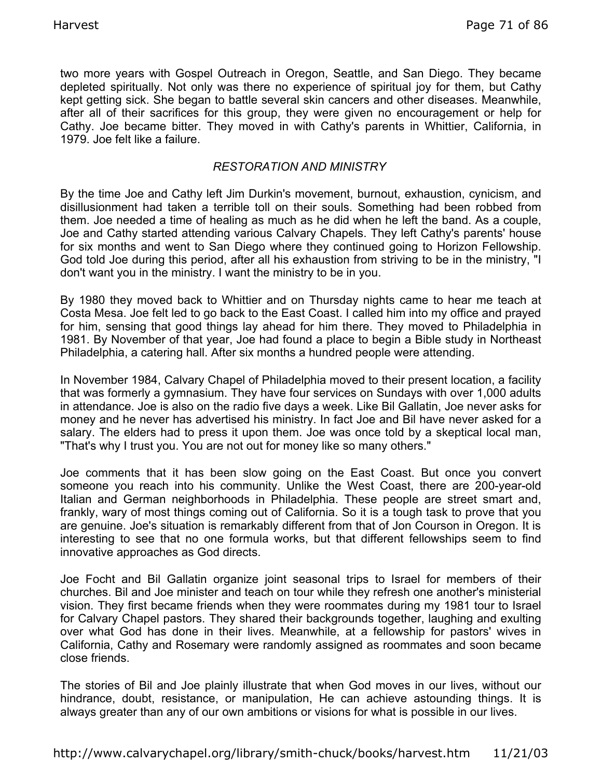two more years with Gospel Outreach in Oregon, Seattle, and San Diego. They became depleted spiritually. Not only was there no experience of spiritual joy for them, but Cathy kept getting sick. She began to battle several skin cancers and other diseases. Meanwhile, after all of their sacrifices for this group, they were given no encouragement or help for Cathy. Joe became bitter. They moved in with Cathy's parents in Whittier, California, in 1979. Joe felt like a failure.

#### *RESTORATION AND MINISTRY*

By the time Joe and Cathy left Jim Durkin's movement, burnout, exhaustion, cynicism, and disillusionment had taken a terrible toll on their souls. Something had been robbed from them. Joe needed a time of healing as much as he did when he left the band. As a couple, Joe and Cathy started attending various Calvary Chapels. They left Cathy's parents' house for six months and went to San Diego where they continued going to Horizon Fellowship. God told Joe during this period, after all his exhaustion from striving to be in the ministry, "I don't want you in the ministry. I want the ministry to be in you.

By 1980 they moved back to Whittier and on Thursday nights came to hear me teach at Costa Mesa. Joe felt led to go back to the East Coast. I called him into my office and prayed for him, sensing that good things lay ahead for him there. They moved to Philadelphia in 1981. By November of that year, Joe had found a place to begin a Bible study in Northeast Philadelphia, a catering hall. After six months a hundred people were attending.

In November 1984, Calvary Chapel of Philadelphia moved to their present location, a facility that was formerly a gymnasium. They have four services on Sundays with over 1,000 adults in attendance. Joe is also on the radio five days a week. Like Bil Gallatin, Joe never asks for money and he never has advertised his ministry. In fact Joe and Bil have never asked for a salary. The elders had to press it upon them. Joe was once told by a skeptical local man, "That's why I trust you. You are not out for money like so many others."

Joe comments that it has been slow going on the East Coast. But once you convert someone you reach into his community. Unlike the West Coast, there are 200-year-old Italian and German neighborhoods in Philadelphia. These people are street smart and, frankly, wary of most things coming out of California. So it is a tough task to prove that you are genuine. Joe's situation is remarkably different from that of Jon Courson in Oregon. It is interesting to see that no one formula works, but that different fellowships seem to find innovative approaches as God directs.

Joe Focht and Bil Gallatin organize joint seasonal trips to Israel for members of their churches. Bil and Joe minister and teach on tour while they refresh one another's ministerial vision. They first became friends when they were roommates during my 1981 tour to Israel for Calvary Chapel pastors. They shared their backgrounds together, laughing and exulting over what God has done in their lives. Meanwhile, at a fellowship for pastors' wives in California, Cathy and Rosemary were randomly assigned as roommates and soon became close friends.

The stories of Bil and Joe plainly illustrate that when God moves in our lives, without our hindrance, doubt, resistance, or manipulation, He can achieve astounding things. It is always greater than any of our own ambitions or visions for what is possible in our lives.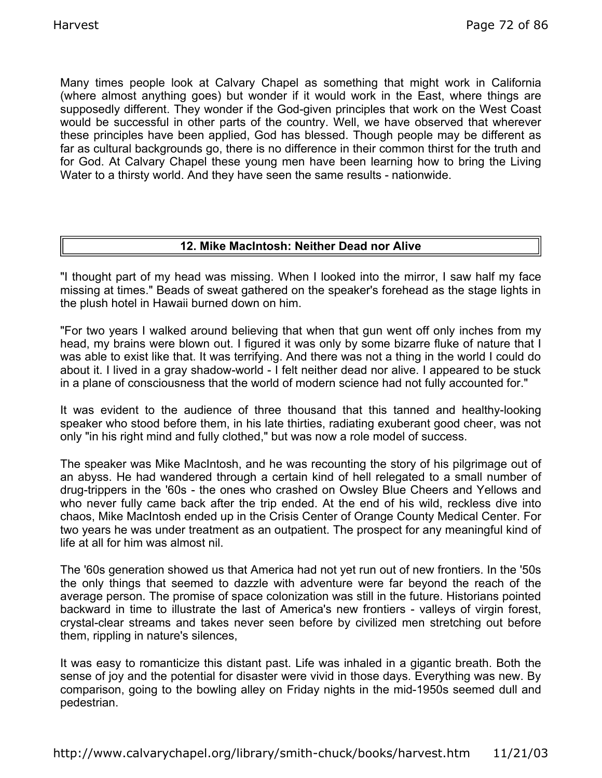Many times people look at Calvary Chapel as something that might work in California (where almost anything goes) but wonder if it would work in the East, where things are supposedly different. They wonder if the God-given principles that work on the West Coast would be successful in other parts of the country. Well, we have observed that wherever these principles have been applied, God has blessed. Though people may be different as far as cultural backgrounds go, there is no difference in their common thirst for the truth and for God. At Calvary Chapel these young men have been learning how to bring the Living Water to a thirsty world. And they have seen the same results - nationwide.

### **12. Mike MacIntosh: Neither Dead nor Alive**

"I thought part of my head was missing. When I looked into the mirror, I saw half my face missing at times." Beads of sweat gathered on the speaker's forehead as the stage lights in the plush hotel in Hawaii burned down on him.

"For two years I walked around believing that when that gun went off only inches from my head, my brains were blown out. I figured it was only by some bizarre fluke of nature that I was able to exist like that. It was terrifying. And there was not a thing in the world I could do about it. I lived in a gray shadow-world - I felt neither dead nor alive. I appeared to be stuck in a plane of consciousness that the world of modern science had not fully accounted for."

It was evident to the audience of three thousand that this tanned and healthy-looking speaker who stood before them, in his late thirties, radiating exuberant good cheer, was not only "in his right mind and fully clothed," but was now a role model of success.

The speaker was Mike MacIntosh, and he was recounting the story of his pilgrimage out of an abyss. He had wandered through a certain kind of hell relegated to a small number of drug-trippers in the '60s - the ones who crashed on Owsley Blue Cheers and Yellows and who never fully came back after the trip ended. At the end of his wild, reckless dive into chaos, Mike MacIntosh ended up in the Crisis Center of Orange County Medical Center. For two years he was under treatment as an outpatient. The prospect for any meaningful kind of life at all for him was almost nil.

The '60s generation showed us that America had not yet run out of new frontiers. In the '50s the only things that seemed to dazzle with adventure were far beyond the reach of the average person. The promise of space colonization was still in the future. Historians pointed backward in time to illustrate the last of America's new frontiers - valleys of virgin forest, crystal-clear streams and takes never seen before by civilized men stretching out before them, rippling in nature's silences,

It was easy to romanticize this distant past. Life was inhaled in a gigantic breath. Both the sense of joy and the potential for disaster were vivid in those days. Everything was new. By comparison, going to the bowling alley on Friday nights in the mid-1950s seemed dull and pedestrian.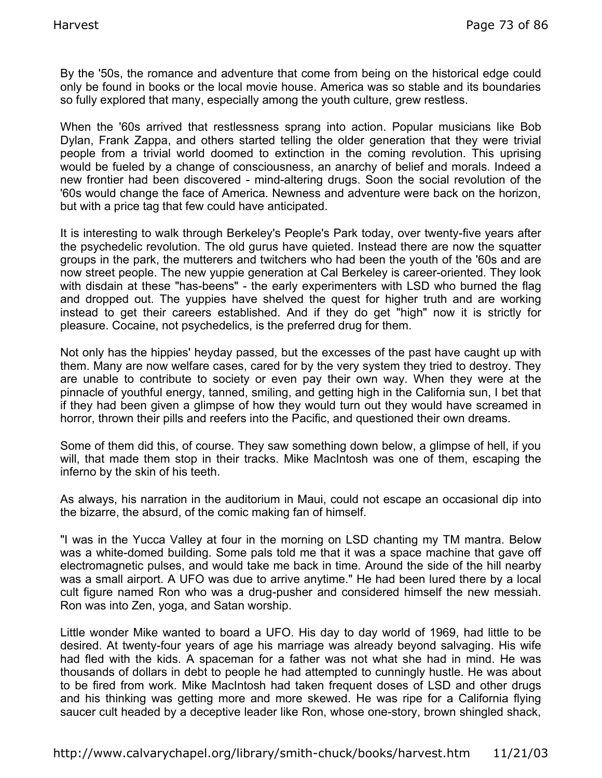By the '50s, the romance and adventure that come from being on the historical edge could only be found in books or the local movie house. America was so stable and its boundaries so fully explored that many, especially among the youth culture, grew restless.

When the '60s arrived that restlessness sprang into action. Popular musicians like Bob Dylan, Frank Zappa, and others started telling the older generation that they were trivial people from a trivial world doomed to extinction in the coming revolution. This uprising would be fueled by a change of consciousness, an anarchy of belief and morals. Indeed a new frontier had been discovered - mind-altering drugs. Soon the social revolution of the '60s would change the face of America. Newness and adventure were back on the horizon, but with a price tag that few could have anticipated.

It is interesting to walk through Berkeley's People's Park today, over twenty-five years after the psychedelic revolution. The old gurus have quieted. Instead there are now the squatter groups in the park, the mutterers and twitchers who had been the youth of the '60s and are now street people. The new yuppie generation at Cal Berkeley is career-oriented. They look with disdain at these "has-beens" - the early experimenters with LSD who burned the flag and dropped out. The yuppies have shelved the quest for higher truth and are working instead to get their careers established. And if they do get "high" now it is strictly for pleasure. Cocaine, not psychedelics, is the preferred drug for them.

Not only has the hippies' heyday passed, but the excesses of the past have caught up with them. Many are now welfare cases, cared for by the very system they tried to destroy. They are unable to contribute to society or even pay their own way. When they were at the pinnacle of youthful energy, tanned, smiling, and getting high in the California sun, I bet that if they had been given a glimpse of how they would turn out they would have screamed in horror, thrown their pills and reefers into the Pacific, and questioned their own dreams.

Some of them did this, of course. They saw something down below, a glimpse of hell, if you will, that made them stop in their tracks. Mike MacIntosh was one of them, escaping the inferno by the skin of his teeth.

As always, his narration in the auditorium in Maui, could not escape an occasional dip into the bizarre, the absurd, of the comic making fan of himself.

"I was in the Yucca Valley at four in the morning on LSD chanting my TM mantra. Below was a white-domed building. Some pals told me that it was a space machine that gave off electromagnetic pulses, and would take me back in time. Around the side of the hill nearby was a small airport. A UFO was due to arrive anytime." He had been lured there by a local cult figure named Ron who was a drug-pusher and considered himself the new messiah. Ron was into Zen, yoga, and Satan worship.

Little wonder Mike wanted to board a UFO. His day to day world of 1969, had little to be desired. At twenty-four years of age his marriage was already beyond salvaging. His wife had fled with the kids. A spaceman for a father was not what she had in mind. He was thousands of dollars in debt to people he had attempted to cunningly hustle. He was about to be fired from work. Mike MacIntosh had taken frequent doses of LSD and other drugs and his thinking was getting more and more skewed. He was ripe for a California flying saucer cult headed by a deceptive leader like Ron, whose one-story, brown shingled shack,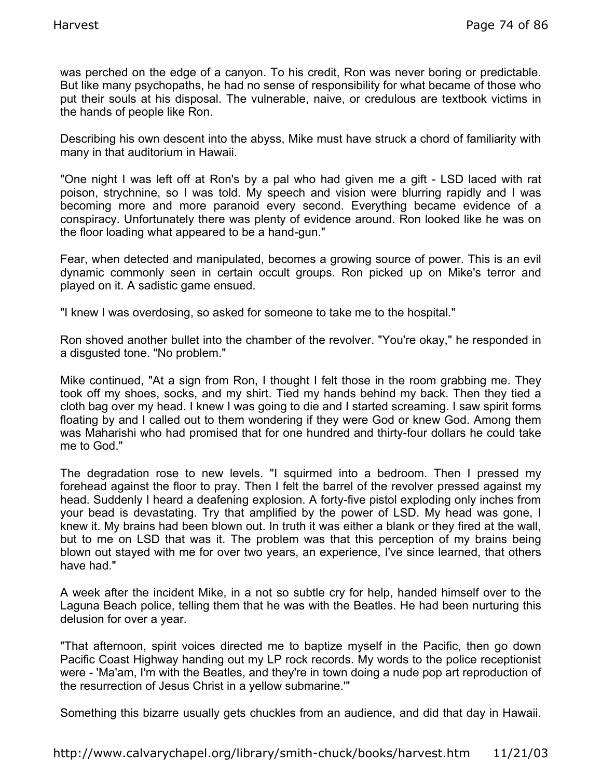was perched on the edge of a canyon. To his credit, Ron was never boring or predictable. But like many psychopaths, he had no sense of responsibility for what became of those who put their souls at his disposal. The vulnerable, naive, or credulous are textbook victims in the hands of people like Ron.

Describing his own descent into the abyss, Mike must have struck a chord of familiarity with many in that auditorium in Hawaii.

"One night I was left off at Ron's by a pal who had given me a gift - LSD laced with rat poison, strychnine, so I was told. My speech and vision were blurring rapidly and I was becoming more and more paranoid every second. Everything became evidence of a conspiracy. Unfortunately there was plenty of evidence around. Ron looked like he was on the floor loading what appeared to be a hand-gun."

Fear, when detected and manipulated, becomes a growing source of power. This is an evil dynamic commonly seen in certain occult groups. Ron picked up on Mike's terror and played on it. A sadistic game ensued.

"I knew I was overdosing, so asked for someone to take me to the hospital."

Ron shoved another bullet into the chamber of the revolver. "You're okay," he responded in a disgusted tone. "No problem."

Mike continued, "At a sign from Ron, I thought I felt those in the room grabbing me. They took off my shoes, socks, and my shirt. Tied my hands behind my back. Then they tied a cloth bag over my head. I knew I was going to die and I started screaming. I saw spirit forms floating by and I called out to them wondering if they were God or knew God. Among them was Maharishi who had promised that for one hundred and thirty-four dollars he could take me to God."

The degradation rose to new levels. "I squirmed into a bedroom. Then I pressed my forehead against the floor to pray. Then I felt the barrel of the revolver pressed against my head. Suddenly I heard a deafening explosion. A forty-five pistol exploding only inches from your bead is devastating. Try that amplified by the power of LSD. My head was gone, I knew it. My brains had been blown out. In truth it was either a blank or they fired at the wall, but to me on LSD that was it. The problem was that this perception of my brains being blown out stayed with me for over two years, an experience, I've since learned, that others have had."

A week after the incident Mike, in a not so subtle cry for help, handed himself over to the Laguna Beach police, telling them that he was with the Beatles. He had been nurturing this delusion for over a year.

"That afternoon, spirit voices directed me to baptize myself in the Pacific, then go down Pacific Coast Highway handing out my LP rock records. My words to the police receptionist were - 'Ma'am, I'm with the Beatles, and they're in town doing a nude pop art reproduction of the resurrection of Jesus Christ in a yellow submarine.'"

Something this bizarre usually gets chuckles from an audience, and did that day in Hawaii.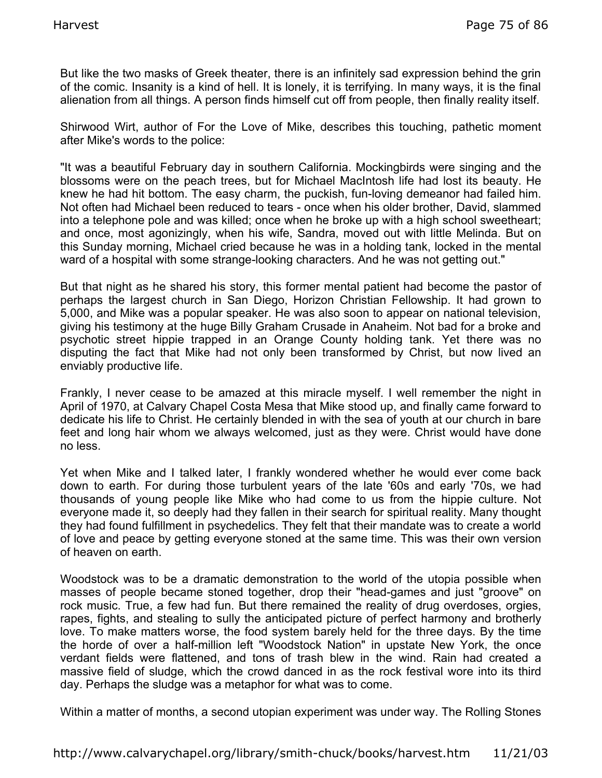But like the two masks of Greek theater, there is an infinitely sad expression behind the grin of the comic. Insanity is a kind of hell. It is lonely, it is terrifying. In many ways, it is the final alienation from all things. A person finds himself cut off from people, then finally reality itself.

Shirwood Wirt, author of For the Love of Mike, describes this touching, pathetic moment after Mike's words to the police:

"It was a beautiful February day in southern California. Mockingbirds were singing and the blossoms were on the peach trees, but for Michael MacIntosh life had lost its beauty. He knew he had hit bottom. The easy charm, the puckish, fun-loving demeanor had failed him. Not often had Michael been reduced to tears - once when his older brother, David, slammed into a telephone pole and was killed; once when he broke up with a high school sweetheart; and once, most agonizingly, when his wife, Sandra, moved out with little Melinda. But on this Sunday morning, Michael cried because he was in a holding tank, locked in the mental ward of a hospital with some strange-looking characters. And he was not getting out."

But that night as he shared his story, this former mental patient had become the pastor of perhaps the largest church in San Diego, Horizon Christian Fellowship. It had grown to 5,000, and Mike was a popular speaker. He was also soon to appear on national television, giving his testimony at the huge Billy Graham Crusade in Anaheim. Not bad for a broke and psychotic street hippie trapped in an Orange County holding tank. Yet there was no disputing the fact that Mike had not only been transformed by Christ, but now lived an enviably productive life.

Frankly, I never cease to be amazed at this miracle myself. I well remember the night in April of 1970, at Calvary Chapel Costa Mesa that Mike stood up, and finally came forward to dedicate his life to Christ. He certainly blended in with the sea of youth at our church in bare feet and long hair whom we always welcomed, just as they were. Christ would have done no less.

Yet when Mike and I talked later, I frankly wondered whether he would ever come back down to earth. For during those turbulent years of the late '60s and early '70s, we had thousands of young people like Mike who had come to us from the hippie culture. Not everyone made it, so deeply had they fallen in their search for spiritual reality. Many thought they had found fulfillment in psychedelics. They felt that their mandate was to create a world of love and peace by getting everyone stoned at the same time. This was their own version of heaven on earth.

Woodstock was to be a dramatic demonstration to the world of the utopia possible when masses of people became stoned together, drop their "head-games and just "groove" on rock music. True, a few had fun. But there remained the reality of drug overdoses, orgies, rapes, fights, and stealing to sully the anticipated picture of perfect harmony and brotherly love. To make matters worse, the food system barely held for the three days. By the time the horde of over a half-million left "Woodstock Nation" in upstate New York, the once verdant fields were flattened, and tons of trash blew in the wind. Rain had created a massive field of sludge, which the crowd danced in as the rock festival wore into its third day. Perhaps the sludge was a metaphor for what was to come.

Within a matter of months, a second utopian experiment was under way. The Rolling Stones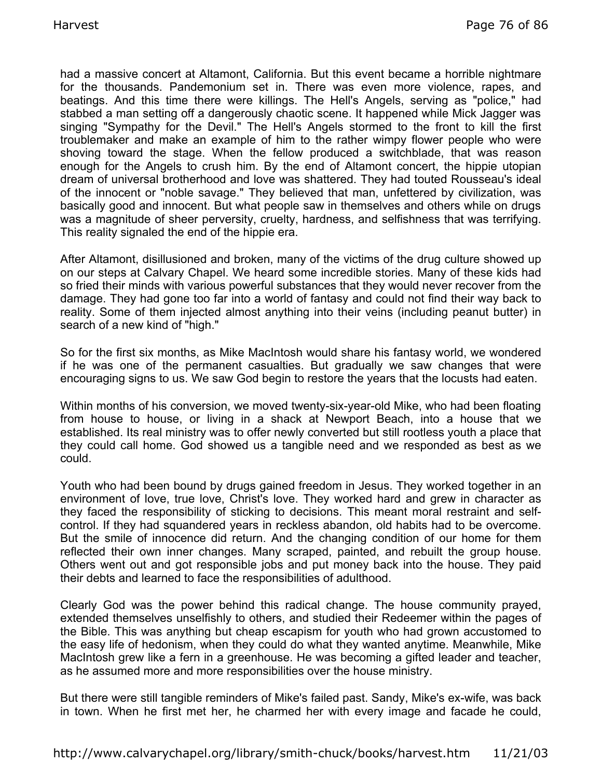had a massive concert at Altamont, California. But this event became a horrible nightmare for the thousands. Pandemonium set in. There was even more violence, rapes, and beatings. And this time there were killings. The Hell's Angels, serving as "police," had stabbed a man setting off a dangerously chaotic scene. It happened while Mick Jagger was singing "Sympathy for the Devil." The Hell's Angels stormed to the front to kill the first troublemaker and make an example of him to the rather wimpy flower people who were shoving toward the stage. When the fellow produced a switchblade, that was reason enough for the Angels to crush him. By the end of Altamont concert, the hippie utopian dream of universal brotherhood and love was shattered. They had touted Rousseau's ideal of the innocent or "noble savage." They believed that man, unfettered by civilization, was basically good and innocent. But what people saw in themselves and others while on drugs was a magnitude of sheer perversity, cruelty, hardness, and selfishness that was terrifying. This reality signaled the end of the hippie era.

After Altamont, disillusioned and broken, many of the victims of the drug culture showed up on our steps at Calvary Chapel. We heard some incredible stories. Many of these kids had so fried their minds with various powerful substances that they would never recover from the damage. They had gone too far into a world of fantasy and could not find their way back to reality. Some of them injected almost anything into their veins (including peanut butter) in search of a new kind of "high."

So for the first six months, as Mike MacIntosh would share his fantasy world, we wondered if he was one of the permanent casualties. But gradually we saw changes that were encouraging signs to us. We saw God begin to restore the years that the locusts had eaten.

Within months of his conversion, we moved twenty-six-year-old Mike, who had been floating from house to house, or living in a shack at Newport Beach, into a house that we established. Its real ministry was to offer newly converted but still rootless youth a place that they could call home. God showed us a tangible need and we responded as best as we could.

Youth who had been bound by drugs gained freedom in Jesus. They worked together in an environment of love, true love, Christ's love. They worked hard and grew in character as they faced the responsibility of sticking to decisions. This meant moral restraint and selfcontrol. If they had squandered years in reckless abandon, old habits had to be overcome. But the smile of innocence did return. And the changing condition of our home for them reflected their own inner changes. Many scraped, painted, and rebuilt the group house. Others went out and got responsible jobs and put money back into the house. They paid their debts and learned to face the responsibilities of adulthood.

Clearly God was the power behind this radical change. The house community prayed, extended themselves unselfishly to others, and studied their Redeemer within the pages of the Bible. This was anything but cheap escapism for youth who had grown accustomed to the easy life of hedonism, when they could do what they wanted anytime. Meanwhile, Mike MacIntosh grew like a fern in a greenhouse. He was becoming a gifted leader and teacher, as he assumed more and more responsibilities over the house ministry.

But there were still tangible reminders of Mike's failed past. Sandy, Mike's ex-wife, was back in town. When he first met her, he charmed her with every image and facade he could,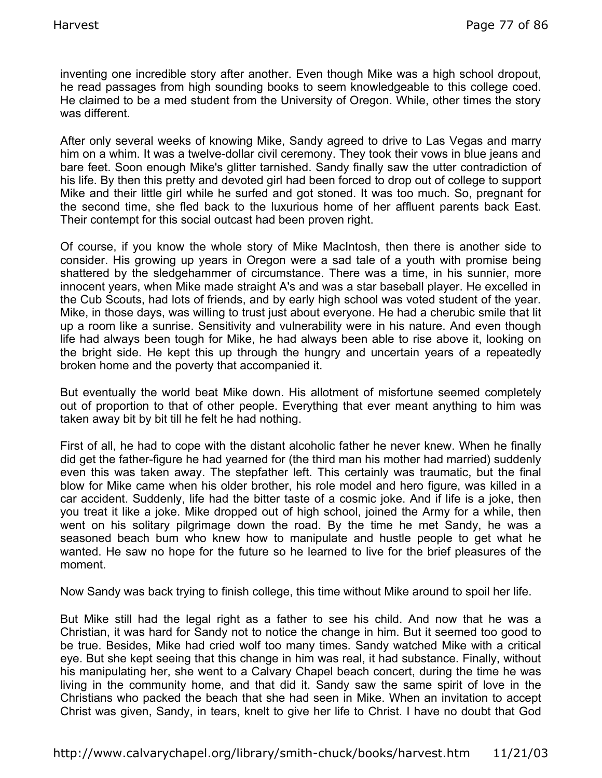inventing one incredible story after another. Even though Mike was a high school dropout, he read passages from high sounding books to seem knowledgeable to this college coed. He claimed to be a med student from the University of Oregon. While, other times the story was different.

After only several weeks of knowing Mike, Sandy agreed to drive to Las Vegas and marry him on a whim. It was a twelve-dollar civil ceremony. They took their vows in blue jeans and bare feet. Soon enough Mike's glitter tarnished. Sandy finally saw the utter contradiction of his life. By then this pretty and devoted girl had been forced to drop out of college to support Mike and their little girl while he surfed and got stoned. It was too much. So, pregnant for the second time, she fled back to the luxurious home of her affluent parents back East. Their contempt for this social outcast had been proven right.

Of course, if you know the whole story of Mike MacIntosh, then there is another side to consider. His growing up years in Oregon were a sad tale of a youth with promise being shattered by the sledgehammer of circumstance. There was a time, in his sunnier, more innocent years, when Mike made straight A's and was a star baseball player. He excelled in the Cub Scouts, had lots of friends, and by early high school was voted student of the year. Mike, in those days, was willing to trust just about everyone. He had a cherubic smile that lit up a room like a sunrise. Sensitivity and vulnerability were in his nature. And even though life had always been tough for Mike, he had always been able to rise above it, looking on the bright side. He kept this up through the hungry and uncertain years of a repeatedly broken home and the poverty that accompanied it.

But eventually the world beat Mike down. His allotment of misfortune seemed completely out of proportion to that of other people. Everything that ever meant anything to him was taken away bit by bit till he felt he had nothing.

First of all, he had to cope with the distant alcoholic father he never knew. When he finally did get the father-figure he had yearned for (the third man his mother had married) suddenly even this was taken away. The stepfather left. This certainly was traumatic, but the final blow for Mike came when his older brother, his role model and hero figure, was killed in a car accident. Suddenly, life had the bitter taste of a cosmic joke. And if life is a joke, then you treat it like a joke. Mike dropped out of high school, joined the Army for a while, then went on his solitary pilgrimage down the road. By the time he met Sandy, he was a seasoned beach bum who knew how to manipulate and hustle people to get what he wanted. He saw no hope for the future so he learned to live for the brief pleasures of the moment.

Now Sandy was back trying to finish college, this time without Mike around to spoil her life.

But Mike still had the legal right as a father to see his child. And now that he was a Christian, it was hard for Sandy not to notice the change in him. But it seemed too good to be true. Besides, Mike had cried wolf too many times. Sandy watched Mike with a critical eye. But she kept seeing that this change in him was real, it had substance. Finally, without his manipulating her, she went to a Calvary Chapel beach concert, during the time he was living in the community home, and that did it. Sandy saw the same spirit of love in the Christians who packed the beach that she had seen in Mike. When an invitation to accept Christ was given, Sandy, in tears, knelt to give her life to Christ. I have no doubt that God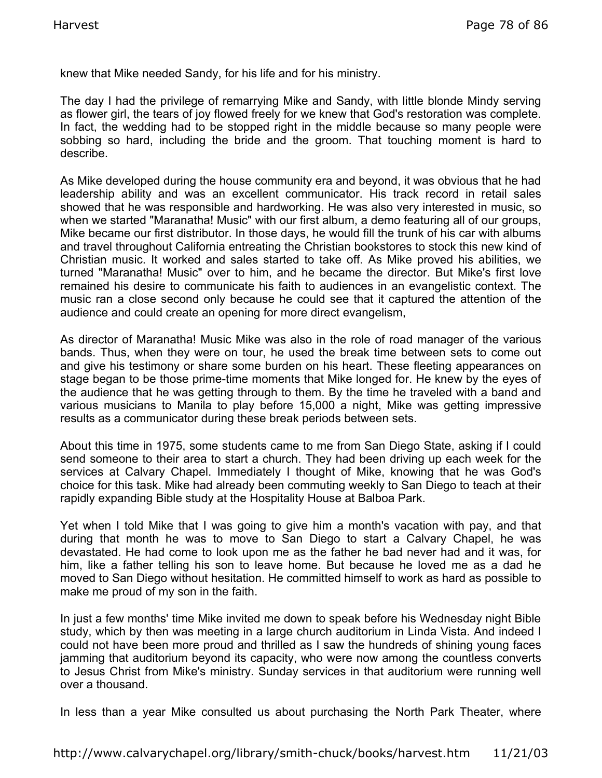knew that Mike needed Sandy, for his life and for his ministry.

The day I had the privilege of remarrying Mike and Sandy, with little blonde Mindy serving as flower girl, the tears of joy flowed freely for we knew that God's restoration was complete. In fact, the wedding had to be stopped right in the middle because so many people were sobbing so hard, including the bride and the groom. That touching moment is hard to describe.

As Mike developed during the house community era and beyond, it was obvious that he had leadership ability and was an excellent communicator. His track record in retail sales showed that he was responsible and hardworking. He was also very interested in music, so when we started "Maranatha! Music" with our first album, a demo featuring all of our groups, Mike became our first distributor. In those days, he would fill the trunk of his car with albums and travel throughout California entreating the Christian bookstores to stock this new kind of Christian music. It worked and sales started to take off. As Mike proved his abilities, we turned "Maranatha! Music" over to him, and he became the director. But Mike's first love remained his desire to communicate his faith to audiences in an evangelistic context. The music ran a close second only because he could see that it captured the attention of the audience and could create an opening for more direct evangelism,

As director of Maranatha! Music Mike was also in the role of road manager of the various bands. Thus, when they were on tour, he used the break time between sets to come out and give his testimony or share some burden on his heart. These fleeting appearances on stage began to be those prime-time moments that Mike longed for. He knew by the eyes of the audience that he was getting through to them. By the time he traveled with a band and various musicians to Manila to play before 15,000 a night, Mike was getting impressive results as a communicator during these break periods between sets.

About this time in 1975, some students came to me from San Diego State, asking if I could send someone to their area to start a church. They had been driving up each week for the services at Calvary Chapel. Immediately I thought of Mike, knowing that he was God's choice for this task. Mike had already been commuting weekly to San Diego to teach at their rapidly expanding Bible study at the Hospitality House at Balboa Park.

Yet when I told Mike that I was going to give him a month's vacation with pay, and that during that month he was to move to San Diego to start a Calvary Chapel, he was devastated. He had come to look upon me as the father he bad never had and it was, for him, like a father telling his son to leave home. But because he loved me as a dad he moved to San Diego without hesitation. He committed himself to work as hard as possible to make me proud of my son in the faith.

In just a few months' time Mike invited me down to speak before his Wednesday night Bible study, which by then was meeting in a large church auditorium in Linda Vista. And indeed I could not have been more proud and thrilled as I saw the hundreds of shining young faces jamming that auditorium beyond its capacity, who were now among the countless converts to Jesus Christ from Mike's ministry. Sunday services in that auditorium were running well over a thousand.

In less than a year Mike consulted us about purchasing the North Park Theater, where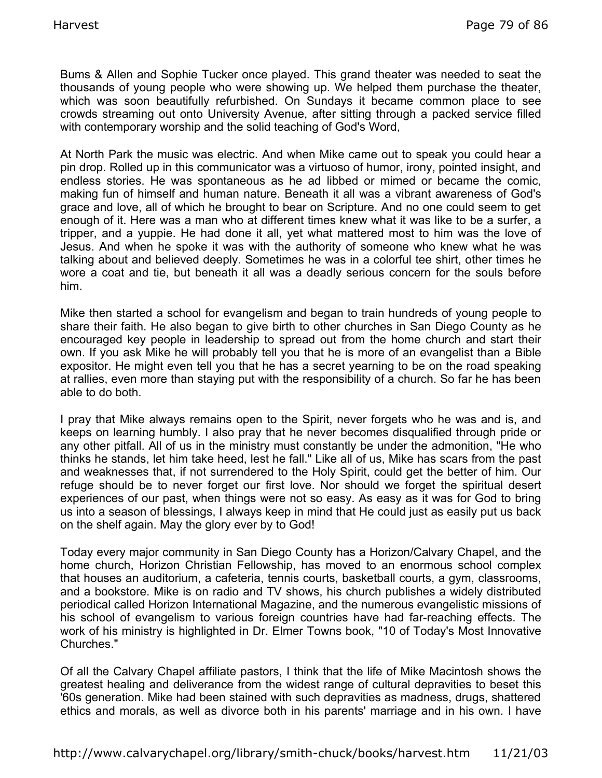Bums & Allen and Sophie Tucker once played. This grand theater was needed to seat the thousands of young people who were showing up. We helped them purchase the theater, which was soon beautifully refurbished. On Sundays it became common place to see crowds streaming out onto University Avenue, after sitting through a packed service filled with contemporary worship and the solid teaching of God's Word,

At North Park the music was electric. And when Mike came out to speak you could hear a pin drop. Rolled up in this communicator was a virtuoso of humor, irony, pointed insight, and endless stories. He was spontaneous as he ad libbed or mimed or became the comic, making fun of himself and human nature. Beneath it all was a vibrant awareness of God's grace and love, all of which he brought to bear on Scripture. And no one could seem to get enough of it. Here was a man who at different times knew what it was like to be a surfer, a tripper, and a yuppie. He had done it all, yet what mattered most to him was the love of Jesus. And when he spoke it was with the authority of someone who knew what he was talking about and believed deeply. Sometimes he was in a colorful tee shirt, other times he wore a coat and tie, but beneath it all was a deadly serious concern for the souls before him.

Mike then started a school for evangelism and began to train hundreds of young people to share their faith. He also began to give birth to other churches in San Diego County as he encouraged key people in leadership to spread out from the home church and start their own. If you ask Mike he will probably tell you that he is more of an evangelist than a Bible expositor. He might even tell you that he has a secret yearning to be on the road speaking at rallies, even more than staying put with the responsibility of a church. So far he has been able to do both.

I pray that Mike always remains open to the Spirit, never forgets who he was and is, and keeps on learning humbly. I also pray that he never becomes disqualified through pride or any other pitfall. All of us in the ministry must constantly be under the admonition, "He who thinks he stands, let him take heed, lest he fall." Like all of us, Mike has scars from the past and weaknesses that, if not surrendered to the Holy Spirit, could get the better of him. Our refuge should be to never forget our first love. Nor should we forget the spiritual desert experiences of our past, when things were not so easy. As easy as it was for God to bring us into a season of blessings, I always keep in mind that He could just as easily put us back on the shelf again. May the glory ever by to God!

Today every major community in San Diego County has a Horizon/Calvary Chapel, and the home church, Horizon Christian Fellowship, has moved to an enormous school complex that houses an auditorium, a cafeteria, tennis courts, basketball courts, a gym, classrooms, and a bookstore. Mike is on radio and TV shows, his church publishes a widely distributed periodical called Horizon International Magazine, and the numerous evangelistic missions of his school of evangelism to various foreign countries have had far-reaching effects. The work of his ministry is highlighted in Dr. Elmer Towns book, "10 of Today's Most Innovative Churches."

Of all the Calvary Chapel affiliate pastors, I think that the life of Mike Macintosh shows the greatest healing and deliverance from the widest range of cultural depravities to beset this '60s generation. Mike had been stained with such depravities as madness, drugs, shattered ethics and morals, as well as divorce both in his parents' marriage and in his own. I have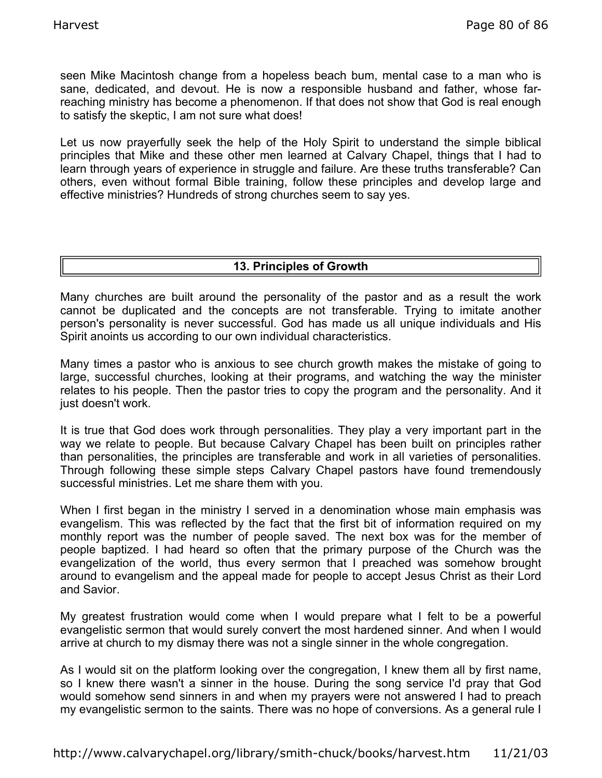seen Mike Macintosh change from a hopeless beach bum, mental case to a man who is sane, dedicated, and devout. He is now a responsible husband and father, whose farreaching ministry has become a phenomenon. If that does not show that God is real enough to satisfy the skeptic, I am not sure what does!

Let us now prayerfully seek the help of the Holy Spirit to understand the simple biblical principles that Mike and these other men learned at Calvary Chapel, things that I had to learn through years of experience in struggle and failure. Are these truths transferable? Can others, even without formal Bible training, follow these principles and develop large and effective ministries? Hundreds of strong churches seem to say yes.

## **13. Principles of Growth**

Many churches are built around the personality of the pastor and as a result the work cannot be duplicated and the concepts are not transferable. Trying to imitate another person's personality is never successful. God has made us all unique individuals and His Spirit anoints us according to our own individual characteristics.

Many times a pastor who is anxious to see church growth makes the mistake of going to large, successful churches, looking at their programs, and watching the way the minister relates to his people. Then the pastor tries to copy the program and the personality. And it just doesn't work.

It is true that God does work through personalities. They play a very important part in the way we relate to people. But because Calvary Chapel has been built on principles rather than personalities, the principles are transferable and work in all varieties of personalities. Through following these simple steps Calvary Chapel pastors have found tremendously successful ministries. Let me share them with you.

When I first began in the ministry I served in a denomination whose main emphasis was evangelism. This was reflected by the fact that the first bit of information required on my monthly report was the number of people saved. The next box was for the member of people baptized. I had heard so often that the primary purpose of the Church was the evangelization of the world, thus every sermon that I preached was somehow brought around to evangelism and the appeal made for people to accept Jesus Christ as their Lord and Savior.

My greatest frustration would come when I would prepare what I felt to be a powerful evangelistic sermon that would surely convert the most hardened sinner. And when I would arrive at church to my dismay there was not a single sinner in the whole congregation.

As I would sit on the platform looking over the congregation, I knew them all by first name, so I knew there wasn't a sinner in the house. During the song service I'd pray that God would somehow send sinners in and when my prayers were not answered I had to preach my evangelistic sermon to the saints. There was no hope of conversions. As a general rule I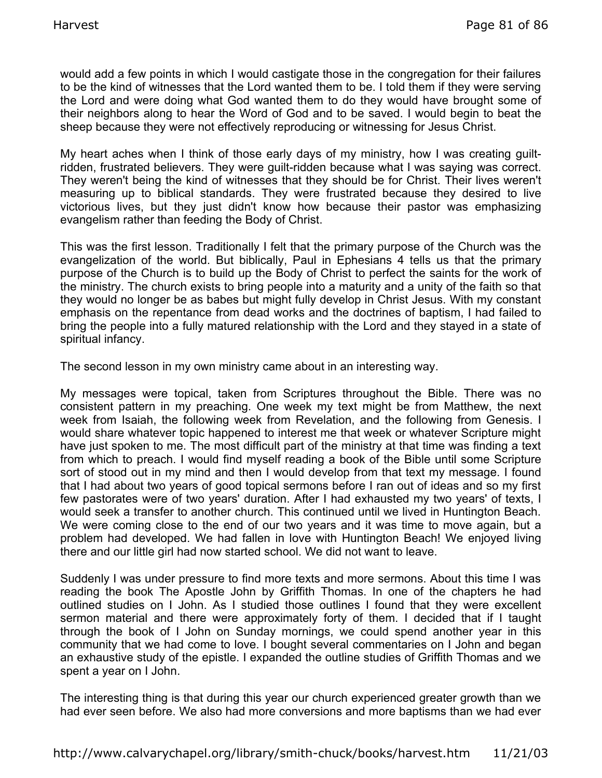would add a few points in which I would castigate those in the congregation for their failures to be the kind of witnesses that the Lord wanted them to be. I told them if they were serving the Lord and were doing what God wanted them to do they would have brought some of their neighbors along to hear the Word of God and to be saved. I would begin to beat the sheep because they were not effectively reproducing or witnessing for Jesus Christ.

My heart aches when I think of those early days of my ministry, how I was creating guiltridden, frustrated believers. They were guilt-ridden because what I was saying was correct. They weren't being the kind of witnesses that they should be for Christ. Their lives weren't measuring up to biblical standards. They were frustrated because they desired to live victorious lives, but they just didn't know how because their pastor was emphasizing evangelism rather than feeding the Body of Christ.

This was the first lesson. Traditionally I felt that the primary purpose of the Church was the evangelization of the world. But biblically, Paul in Ephesians 4 tells us that the primary purpose of the Church is to build up the Body of Christ to perfect the saints for the work of the ministry. The church exists to bring people into a maturity and a unity of the faith so that they would no longer be as babes but might fully develop in Christ Jesus. With my constant emphasis on the repentance from dead works and the doctrines of baptism, I had failed to bring the people into a fully matured relationship with the Lord and they stayed in a state of spiritual infancy.

The second lesson in my own ministry came about in an interesting way.

My messages were topical, taken from Scriptures throughout the Bible. There was no consistent pattern in my preaching. One week my text might be from Matthew, the next week from Isaiah, the following week from Revelation, and the following from Genesis. I would share whatever topic happened to interest me that week or whatever Scripture might have just spoken to me. The most difficult part of the ministry at that time was finding a text from which to preach. I would find myself reading a book of the Bible until some Scripture sort of stood out in my mind and then I would develop from that text my message. I found that I had about two years of good topical sermons before I ran out of ideas and so my first few pastorates were of two years' duration. After I had exhausted my two years' of texts, I would seek a transfer to another church. This continued until we lived in Huntington Beach. We were coming close to the end of our two years and it was time to move again, but a problem had developed. We had fallen in love with Huntington Beach! We enjoyed living there and our little girl had now started school. We did not want to leave.

Suddenly I was under pressure to find more texts and more sermons. About this time I was reading the book The Apostle John by Griffith Thomas. In one of the chapters he had outlined studies on I John. As I studied those outlines I found that they were excellent sermon material and there were approximately forty of them. I decided that if I taught through the book of I John on Sunday mornings, we could spend another year in this community that we had come to love. I bought several commentaries on I John and began an exhaustive study of the epistle. I expanded the outline studies of Griffith Thomas and we spent a year on I John.

The interesting thing is that during this year our church experienced greater growth than we had ever seen before. We also had more conversions and more baptisms than we had ever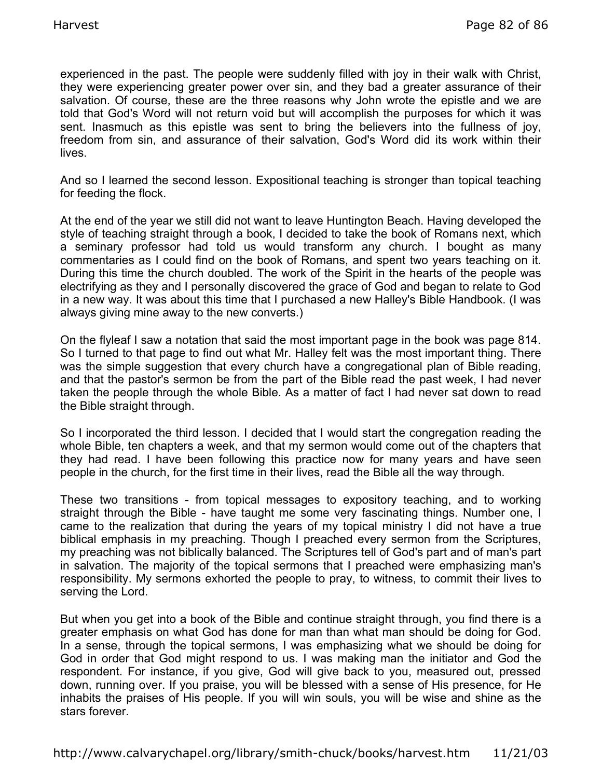experienced in the past. The people were suddenly filled with joy in their walk with Christ, they were experiencing greater power over sin, and they bad a greater assurance of their salvation. Of course, these are the three reasons why John wrote the epistle and we are told that God's Word will not return void but will accomplish the purposes for which it was sent. Inasmuch as this epistle was sent to bring the believers into the fullness of joy, freedom from sin, and assurance of their salvation, God's Word did its work within their lives.

And so I learned the second lesson. Expositional teaching is stronger than topical teaching for feeding the flock.

At the end of the year we still did not want to leave Huntington Beach. Having developed the style of teaching straight through a book, I decided to take the book of Romans next, which a seminary professor had told us would transform any church. I bought as many commentaries as I could find on the book of Romans, and spent two years teaching on it. During this time the church doubled. The work of the Spirit in the hearts of the people was electrifying as they and I personally discovered the grace of God and began to relate to God in a new way. It was about this time that I purchased a new Halley's Bible Handbook. (I was always giving mine away to the new converts.)

On the flyleaf I saw a notation that said the most important page in the book was page 814. So I turned to that page to find out what Mr. Halley felt was the most important thing. There was the simple suggestion that every church have a congregational plan of Bible reading, and that the pastor's sermon be from the part of the Bible read the past week, I had never taken the people through the whole Bible. As a matter of fact I had never sat down to read the Bible straight through.

So I incorporated the third lesson. I decided that I would start the congregation reading the whole Bible, ten chapters a week, and that my sermon would come out of the chapters that they had read. I have been following this practice now for many years and have seen people in the church, for the first time in their lives, read the Bible all the way through.

These two transitions - from topical messages to expository teaching, and to working straight through the Bible - have taught me some very fascinating things. Number one, I came to the realization that during the years of my topical ministry I did not have a true biblical emphasis in my preaching. Though I preached every sermon from the Scriptures, my preaching was not biblically balanced. The Scriptures tell of God's part and of man's part in salvation. The majority of the topical sermons that I preached were emphasizing man's responsibility. My sermons exhorted the people to pray, to witness, to commit their lives to serving the Lord.

But when you get into a book of the Bible and continue straight through, you find there is a greater emphasis on what God has done for man than what man should be doing for God. In a sense, through the topical sermons, I was emphasizing what we should be doing for God in order that God might respond to us. I was making man the initiator and God the respondent. For instance, if you give, God will give back to you, measured out, pressed down, running over. If you praise, you will be blessed with a sense of His presence, for He inhabits the praises of His people. If you will win souls, you will be wise and shine as the stars forever.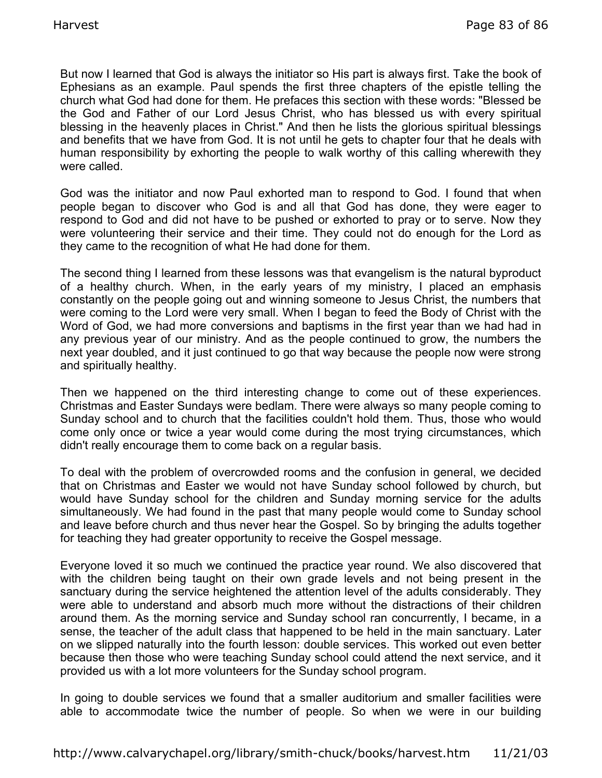But now I learned that God is always the initiator so His part is always first. Take the book of Ephesians as an example. Paul spends the first three chapters of the epistle telling the church what God had done for them. He prefaces this section with these words: "Blessed be the God and Father of our Lord Jesus Christ, who has blessed us with every spiritual blessing in the heavenly places in Christ." And then he lists the glorious spiritual blessings and benefits that we have from God. It is not until he gets to chapter four that he deals with human responsibility by exhorting the people to walk worthy of this calling wherewith they were called.

God was the initiator and now Paul exhorted man to respond to God. I found that when people began to discover who God is and all that God has done, they were eager to respond to God and did not have to be pushed or exhorted to pray or to serve. Now they were volunteering their service and their time. They could not do enough for the Lord as they came to the recognition of what He had done for them.

The second thing I learned from these lessons was that evangelism is the natural byproduct of a healthy church. When, in the early years of my ministry, I placed an emphasis constantly on the people going out and winning someone to Jesus Christ, the numbers that were coming to the Lord were very small. When I began to feed the Body of Christ with the Word of God, we had more conversions and baptisms in the first year than we had had in any previous year of our ministry. And as the people continued to grow, the numbers the next year doubled, and it just continued to go that way because the people now were strong and spiritually healthy.

Then we happened on the third interesting change to come out of these experiences. Christmas and Easter Sundays were bedlam. There were always so many people coming to Sunday school and to church that the facilities couldn't hold them. Thus, those who would come only once or twice a year would come during the most trying circumstances, which didn't really encourage them to come back on a regular basis.

To deal with the problem of overcrowded rooms and the confusion in general, we decided that on Christmas and Easter we would not have Sunday school followed by church, but would have Sunday school for the children and Sunday morning service for the adults simultaneously. We had found in the past that many people would come to Sunday school and leave before church and thus never hear the Gospel. So by bringing the adults together for teaching they had greater opportunity to receive the Gospel message.

Everyone loved it so much we continued the practice year round. We also discovered that with the children being taught on their own grade levels and not being present in the sanctuary during the service heightened the attention level of the adults considerably. They were able to understand and absorb much more without the distractions of their children around them. As the morning service and Sunday school ran concurrently, I became, in a sense, the teacher of the adult class that happened to be held in the main sanctuary. Later on we slipped naturally into the fourth lesson: double services. This worked out even better because then those who were teaching Sunday school could attend the next service, and it provided us with a lot more volunteers for the Sunday school program.

In going to double services we found that a smaller auditorium and smaller facilities were able to accommodate twice the number of people. So when we were in our building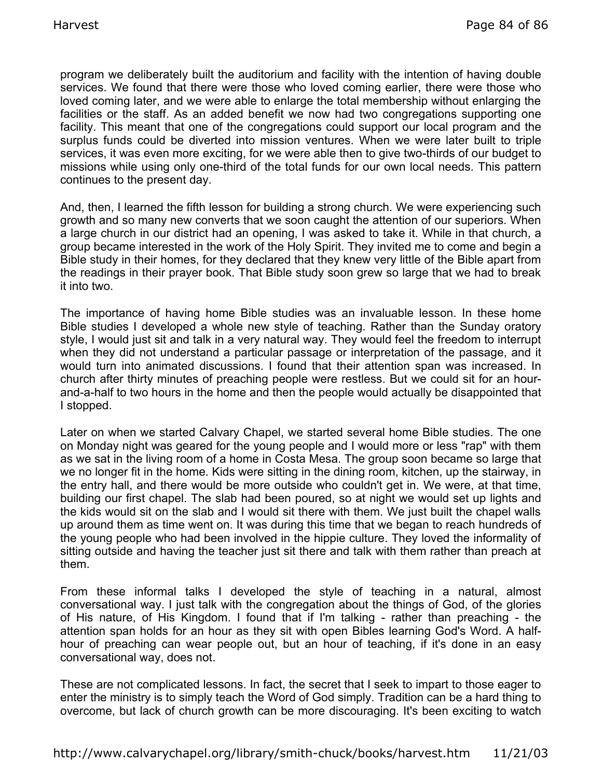program we deliberately built the auditorium and facility with the intention of having double services. We found that there were those who loved coming earlier, there were those who loved coming later, and we were able to enlarge the total membership without enlarging the facilities or the staff. As an added benefit we now had two congregations supporting one facility. This meant that one of the congregations could support our local program and the surplus funds could be diverted into mission ventures. When we were later built to triple services, it was even more exciting, for we were able then to give two-thirds of our budget to missions while using only one-third of the total funds for our own local needs. This pattern continues to the present day.

And, then, I learned the fifth lesson for building a strong church. We were experiencing such growth and so many new converts that we soon caught the attention of our superiors. When a large church in our district had an opening, I was asked to take it. While in that church, a group became interested in the work of the Holy Spirit. They invited me to come and begin a Bible study in their homes, for they declared that they knew very little of the Bible apart from the readings in their prayer book. That Bible study soon grew so large that we had to break it into two.

The importance of having home Bible studies was an invaluable lesson. In these home Bible studies I developed a whole new style of teaching. Rather than the Sunday oratory style, I would just sit and talk in a very natural way. They would feel the freedom to interrupt when they did not understand a particular passage or interpretation of the passage, and it would turn into animated discussions. I found that their attention span was increased. In church after thirty minutes of preaching people were restless. But we could sit for an hourand-a-half to two hours in the home and then the people would actually be disappointed that I stopped.

Later on when we started Calvary Chapel, we started several home Bible studies. The one on Monday night was geared for the young people and I would more or less "rap" with them as we sat in the living room of a home in Costa Mesa. The group soon became so large that we no longer fit in the home. Kids were sitting in the dining room, kitchen, up the stairway, in the entry hall, and there would be more outside who couldn't get in. We were, at that time, building our first chapel. The slab had been poured, so at night we would set up lights and the kids would sit on the slab and I would sit there with them. We just built the chapel walls up around them as time went on. It was during this time that we began to reach hundreds of the young people who had been involved in the hippie culture. They loved the informality of sitting outside and having the teacher just sit there and talk with them rather than preach at them.

From these informal talks I developed the style of teaching in a natural, almost conversational way. I just talk with the congregation about the things of God, of the glories of His nature, of His Kingdom. I found that if I'm talking - rather than preaching - the attention span holds for an hour as they sit with open Bibles learning God's Word. A halfhour of preaching can wear people out, but an hour of teaching, if it's done in an easy conversational way, does not.

These are not complicated lessons. In fact, the secret that I seek to impart to those eager to enter the ministry is to simply teach the Word of God simply. Tradition can be a hard thing to overcome, but lack of church growth can be more discouraging. It's been exciting to watch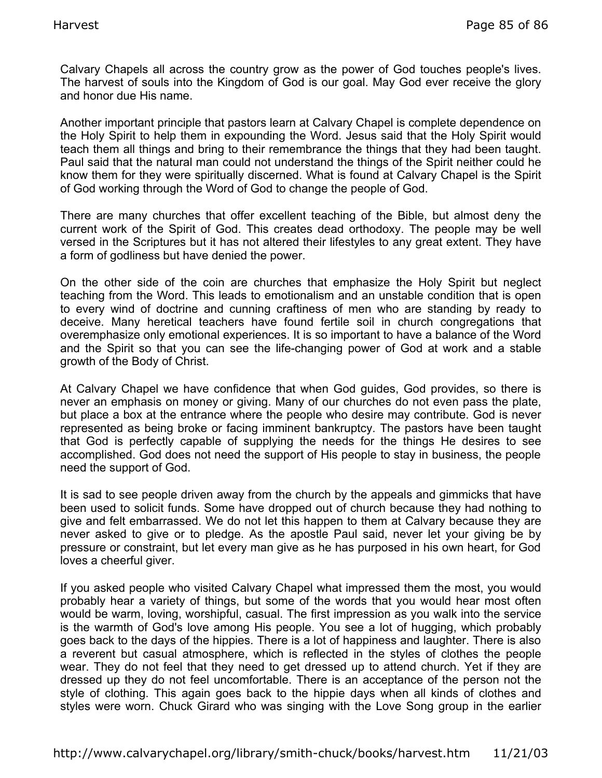Calvary Chapels all across the country grow as the power of God touches people's lives. The harvest of souls into the Kingdom of God is our goal. May God ever receive the glory and honor due His name.

Another important principle that pastors learn at Calvary Chapel is complete dependence on the Holy Spirit to help them in expounding the Word. Jesus said that the Holy Spirit would teach them all things and bring to their remembrance the things that they had been taught. Paul said that the natural man could not understand the things of the Spirit neither could he know them for they were spiritually discerned. What is found at Calvary Chapel is the Spirit of God working through the Word of God to change the people of God.

There are many churches that offer excellent teaching of the Bible, but almost deny the current work of the Spirit of God. This creates dead orthodoxy. The people may be well versed in the Scriptures but it has not altered their lifestyles to any great extent. They have a form of godliness but have denied the power.

On the other side of the coin are churches that emphasize the Holy Spirit but neglect teaching from the Word. This leads to emotionalism and an unstable condition that is open to every wind of doctrine and cunning craftiness of men who are standing by ready to deceive. Many heretical teachers have found fertile soil in church congregations that overemphasize only emotional experiences. It is so important to have a balance of the Word and the Spirit so that you can see the life-changing power of God at work and a stable growth of the Body of Christ.

At Calvary Chapel we have confidence that when God guides, God provides, so there is never an emphasis on money or giving. Many of our churches do not even pass the plate, but place a box at the entrance where the people who desire may contribute. God is never represented as being broke or facing imminent bankruptcy. The pastors have been taught that God is perfectly capable of supplying the needs for the things He desires to see accomplished. God does not need the support of His people to stay in business, the people need the support of God.

It is sad to see people driven away from the church by the appeals and gimmicks that have been used to solicit funds. Some have dropped out of church because they had nothing to give and felt embarrassed. We do not let this happen to them at Calvary because they are never asked to give or to pledge. As the apostle Paul said, never let your giving be by pressure or constraint, but let every man give as he has purposed in his own heart, for God loves a cheerful giver.

If you asked people who visited Calvary Chapel what impressed them the most, you would probably hear a variety of things, but some of the words that you would hear most often would be warm, loving, worshipful, casual. The first impression as you walk into the service is the warmth of God's love among His people. You see a lot of hugging, which probably goes back to the days of the hippies. There is a lot of happiness and laughter. There is also a reverent but casual atmosphere, which is reflected in the styles of clothes the people wear. They do not feel that they need to get dressed up to attend church. Yet if they are dressed up they do not feel uncomfortable. There is an acceptance of the person not the style of clothing. This again goes back to the hippie days when all kinds of clothes and styles were worn. Chuck Girard who was singing with the Love Song group in the earlier